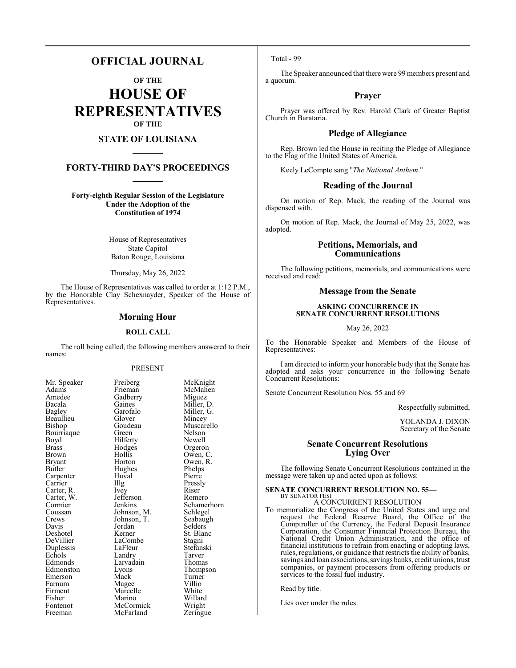### **OFFICIAL JOURNAL**

**OF THE**

**HOUSE OF REPRESENTATIVES OF THE**

### **STATE OF LOUISIANA**

#### **FORTY-THIRD DAY'S PROCEEDINGS**

**Forty-eighth Regular Session of the Legislature Under the Adoption of the Constitution of 1974**

> House of Representatives State Capitol Baton Rouge, Louisiana

Thursday, May 26, 2022

The House of Representatives was called to order at 1:12 P.M., by the Honorable Clay Schexnayder, Speaker of the House of Representatives.

#### **Morning Hour**

#### **ROLL CALL**

The roll being called, the following members answered to their names:

#### PRESENT

Gadberry<br>Gaines

Glover<br>Goudeau

Hilferty<br>Hodges

Huval<br>Illg

LaCombe<br>LaFleur

| Mr. Speaker                      |
|----------------------------------|
| Adams                            |
| Amedee                           |
| Bacala                           |
| Bagley                           |
| Beaullieu                        |
| Bishop                           |
| Bourriaque                       |
| Boyd                             |
| <b>Brass</b>                     |
| <b>Brown</b>                     |
| Bryant                           |
| Butler                           |
| Carpenter                        |
|                                  |
| Carrier<br>Carrier<br>Carter, R. |
| Carter, W.                       |
| Cormier                          |
| Coussan                          |
| Crews                            |
| Davis                            |
| Deshotel                         |
| DeVillier                        |
| Duplessis                        |
| Echols                           |
| Edmonds                          |
| Edmonston                        |
| Emerson                          |
| Farnum                           |
| Firment                          |
| Fisher                           |
| Fontenot                         |
| Freeman                          |

Freiberg McKnight<br>Frieman McMahen McMahen<br>Miguez Gaines Miller, D.<br>Garofalo Miller, G. Miller, G.<br>Mincey Muscarello Green Nelson<br>Hilferty Newell Hodges Orgeron<br>Hollis Owen, C Hollis Owen, C.<br>Horton Owen, R. Owen, R.<br>Phelps Hughes Phelps<br>Huval Pierre The Pressly<br>
Ivev Riser Carter, R. Ivey Riser Jefferson Romero<br>Jenkins Schamer Schamerhorn<br>Schlegel Johnson, M. Schlegel<br>Johnson, T. Seabaugh Johnson, T.<br>Jordan Jordan Selders<br>Kerner St. Blan St. Blanc<br>Stagni LaFleur Stefanski<br>Landrv Tarver Echols Landry Tarver Larvadain Thomas<br>Lyons Thomps Eyons Thompson<br>
Mack Turner Turner<br>Villio Magee Villio<br>Marcelle White Marcelle White<br>
Marino Willard Marino Willard<br>
McCormick Wright McCormick Wright<br>
McFarland Zeringue McFarland

#### Total - 99

The Speaker announced that there were 99 members present and a quorum.

#### **Prayer**

Prayer was offered by Rev. Harold Clark of Greater Baptist Church in Barataria.

#### **Pledge of Allegiance**

Rep. Brown led the House in reciting the Pledge of Allegiance to the Flag of the United States of America.

Keely LeCompte sang "*The National Anthem*."

#### **Reading of the Journal**

On motion of Rep. Mack, the reading of the Journal was dispensed with.

On motion of Rep. Mack, the Journal of May 25, 2022, was adopted.

#### **Petitions, Memorials, and Communications**

The following petitions, memorials, and communications were received and read:

#### **Message from the Senate**

#### **ASKING CONCURRENCE IN SENATE CONCURRENT RESOLUTIONS**

May 26, 2022

To the Honorable Speaker and Members of the House of Representatives:

I am directed to inform your honorable body that the Senate has adopted and asks your concurrence in the following Senate Concurrent Resolutions:

Senate Concurrent Resolution Nos. 55 and 69

Respectfully submitted,

YOLANDA J. DIXON Secretary of the Senate

#### **Senate Concurrent Resolutions Lying Over**

The following Senate Concurrent Resolutions contained in the message were taken up and acted upon as follows:

#### **SENATE CONCURRENT RESOLUTION NO. 55—** BY SENATOR FESI

A CONCURRENT RESOLUTION

To memorialize the Congress of the United States and urge and request the Federal Reserve Board, the Office of the Comptroller of the Currency, the Federal Deposit Insurance Corporation, the Consumer Financial Protection Bureau, the National Credit Union Administration, and the office of financial institutions to refrain from enacting or adopting laws, rules, regulations, or guidance that restricts the ability of banks, savings and loan associations, savings banks, credit unions, trust companies, or payment processors from offering products or services to the fossil fuel industry.

Read by title.

Lies over under the rules.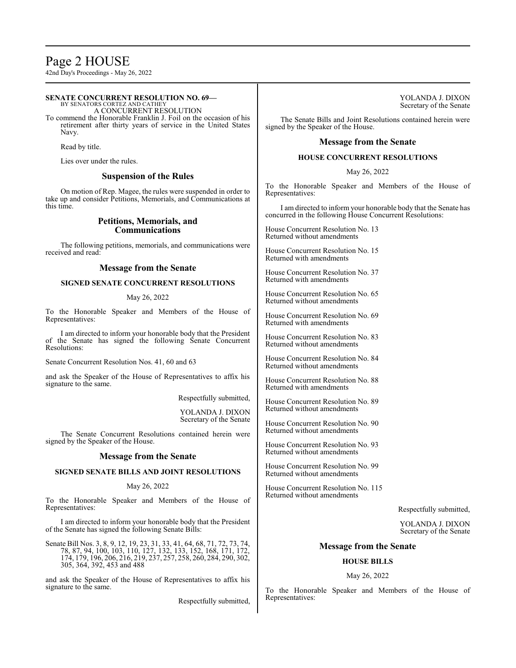### Page 2 HOUSE

42nd Day's Proceedings - May 26, 2022

#### **SENATE CONCURRENT RESOLUTION NO. 69—** BY SENATORS CORTEZ AND CATHEY

A CONCURRENT RESOLUTION

To commend the Honorable Franklin J. Foil on the occasion of his retirement after thirty years of service in the United States Navy.

Read by title.

Lies over under the rules.

#### **Suspension of the Rules**

On motion of Rep. Magee, the rules were suspended in order to take up and consider Petitions, Memorials, and Communications at this time.

#### **Petitions, Memorials, and Communications**

The following petitions, memorials, and communications were received and read:

#### **Message from the Senate**

#### **SIGNED SENATE CONCURRENT RESOLUTIONS**

#### May 26, 2022

To the Honorable Speaker and Members of the House of Representatives:

I am directed to inform your honorable body that the President of the Senate has signed the following Senate Concurrent Resolutions:

Senate Concurrent Resolution Nos. 41, 60 and 63

and ask the Speaker of the House of Representatives to affix his signature to the same.

Respectfully submitted,

YOLANDA J. DIXON Secretary of the Senate

The Senate Concurrent Resolutions contained herein were signed by the Speaker of the House.

#### **Message from the Senate**

#### **SIGNED SENATE BILLS AND JOINT RESOLUTIONS**

May 26, 2022

To the Honorable Speaker and Members of the House of Representatives:

I am directed to inform your honorable body that the President of the Senate has signed the following Senate Bills:

Senate Bill Nos. 3, 8, 9, 12, 19, 23, 31, 33, 41, 64, 68, 71, 72, 73, 74, 78, 87, 94, 100, 103, 110, 127, 132, 133, 152, 168, 171, 172, 174, 179, 196, 206, 216, 219, 237, 257, 258, 260, 284, 290, 302, 305, 364, 392, 453 and 488

and ask the Speaker of the House of Representatives to affix his signature to the same.

Respectfully submitted,

The Senate Bills and Joint Resolutions contained herein were signed by the Speaker of the House.

#### **Message from the Senate**

#### **HOUSE CONCURRENT RESOLUTIONS**

May 26, 2022

To the Honorable Speaker and Members of the House of Representatives:

I am directed to inform your honorable body that the Senate has concurred in the following House Concurrent Resolutions:

House Concurrent Resolution No. 13 Returned without amendments

House Concurrent Resolution No. 15 Returned with amendments

House Concurrent Resolution No. 37 Returned with amendments

House Concurrent Resolution No. 65 Returned without amendments

House Concurrent Resolution No. 69 Returned with amendments

House Concurrent Resolution No. 83 Returned without amendments

House Concurrent Resolution No. 84 Returned without amendments

House Concurrent Resolution No. 88 Returned with amendments

House Concurrent Resolution No. 89 Returned without amendments

House Concurrent Resolution No. 90 Returned without amendments

House Concurrent Resolution No. 93 Returned without amendments

House Concurrent Resolution No. 99 Returned without amendments

House Concurrent Resolution No. 115 Returned without amendments

Respectfully submitted,

YOLANDA J. DIXON Secretary of the Senate

#### **Message from the Senate**

#### **HOUSE BILLS**

#### May 26, 2022

To the Honorable Speaker and Members of the House of Representatives: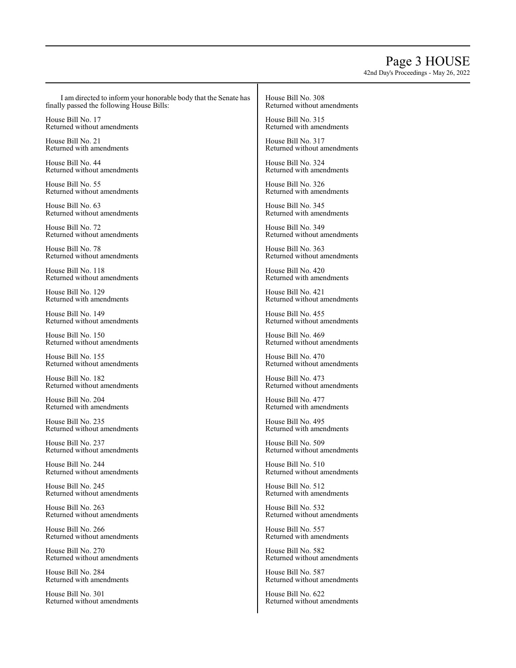## Page 3 HOUSE

42nd Day's Proceedings - May 26, 2022

I am directed to inform your honorable body that the Senate has finally passed the following House Bills:

House Bill No. 17 Returned without amendments

House Bill No. 21 Returned with amendments

House Bill No. 44 Returned without amendments

House Bill No. 55 Returned without amendments

House Bill No. 63 Returned without amendments

House Bill No. 72 Returned without amendments

House Bill No. 78 Returned without amendments

House Bill No. 118 Returned without amendments

House Bill No. 129 Returned with amendments

House Bill No. 149 Returned without amendments

House Bill No. 150 Returned without amendments

House Bill No. 155 Returned without amendments

House Bill No. 182 Returned without amendments

House Bill No. 204 Returned with amendments

House Bill No. 235 Returned without amendments

House Bill No. 237 Returned without amendments

House Bill No. 244 Returned without amendments

House Bill No. 245 Returned without amendments

House Bill No. 263 Returned without amendments

House Bill No. 266 Returned without amendments

House Bill No. 270 Returned without amendments

House Bill No. 284 Returned with amendments

House Bill No. 301 Returned without amendments House Bill No. 308 Returned without amendments

House Bill No. 315 Returned with amendments

House Bill No. 317 Returned without amendments

House Bill No. 324 Returned with amendments

House Bill No. 326 Returned with amendments

House Bill No. 345 Returned with amendments

House Bill No. 349 Returned without amendments

House Bill No. 363 Returned without amendments

House Bill No. 420 Returned with amendments

House Bill No. 421 Returned without amendments

House Bill No. 455 Returned without amendments

House Bill No. 469 Returned without amendments

House Bill No. 470 Returned without amendments

House Bill No. 473 Returned without amendments

House Bill No. 477 Returned with amendments

House Bill No. 495 Returned with amendments

House Bill No. 509 Returned without amendments

House Bill No. 510 Returned without amendments

House Bill No. 512 Returned with amendments

House Bill No. 532 Returned without amendments

House Bill No. 557 Returned with amendments

House Bill No. 582 Returned without amendments

House Bill No. 587 Returned without amendments

House Bill No. 622 Returned without amendments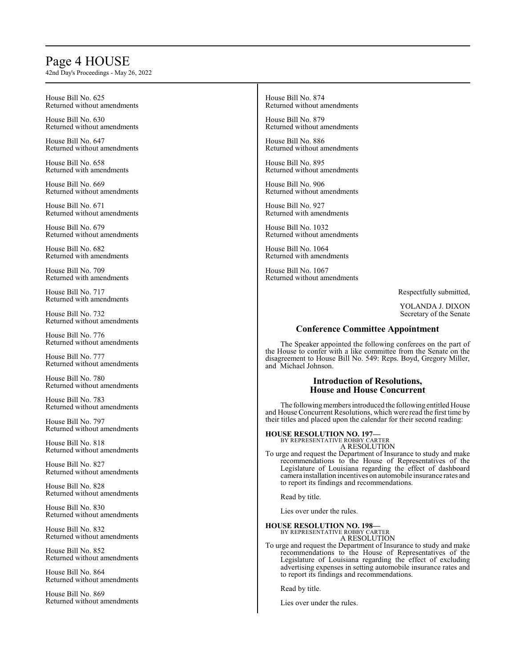### Page 4 HOUSE

42nd Day's Proceedings - May 26, 2022

House Bill No. 625 Returned without amendments

House Bill No. 630 Returned without amendments

House Bill No. 647 Returned without amendments

House Bill No. 658 Returned with amendments

House Bill No. 669 Returned without amendments

House Bill No. 671 Returned without amendments

House Bill No. 679 Returned without amendments

House Bill No. 682 Returned with amendments

House Bill No. 709 Returned with amendments

House Bill No. 717 Returned with amendments

House Bill No. 732 Returned without amendments

House Bill No. 776 Returned without amendments

House Bill No. 777 Returned without amendments

House Bill No. 780 Returned without amendments

House Bill No. 783 Returned without amendments

House Bill No. 797 Returned without amendments

House Bill No. 818 Returned without amendments

House Bill No. 827 Returned without amendments

House Bill No. 828 Returned without amendments

House Bill No. 830 Returned without amendments

House Bill No. 832 Returned without amendments

House Bill No. 852 Returned without amendments

House Bill No. 864 Returned without amendments

House Bill No. 869 Returned without amendments House Bill No. 874 Returned without amendments

House Bill No. 879 Returned without amendments

House Bill No. 886 Returned without amendments

House Bill No. 895 Returned without amendments

House Bill No. 906 Returned without amendments

House Bill No. 927 Returned with amendments

House Bill No. 1032 Returned without amendments

House Bill No. 1064 Returned with amendments

House Bill No. 1067 Returned without amendments

Respectfully submitted,

YOLANDA J. DIXON Secretary of the Senate

#### **Conference Committee Appointment**

The Speaker appointed the following conferees on the part of the House to confer with a like committee from the Senate on the disagreement to House Bill No. 549: Reps. Boyd, Gregory Miller, and Michael Johnson.

#### **Introduction of Resolutions, House and House Concurrent**

The following members introduced the following entitled House and House Concurrent Resolutions, which were read the first time by their titles and placed upon the calendar for their second reading:

### **HOUSE RESOLUTION NO. 197—** BY REPRESENTATIVE ROBBY CARTER

A RESOLUTION

To urge and request the Department of Insurance to study and make recommendations to the House of Representatives of the Legislature of Louisiana regarding the effect of dashboard camera installation incentives on automobile insurance rates and to report its findings and recommendations.

Read by title.

Lies over under the rules.

**HOUSE RESOLUTION NO. 198—**

BY REPRESENTATIVE ROBBY CARTER A RESOLUTION

To urge and request the Department of Insurance to study and make recommendations to the House of Representatives of the Legislature of Louisiana regarding the effect of excluding advertising expenses in setting automobile insurance rates and to report its findings and recommendations.

Read by title.

Lies over under the rules.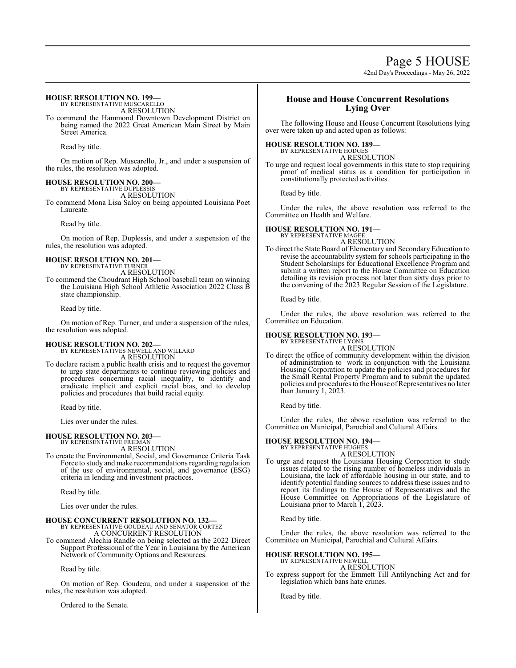### Page 5 HOUSE

42nd Day's Proceedings - May 26, 2022

#### **HOUSE RESOLUTION NO. 199—** BY REPRESENTATIVE MUSCARELLO

A RESOLUTION

To commend the Hammond Downtown Development District on being named the 2022 Great American Main Street by Main Street America.

Read by title.

On motion of Rep. Muscarello, Jr., and under a suspension of the rules, the resolution was adopted.

#### **HOUSE RESOLUTION NO. 200—**

BY REPRESENTATIVE DUPLESSIS A RESOLUTION

To commend Mona Lisa Saloy on being appointed Louisiana Poet Laureate.

Read by title.

On motion of Rep. Duplessis, and under a suspension of the rules, the resolution was adopted.

#### **HOUSE RESOLUTION NO. 201—** BY REPRESENTATIVE TURNER

A RESOLUTION

To commend the Choudrant High School baseball team on winning the Louisiana High School Athletic Association 2022 Class B state championship.

Read by title.

On motion of Rep. Turner, and under a suspension of the rules, the resolution was adopted.

#### **HOUSE RESOLUTION NO. 202—**

BY REPRESENTATIVES NEWELL AND WILLARD A RESOLUTION

To declare racism a public health crisis and to request the governor to urge state departments to continue reviewing policies and procedures concerning racial inequality, to identify and eradicate implicit and explicit racial bias, and to develop policies and procedures that build racial equity.

Read by title.

Lies over under the rules.

#### **HOUSE RESOLUTION NO. 203—**

BY REPRESENTATIVE FRIEMAN A RESOLUTION

To create the Environmental, Social, and Governance Criteria Task Force to study and make recommendations regarding regulation of the use of environmental, social, and governance (ESG) criteria in lending and investment practices.

Read by title.

Lies over under the rules.

### **HOUSE CONCURRENT RESOLUTION NO. 132—** BY REPRESENTATIVE GOUDEAU AND SENATOR CORTEZ A CONCURRENT RESOLUTION

To commend Alechia Randle on being selected as the 2022 Direct Support Professional of the Year in Louisiana by the American Network of Community Options and Resources.

Read by title.

On motion of Rep. Goudeau, and under a suspension of the rules, the resolution was adopted.

Ordered to the Senate.

### **House and House Concurrent Resolutions Lying Over**

The following House and House Concurrent Resolutions lying over were taken up and acted upon as follows:

#### **HOUSE RESOLUTION NO. 189—**

BY REPRESENTATIVE HODGES A RESOLUTION

To urge and request local governments in this state to stop requiring proof of medical status as a condition for participation in constitutionally protected activities.

Read by title.

Under the rules, the above resolution was referred to the Committee on Health and Welfare.

#### **HOUSE RESOLUTION NO. 191—**

BY REPRESENTATIVE MAGEE

A RESOLUTION To direct the State Board of Elementary and Secondary Education to revise the accountability system for schools participating in the Student Scholarships for Educational Excellence Program and submit a written report to the House Committee on Education detailing its revision process not later than sixty days prior to the convening of the 2023 Regular Session of the Legislature.

Read by title.

Under the rules, the above resolution was referred to the Committee on Education.

#### **HOUSE RESOLUTION NO. 193—**

BY REPRESENTATIVE LYONS

A RESOLUTION To direct the office of community development within the division of administration to work in conjunction with the Louisiana Housing Corporation to update the policies and procedures for the Small Rental Property Program and to submit the updated policies and procedures to the House ofRepresentatives no later than January 1, 2023.

Read by title.

Under the rules, the above resolution was referred to the Committee on Municipal, Parochial and Cultural Affairs.

### **HOUSE RESOLUTION NO. 194—** BY REPRESENTATIVE HUGHES

A RESOLUTION

To urge and request the Louisiana Housing Corporation to study issues related to the rising number of homeless individuals in Louisiana, the lack of affordable housing in our state, and to identify potential funding sources to address these issues and to report its findings to the House of Representatives and the House Committee on Appropriations of the Legislature of Louisiana prior to March 1, 2023.

Read by title.

Under the rules, the above resolution was referred to the Committee on Municipal, Parochial and Cultural Affairs.

#### **HOUSE RESOLUTION NO. 195—**

BY REPRESENTATIVE NEWELL

A RESOLUTION To express support for the Emmett Till Antilynching Act and for legislation which bans hate crimes.

Read by title.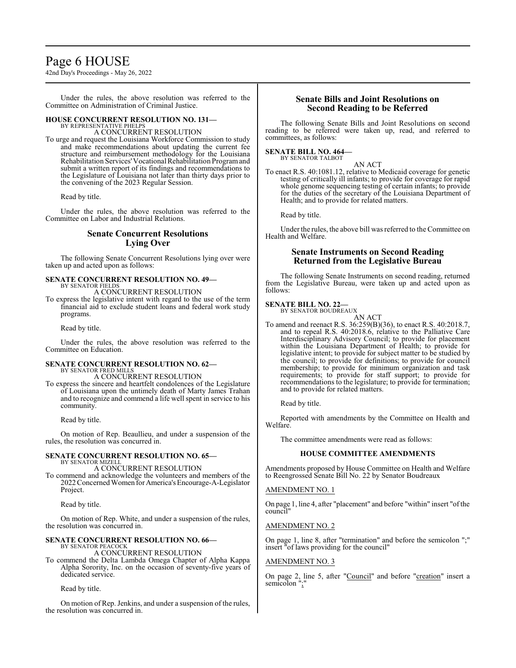### Page 6 HOUSE

42nd Day's Proceedings - May 26, 2022

Under the rules, the above resolution was referred to the Committee on Administration of Criminal Justice.

#### **HOUSE CONCURRENT RESOLUTION NO. 131—** BY REPRESENTATIVE PHELPS

A CONCURRENT RESOLUTION

To urge and request the Louisiana Workforce Commission to study and make recommendations about updating the current fee structure and reimbursement methodology for the Louisiana Rehabilitation Services'Vocational Rehabilitation Programand submit a written report of its findings and recommendations to the Legislature of Louisiana not later than thirty days prior to the convening of the 2023 Regular Session.

Read by title.

Under the rules, the above resolution was referred to the Committee on Labor and Industrial Relations.

#### **Senate Concurrent Resolutions Lying Over**

The following Senate Concurrent Resolutions lying over were taken up and acted upon as follows:

#### **SENATE CONCURRENT RESOLUTION NO. 49—** BY SENATOR FIELDS

A CONCURRENT RESOLUTION

To express the legislative intent with regard to the use of the term financial aid to exclude student loans and federal work study programs.

Read by title.

Under the rules, the above resolution was referred to the Committee on Education.

### **SENATE CONCURRENT RESOLUTION NO. 62—**

BY SENATOR FRED MILLS A CONCURRENT RESOLUTION

To express the sincere and heartfelt condolences of the Legislature of Louisiana upon the untimely death of Marty James Trahan and to recognize and commend a life well spent in service to his community.

Read by title.

On motion of Rep. Beaullieu, and under a suspension of the rules, the resolution was concurred in.

#### **SENATE CONCURRENT RESOLUTION NO. 65—** BY SENATOR MIZELL

A CONCURRENT RESOLUTION

To commend and acknowledge the volunteers and members of the 2022 Concerned Women for America's Encourage-A-Legislator Project.

Read by title.

On motion of Rep. White, and under a suspension of the rules, the resolution was concurred in.

#### **SENATE CONCURRENT RESOLUTION NO. 66—** BY SENATOR PEACOCK

A CONCURRENT RESOLUTION

To commend the Delta Lambda Omega Chapter of Alpha Kappa Alpha Sorority, Inc. on the occasion of seventy-five years of dedicated service.

Read by title.

On motion of Rep. Jenkins, and under a suspension of the rules, the resolution was concurred in.

#### **Senate Bills and Joint Resolutions on Second Reading to be Referred**

The following Senate Bills and Joint Resolutions on second reading to be referred were taken up, read, and referred to committees, as follows:

#### **SENATE BILL NO. 464—**

BY SENATOR TALBOT

AN ACT To enact R.S. 40:1081.12, relative to Medicaid coverage for genetic testing of critically ill infants; to provide for coverage for rapid whole genome sequencing testing of certain infants; to provide for the duties of the secretary of the Louisiana Department of Health; and to provide for related matters.

Read by title.

Under the rules, the above bill was referred to the Committee on Health and Welfare.

#### **Senate Instruments on Second Reading Returned from the Legislative Bureau**

The following Senate Instruments on second reading, returned from the Legislative Bureau, were taken up and acted upon as follows:

#### **SENATE BILL NO. 22—**

BY SENATOR BOUDREAUX AN ACT

To amend and reenact R.S. 36:259(B)(36), to enact R.S. 40:2018.7, and to repeal R.S. 40:2018.6, relative to the Palliative Care Interdisciplinary Advisory Council; to provide for placement within the Louisiana Department of Health; to provide for legislative intent; to provide for subject matter to be studied by the council; to provide for definitions; to provide for council membership; to provide for minimum organization and task requirements; to provide for staff support; to provide for recommendations to the legislature; to provide for termination; and to provide for related matters.

Read by title.

Reported with amendments by the Committee on Health and Welfare.

The committee amendments were read as follows:

#### **HOUSE COMMITTEE AMENDMENTS**

Amendments proposed by House Committee on Health and Welfare to Reengrossed Senate Bill No. 22 by Senator Boudreaux

#### AMENDMENT NO. 1

On page 1, line 4, after "placement" and before "within" insert "ofthe council"

#### AMENDMENT NO. 2

On page 1, line 8, after "termination" and before the semicolon ";" insert "of laws providing for the council"

#### AMENDMENT NO. 3

On page 2, line 5, after "Council" and before "creation" insert a semicolon ";"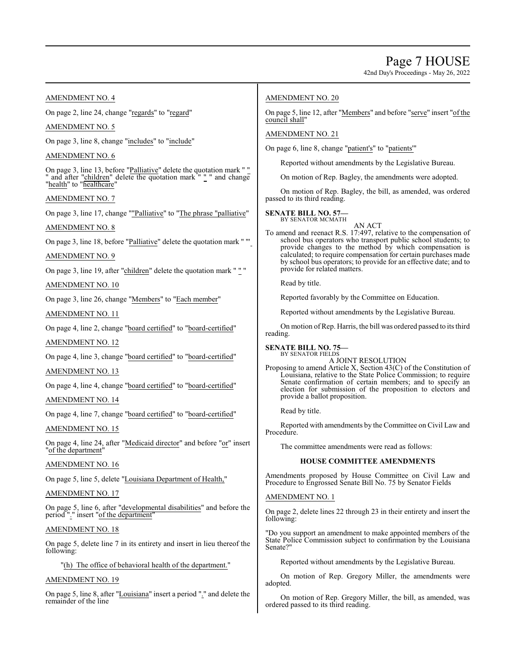#### AMENDMENT NO. 4

On page 2, line 24, change "regards" to "regard"

AMENDMENT NO. 5

On page 3, line 8, change "includes" to "include"

#### AMENDMENT NO. 6

On page 3, line 13, before "Palliative" delete the quotation mark " " and after "children" delete the quotation mark " " " and change "health" to "healthcare"

#### AMENDMENT NO. 7

On page 3, line 17, change ""Palliative" to "The phrase "palliative"

#### AMENDMENT NO. 8

On page 3, line 18, before "Palliative" delete the quotation mark " "'

#### AMENDMENT NO. 9

On page 3, line 19, after "children" delete the quotation mark ""

#### AMENDMENT NO. 10

On page 3, line 26, change "Members" to "Each member"

#### AMENDMENT NO. 11

On page 4, line 2, change "board certified" to "board-certified"

#### AMENDMENT NO. 12

On page 4, line 3, change "board certified" to "board-certified"

#### AMENDMENT NO. 13

On page 4, line 4, change "board certified" to "board-certified"

#### AMENDMENT NO. 14

On page 4, line 7, change "board certified" to "board-certified"

#### AMENDMENT NO. 15

On page 4, line 24, after "Medicaid director" and before "or" insert "of the department"

#### AMENDMENT NO. 16

On page 5, line 5, delete "Louisiana Department of Health,"

#### AMENDMENT NO. 17

On page 5, line 6, after "developmental disabilities" and before the period "." insert "of the department"

#### AMENDMENT NO. 18

On page 5, delete line 7 in its entirety and insert in lieu thereof the following:

#### "(h) The office of behavioral health of the department."

#### AMENDMENT NO. 19

On page 5, line 8, after "Louisiana" insert a period "." and delete the remainder of the line

#### AMENDMENT NO. 20

On page 5, line 12, after "Members" and before "serve" insert "of the council shall"

#### AMENDMENT NO. 21

On page 6, line 8, change "patient's" to "patients'"

Reported without amendments by the Legislative Bureau.

On motion of Rep. Bagley, the amendments were adopted.

On motion of Rep. Bagley, the bill, as amended, was ordered passed to its third reading.

#### **SENATE BILL NO. 57—** BY SENATOR MCMATH

AN ACT

To amend and reenact R.S. 17:497, relative to the compensation of school bus operators who transport public school students; to provide changes to the method by which compensation is calculated; to require compensation for certain purchases made by school bus operators; to provide for an effective date; and to provide for related matters.

Read by title.

Reported favorably by the Committee on Education.

Reported without amendments by the Legislative Bureau.

On motion of Rep. Harris, the bill was ordered passed to its third reading.

#### **SENATE BILL NO. 75—** BY SENATOR FIELDS

A JOINT RESOLUTION

Proposing to amend Article X, Section 43(C) of the Constitution of Louisiana, relative to the State Police Commission; to require Senate confirmation of certain members; and to specify an election for submission of the proposition to electors and provide a ballot proposition.

Read by title.

Reported with amendments by the Committee on Civil Law and Procedure.

The committee amendments were read as follows:

#### **HOUSE COMMITTEE AMENDMENTS**

Amendments proposed by House Committee on Civil Law and Procedure to Engrossed Senate Bill No. 75 by Senator Fields

#### AMENDMENT NO. 1

On page 2, delete lines 22 through 23 in their entirety and insert the following:

"Do you support an amendment to make appointed members of the State Police Commission subject to confirmation by the Louisiana Senate?"

Reported without amendments by the Legislative Bureau.

On motion of Rep. Gregory Miller, the amendments were adopted.

On motion of Rep. Gregory Miller, the bill, as amended, was ordered passed to its third reading.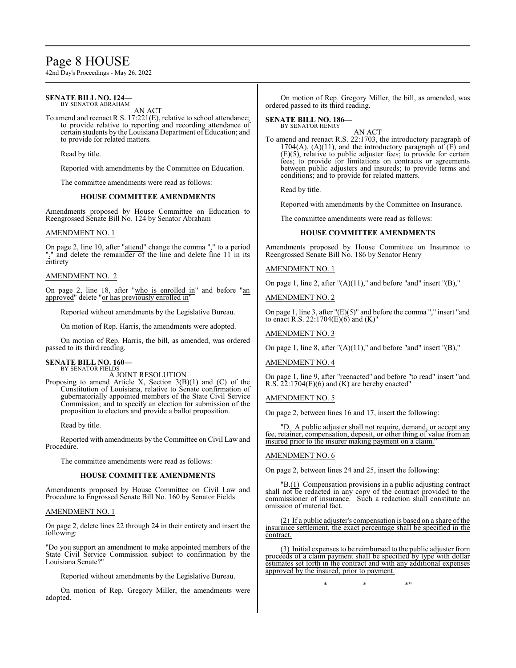### Page 8 HOUSE

42nd Day's Proceedings - May 26, 2022

#### **SENATE BILL NO. 124—** BY SENATOR ABRAHAM

AN ACT

To amend and reenact R.S. 17:221(E), relative to school attendance; to provide relative to reporting and recording attendance of certain students by the Louisiana Department of Education; and to provide for related matters.

Read by title.

Reported with amendments by the Committee on Education.

The committee amendments were read as follows:

#### **HOUSE COMMITTEE AMENDMENTS**

Amendments proposed by House Committee on Education to Reengrossed Senate Bill No. 124 by Senator Abraham

#### AMENDMENT NO. 1

On page 2, line 10, after "attend" change the comma "," to a period "." and delete the remainder of the line and delete line 11 in its entirety

#### AMENDMENT NO. 2

On page 2, line 18, after "who is enrolled in" and before "an approved" delete "or has previously enrolled in"

Reported without amendments by the Legislative Bureau.

On motion of Rep. Harris, the amendments were adopted.

On motion of Rep. Harris, the bill, as amended, was ordered passed to its third reading.

#### **SENATE BILL NO. 160—** BY SENATOR FIELDS

A JOINT RESOLUTION

Proposing to amend Article X, Section  $3(B)(1)$  and  $(C)$  of the Constitution of Louisiana, relative to Senate confirmation of gubernatorially appointed members of the State Civil Service Commission; and to specify an election for submission of the proposition to electors and provide a ballot proposition.

Read by title.

Reported with amendments by the Committee on Civil Law and Procedure.

The committee amendments were read as follows:

#### **HOUSE COMMITTEE AMENDMENTS**

Amendments proposed by House Committee on Civil Law and Procedure to Engrossed Senate Bill No. 160 by Senator Fields

#### AMENDMENT NO. 1

On page 2, delete lines 22 through 24 in their entirety and insert the following:

"Do you support an amendment to make appointed members of the State Civil Service Commission subject to confirmation by the Louisiana Senate?"

Reported without amendments by the Legislative Bureau.

On motion of Rep. Gregory Miller, the amendments were adopted.

On motion of Rep. Gregory Miller, the bill, as amended, was ordered passed to its third reading.

#### **SENATE BILL NO. 186—** BY SENATOR HENRY

AN ACT To amend and reenact R.S. 22:1703, the introductory paragraph of  $1704(A)$ ,  $(A)(11)$ , and the introductory paragraph of  $(E)$  and (E)(5), relative to public adjuster fees; to provide for certain fees; to provide for limitations on contracts or agreements between public adjusters and insureds; to provide terms and conditions; and to provide for related matters.

Read by title.

Reported with amendments by the Committee on Insurance.

The committee amendments were read as follows:

#### **HOUSE COMMITTEE AMENDMENTS**

Amendments proposed by House Committee on Insurance to Reengrossed Senate Bill No. 186 by Senator Henry

AMENDMENT NO. 1

On page 1, line 2, after "(A)(11)," and before "and" insert "(B),"

AMENDMENT NO. 2

On page 1, line 3, after "(E)(5)" and before the comma "," insert "and to enact R.S. 22:1704(E)(6) and (K)"

AMENDMENT NO. 3

On page 1, line 8, after "(A)(11)," and before "and" insert "(B),"

AMENDMENT NO. 4

On page 1, line 9, after "reenacted" and before "to read" insert "and R.S.  $2\overline{2}$ :1704(E)(6) and (K) are hereby enacted"

AMENDMENT NO. 5

On page 2, between lines 16 and 17, insert the following:

A public adjuster shall not require, demand, or accept any fee, retainer, compensation, deposit, or other thing of value from an insured prior to the insurer making payment on a claim.

#### AMENDMENT NO. 6

On page 2, between lines 24 and 25, insert the following:

"B.(1) Compensation provisions in a public adjusting contract shall not be redacted in any copy of the contract provided to the commissioner of insurance. Such a redaction shall constitute an omission of material fact.

(2) If a public adjuster's compensation is based on a share of the insurance settlement, the exact percentage shall be specified in the contract.

(3) Initial expenses to be reimbursed to the public adjuster from proceeds of a claim payment shall be specified by type with dollar estimates set forth in the contract and with any additional expenses approved by the insured, prior to payment.

 $*$  \*  $*$  \*  $*$  \*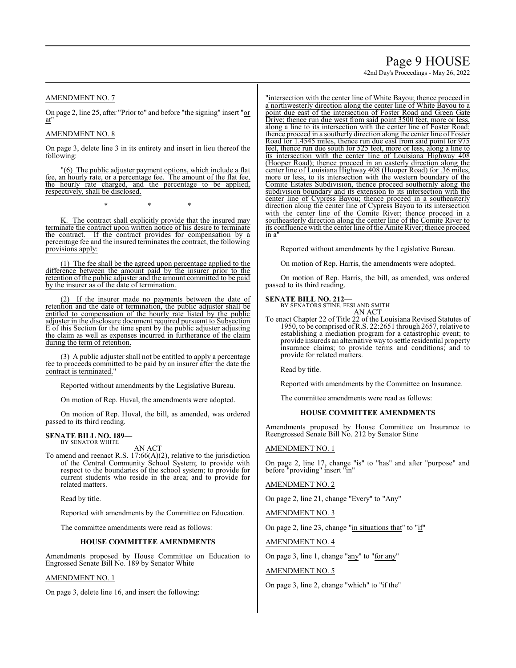## Page 9 HOUSE

42nd Day's Proceedings - May 26, 2022

AMENDMENT NO. 7

On page 2, line 25, after "Prior to" and before "the signing" insert "or at"

#### AMENDMENT NO. 8

On page 3, delete line 3 in its entirety and insert in lieu thereof the following:

"(6) The public adjuster payment options, which include a flat fee, an hourly rate, or a percentage fee. The amount of the flat fee, the hourly rate charged, and the percentage to be applied, respectively, shall be disclosed.

K. The contract shall explicitly provide that the insured may terminate the contract upon written notice of his desire to terminate<br>the contract. If the contract provides for compensation by a If the contract provides for compensation by a percentage fee and the insured terminates the contract, the following provisions apply:

\* \* \*

(1) The fee shall be the agreed upon percentage applied to the difference between the amount paid by the insurer prior to the retention of the public adjuster and the amount committed to be paid by the insurer as of the date of termination.

If the insurer made no payments between the date of retention and the date of termination, the public adjuster shall be entitled to compensation of the hourly rate listed by the public adjuster in the disclosure document required pursuant to Subsection E of this Section for the time spent by the public adjuster adjusting the claim as well as expenses incurred in furtherance of the claim during the term of retention.

(3) A public adjuster shall not be entitled to apply a percentage fee to proceeds committed to be paid by an insurer after the date the contract is terminated."

Reported without amendments by the Legislative Bureau.

On motion of Rep. Huval, the amendments were adopted.

On motion of Rep. Huval, the bill, as amended, was ordered passed to its third reading.

#### **SENATE BILL NO. 189—** BY SENATOR WHITE

AN ACT

To amend and reenact R.S. 17:66(A)(2), relative to the jurisdiction of the Central Community School System; to provide with respect to the boundaries of the school system; to provide for current students who reside in the area; and to provide for related matters.

Read by title.

Reported with amendments by the Committee on Education.

The committee amendments were read as follows:

#### **HOUSE COMMITTEE AMENDMENTS**

Amendments proposed by House Committee on Education to Engrossed Senate Bill No. 189 by Senator White

#### AMENDMENT NO. 1

On page 3, delete line 16, and insert the following:

"intersection with the center line of White Bayou; thence proceed in a northwesterly direction along the center line of White Bayou to a point due east of the intersection of Foster Road and Green Gate Drive; thence run due west from said point 3500 feet, more or less, along a line to its intersection with the center line of Foster Road; thence proceed in a southerly direction along the center line of Foster Road for 1.4545 miles, thence run due east from said point for 975 feet, thence run due south for 525 feet, more or less, along a line to its intersection with the center line of Louisiana Highway 408 (Hooper Road); thence proceed in an easterly direction along the center line of Louisiana Highway 408 (Hooper Road) for .36 miles, more or less, to its intersection with the western boundary of the Comite Estates Subdivision, thence proceed southernly along the subdivision boundary and its extension to its intersection with the center line of Cypress Bayou; thence proceed in a southeasterly direction along the center line of Cypress Bayou to its intersection with the center line of the Comite River; thence proceed in a southeasterly direction along the center line of the Comite River to its confluence with the center line ofthe Amite River; thence proceed  $\overline{in a}$ 

Reported without amendments by the Legislative Bureau.

On motion of Rep. Harris, the amendments were adopted.

On motion of Rep. Harris, the bill, as amended, was ordered passed to its third reading.

**SENATE BILL NO. 212—** BY SENATORS STINE, FESI AND SMITH AN ACT

To enact Chapter 22 of Title 22 of the Louisiana Revised Statutes of 1950, to be comprised ofR.S. 22:2651 through 2657, relative to establishing a mediation program for a catastrophic event; to provide insureds an alternative way to settle residential property insurance claims; to provide terms and conditions; and to provide for related matters.

Read by title.

Reported with amendments by the Committee on Insurance.

The committee amendments were read as follows:

#### **HOUSE COMMITTEE AMENDMENTS**

Amendments proposed by House Committee on Insurance to Reengrossed Senate Bill No. 212 by Senator Stine

#### AMENDMENT NO. 1

On page 2, line 17, change "is" to "has" and after "purpose" and before "providing" insert "in"

AMENDMENT NO. 2

On page 2, line 21, change "Every" to "Any"

AMENDMENT NO. 3

On page 2, line 23, change "in situations that" to "if"

AMENDMENT NO. 4

On page 3, line 1, change "any" to "for any"

#### AMENDMENT NO. 5

On page 3, line 2, change "which" to "if the"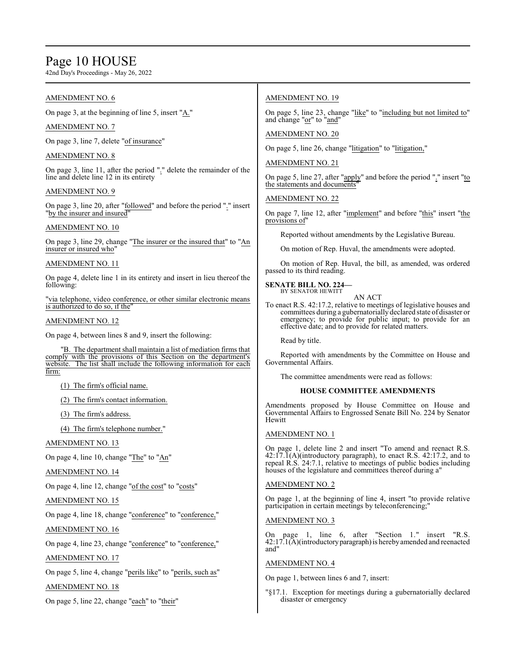### Page 10 HOUSE

42nd Day's Proceedings - May 26, 2022

#### AMENDMENT NO. 6

On page 3, at the beginning of line 5, insert "A."

#### AMENDMENT NO. 7

On page 3, line 7, delete "of insurance"

#### AMENDMENT NO. 8

On page 3, line 11, after the period "." delete the remainder of the line and delete line 12 in its entirety

#### AMENDMENT NO. 9

On page 3, line 20, after "followed" and before the period "." insert "by the insurer and insured"

#### AMENDMENT NO. 10

On page 3, line 29, change "The insurer or the insured that" to "An insurer or insured who"

### AMENDMENT NO. 11

On page 4, delete line 1 in its entirety and insert in lieu thereof the following:

"via telephone, video conference, or other similar electronic means is authorized to do so, if the

#### AMENDMENT NO. 12

On page 4, between lines 8 and 9, insert the following:

"B. The department shall maintain a list of mediation firms that comply with the provisions of this Section on the department's website. The list shall include the following information for each firm:

(1) The firm's official name.

(2) The firm's contact information.

(3) The firm's address.

(4) The firm's telephone number."

#### AMENDMENT NO. 13

On page 4, line 10, change "The" to "An"

#### AMENDMENT NO. 14

On page 4, line 12, change "of the cost" to "costs"

#### AMENDMENT NO. 15

On page 4, line 18, change "conference" to "conference,"

#### AMENDMENT NO. 16

On page 4, line 23, change "conference" to "conference,"

#### AMENDMENT NO. 17

On page 5, line 4, change "perils like" to "perils, such as"

#### AMENDMENT NO. 18

On page 5, line 22, change "each" to "their"

#### AMENDMENT NO. 19

On page 5, line 23, change "like" to "including but not limited to" and change "or" to "and"

#### AMENDMENT NO. 20

On page 5, line 26, change "litigation" to "litigation,"

#### AMENDMENT NO. 21

On page 5, line 27, after "apply" and before the period "." insert "to the statements and documents"

#### AMENDMENT NO. 22

On page 7, line 12, after "implement" and before "this" insert "the provisions of"

Reported without amendments by the Legislative Bureau.

On motion of Rep. Huval, the amendments were adopted.

On motion of Rep. Huval, the bill, as amended, was ordered passed to its third reading.

#### **SENATE BILL NO. 224—**

BY SENATOR HEWITT

To enact R.S. 42:17.2, relative to meetings of legislative houses and committees during a gubernatorially declared state of disaster or emergency; to provide for public input; to provide for an effective date; and to provide for related matters.

AN ACT

Read by title.

Reported with amendments by the Committee on House and Governmental Affairs.

The committee amendments were read as follows:

#### **HOUSE COMMITTEE AMENDMENTS**

Amendments proposed by House Committee on House and Governmental Affairs to Engrossed Senate Bill No. 224 by Senator Hewitt

#### AMENDMENT NO. 1

On page 1, delete line 2 and insert "To amend and reenact R.S.  $42:17.\overline{1}(A)$ (introductory paragraph), to enact R.S. 42:17.2, and to repeal R.S. 24:7.1, relative to meetings of public bodies including houses of the legislature and committees thereof during a"

#### AMENDMENT NO. 2

On page 1, at the beginning of line 4, insert "to provide relative participation in certain meetings by teleconferencing;"

#### AMENDMENT NO. 3

On page 1, line 6, after "Section 1." insert "R.S. 42:17.1(A)(introductoryparagraph)is hereby amended and reenacted and"

#### AMENDMENT NO. 4

On page 1, between lines 6 and 7, insert:

"§17.1. Exception for meetings during a gubernatorially declared disaster or emergency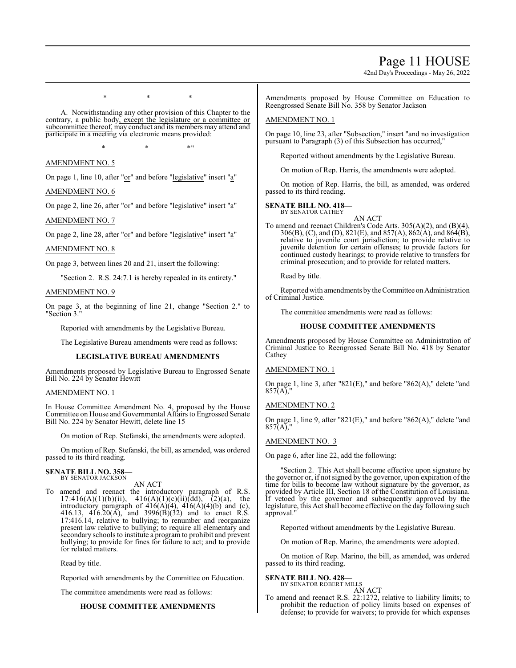### Page 11 HOUSE

42nd Day's Proceedings - May 26, 2022

\* \* \* A. Notwithstanding any other provision of this Chapter to the

contrary, a public body, except the legislature or a committee or subcommittee thereof, may conduct and its members may attend and participate in a meeting via electronic means provided:

 $*$  \*  $*$  \*  $*$  "

AMENDMENT NO. 5

On page 1, line 10, after "or" and before "legislative" insert "a"

AMENDMENT NO. 6

On page 2, line 26, after "or" and before "legislative" insert "a"

AMENDMENT NO. 7

On page 2, line 28, after "or" and before "legislative" insert "a"

AMENDMENT NO. 8

On page 3, between lines 20 and 21, insert the following:

"Section 2. R.S. 24:7.1 is hereby repealed in its entirety."

#### AMENDMENT NO. 9

On page 3, at the beginning of line 21, change "Section 2." to "Section 3."

Reported with amendments by the Legislative Bureau.

The Legislative Bureau amendments were read as follows:

#### **LEGISLATIVE BUREAU AMENDMENTS**

Amendments proposed by Legislative Bureau to Engrossed Senate Bill No. 224 by Senator Hewitt

#### AMENDMENT NO. 1

In House Committee Amendment No. 4, proposed by the House Committee on House and Governmental Affairs to Engrossed Senate Bill No. 224 by Senator Hewitt, delete line 15

On motion of Rep. Stefanski, the amendments were adopted.

On motion of Rep. Stefanski, the bill, as amended, was ordered passed to its third reading.

#### **SENATE BILL NO. 358—** BY SENATOR JACKSON

AN ACT

To amend and reenact the introductory paragraph of R.S.  $17:416(A)(1)(b)(ii)$ ,  $416(A)(1)(c)(ii)(dd)$ ,  $(2)(a)$ , the introductory paragraph of  $416(A)(4)$ ,  $416(A)(4)(b)$  and (c), 416.13, 416.20(A), and 3996(B)(32) and to enact R.S. 17:416.14, relative to bullying; to renumber and reorganize present law relative to bullying; to require all elementary and secondary schools to institute a program to prohibit and prevent bullying; to provide for fines for failure to act; and to provide for related matters.

Read by title.

Reported with amendments by the Committee on Education.

The committee amendments were read as follows:

#### **HOUSE COMMITTEE AMENDMENTS**

Amendments proposed by House Committee on Education to Reengrossed Senate Bill No. 358 by Senator Jackson

#### AMENDMENT NO. 1

On page 10, line 23, after "Subsection," insert "and no investigation pursuant to Paragraph (3) of this Subsection has occurred,"

Reported without amendments by the Legislative Bureau.

On motion of Rep. Harris, the amendments were adopted.

On motion of Rep. Harris, the bill, as amended, was ordered passed to its third reading.

#### **SENATE BILL NO. 418—**

BY SENATOR CATHEY

AN ACT To amend and reenact Children's Code Arts. 305(A)(2), and (B)(4), 306(B), (C), and (D), 821(E), and 857(A), 862(A), and 864(B), relative to juvenile court jurisdiction; to provide relative to juvenile detention for certain offenses; to provide factors for continued custody hearings; to provide relative to transfers for criminal prosecution; and to provide for related matters.

Read by title.

Reported with amendments by the Committee on Administration of Criminal Justice.

The committee amendments were read as follows:

#### **HOUSE COMMITTEE AMENDMENTS**

Amendments proposed by House Committee on Administration of Criminal Justice to Reengrossed Senate Bill No. 418 by Senator Cathey

#### AMENDMENT NO. 1

On page 1, line 3, after "821(E)," and before "862(A)," delete "and 857(A),"

#### AMENDMENT NO. 2

On page 1, line 9, after "821(E)," and before "862(A)," delete "and  $857(A)$ ,

#### AMENDMENT NO. 3

On page 6, after line 22, add the following:

"Section 2. This Act shall become effective upon signature by the governor or, if not signed by the governor, upon expiration of the time for bills to become law without signature by the governor, as provided by Article III, Section 18 of the Constitution of Louisiana. If vetoed by the governor and subsequently approved by the legislature, this Act shall become effective on the day following such approval."

Reported without amendments by the Legislative Bureau.

On motion of Rep. Marino, the amendments were adopted.

On motion of Rep. Marino, the bill, as amended, was ordered passed to its third reading.

#### **SENATE BILL NO. 428—**

| BY SENATOR ROBERT MILLS |  |        |
|-------------------------|--|--------|
|                         |  | AN ACT |

To amend and reenact R.S. 22:1272, relative to liability limits; to prohibit the reduction of policy limits based on expenses of defense; to provide for waivers; to provide for which expenses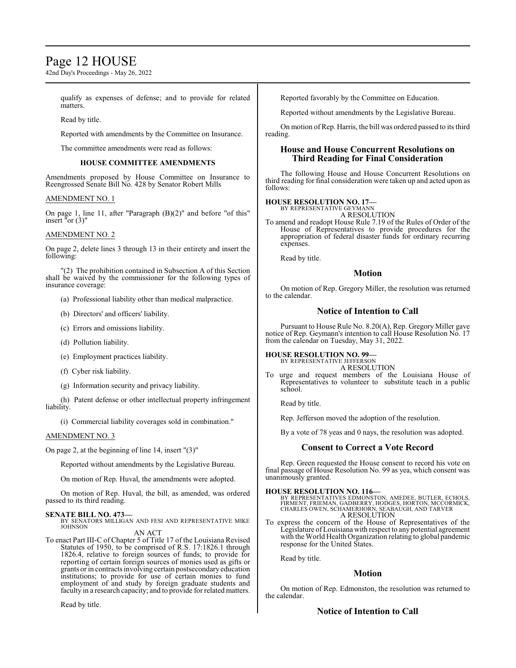### Page 12 HOUSE

42nd Day's Proceedings - May 26, 2022

qualify as expenses of defense; and to provide for related matters.

Read by title.

Reported with amendments by the Committee on Insurance.

The committee amendments were read as follows:

#### **HOUSE COMMITTEE AMENDMENTS**

Amendments proposed by House Committee on Insurance to Reengrossed Senate Bill No. 428 by Senator Robert Mills

#### AMENDMENT NO. 1

On page 1, line 11, after "Paragraph (B)(2)" and before "of this" insert "or  $(3)$ "

#### AMENDMENT NO. 2

On page 2, delete lines 3 through 13 in their entirety and insert the following:

"(2) The prohibition contained in Subsection A of this Section shall be waived by the commissioner for the following types of insurance coverage:

- (a) Professional liability other than medical malpractice.
- (b) Directors' and officers' liability.
- (c) Errors and omissions liability.
- (d) Pollution liability.
- (e) Employment practices liability.
- (f) Cyber risk liability.
- (g) Information security and privacy liability.

(h) Patent defense or other intellectual property infringement liability.

(i) Commercial liability coverages sold in combination."

#### AMENDMENT NO. 3

On page 2, at the beginning of line 14, insert "(3)"

Reported without amendments by the Legislative Bureau.

On motion of Rep. Huval, the amendments were adopted.

On motion of Rep. Huval, the bill, as amended, was ordered passed to its third reading.

#### **SENATE BILL NO. 473—**

BY SENATORS MILLIGAN AND FESI AND REPRESENTATIVE MIKE JOHNSON AN ACT

To enact Part III-C of Chapter 5 of Title 17 of the Louisiana Revised Statutes of 1950, to be comprised of R.S. 17:1826.1 through 1826.4, relative to foreign sources of funds; to provide for reporting of certain foreign sources of monies used as gifts or grants or in contracts involving certain postsecondary education institutions; to provide for use of certain monies to fund employment of and study by foreign graduate students and faculty in a research capacity; and to provide for related matters.

Read by title.

Reported favorably by the Committee on Education.

Reported without amendments by the Legislative Bureau.

On motion ofRep. Harris, the bill was ordered passed to its third reading.

#### **House and House Concurrent Resolutions on Third Reading for Final Consideration**

The following House and House Concurrent Resolutions on third reading for final consideration were taken up and acted upon as follows:

#### **HOUSE RESOLUTION NO. 17—**

BY REPRESENTATIVE GEYMANN A RESOLUTION

To amend and readopt House Rule 7.19 of the Rules of Order of the House of Representatives to provide procedures for the appropriation of federal disaster funds for ordinary recurring expenses.

Read by title.

#### **Motion**

On motion of Rep. Gregory Miller, the resolution was returned to the calendar.

#### **Notice of Intention to Call**

Pursuant to House Rule No. 8.20(A), Rep. Gregory Miller gave notice of Rep. Geymann's intention to call House Resolution No. 17 from the calendar on Tuesday, May 31, 2022.

#### **HOUSE RESOLUTION NO. 99—** BY REPRESENTATIVE JEFFERSON

A RESOLUTION

To urge and request members of the Louisiana House of Representatives to volunteer to substitute teach in a public school.

Read by title.

Rep. Jefferson moved the adoption of the resolution.

By a vote of 78 yeas and 0 nays, the resolution was adopted.

#### **Consent to Correct a Vote Record**

Rep. Green requested the House consent to record his vote on final passage of House Resolution No. 99 as yea, which consent was unanimously granted.

**HOUSE RESOLUTION NO. 116—**<br>BY REPRESENTATIVES EDMONSTON, AMEDEE, BUTLER, ECHOLS,<br>FIRMENT, FRIEMAN, GADBERRY, HODGES, HORTON, MCCORMICK,<br>CHARLES OWEN, SCHAMERHORN, SEABAUGH, AND TARVER<br>A RESOLUTION

To express the concern of the House of Representatives of the Legislature ofLouisiana with respect to any potential agreement with the World Health Organization relating to global pandemic response for the United States.

Read by title.

#### **Motion**

On motion of Rep. Edmonston, the resolution was returned to the calendar.

#### **Notice of Intention to Call**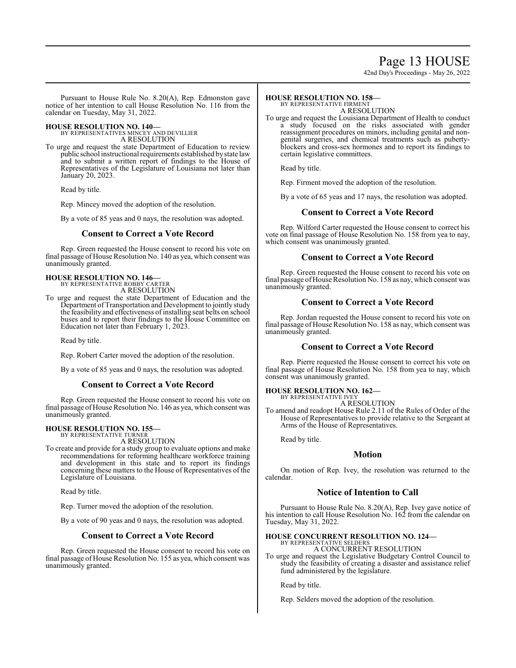### Page 13 HOUSE

42nd Day's Proceedings - May 26, 2022

Pursuant to House Rule No. 8.20(A), Rep. Edmonston gave notice of her intention to call House Resolution No. 116 from the calendar on Tuesday, May 31, 2022.

#### **HOUSE RESOLUTION NO. 140—**

BY REPRESENTATIVES MINCEY AND DEVILLIER A RESOLUTION

To urge and request the state Department of Education to review public school instructional requirements established by state law and to submit a written report of findings to the House of Representatives of the Legislature of Louisiana not later than January 20, 2023.

Read by title.

Rep. Mincey moved the adoption of the resolution.

By a vote of 85 yeas and 0 nays, the resolution was adopted.

#### **Consent to Correct a Vote Record**

Rep. Green requested the House consent to record his vote on final passage of House Resolution No. 140 as yea, which consent was unanimously granted.

## **HOUSE RESOLUTION NO. 146—** BY REPRESENTATIVE ROBBY CARTER

A RESOLUTION

To urge and request the state Department of Education and the Department of Transportation and Development to jointly study the feasibility and effectiveness of installing seat belts on school buses and to report their findings to the House Committee on Education not later than February 1, 2023.

Read by title.

Rep. Robert Carter moved the adoption of the resolution.

By a vote of 85 yeas and 0 nays, the resolution was adopted.

#### **Consent to Correct a Vote Record**

Rep. Green requested the House consent to record his vote on final passage of House Resolution No. 146 as yea, which consent was unanimously granted.

#### **HOUSE RESOLUTION NO. 155—** BY REPRESENTATIVE TURNER

A RESOLUTION

To create and provide for a study group to evaluate options and make recommendations for reforming healthcare workforce training and development in this state and to report its findings concerning these matters to the House of Representatives of the Legislature of Louisiana.

Read by title.

Rep. Turner moved the adoption of the resolution.

By a vote of 90 yeas and 0 nays, the resolution was adopted.

#### **Consent to Correct a Vote Record**

Rep. Green requested the House consent to record his vote on final passage of House Resolution No. 155 as yea, which consent was unanimously granted.

#### **HOUSE RESOLUTION NO. 158—** BY REPRESENTATIVE FIRMENT

A RESOLUTION

To urge and request the Louisiana Department of Health to conduct a study focused on the risks associated with gender reassignment procedures on minors, including genital and nongenital surgeries, and chemical treatments such as pubertyblockers and cross-sex hormones and to report its findings to certain legislative committees.

Read by title.

Rep. Firment moved the adoption of the resolution.

By a vote of 65 yeas and 17 nays, the resolution was adopted.

#### **Consent to Correct a Vote Record**

Rep. Wilford Carter requested the House consent to correct his vote on final passage of House Resolution No. 158 from yea to nay, which consent was unanimously granted.

#### **Consent to Correct a Vote Record**

Rep. Green requested the House consent to record his vote on final passage ofHouse Resolution No. 158 as nay, which consent was unanimously granted.

#### **Consent to Correct a Vote Record**

Rep. Jordan requested the House consent to record his vote on final passage of House Resolution No. 158 as nay, which consent was unanimously granted.

#### **Consent to Correct a Vote Record**

Rep. Pierre requested the House consent to correct his vote on final passage of House Resolution No. 158 from yea to nay, which consent was unanimously granted.

### **HOUSE RESOLUTION NO. 162—**

BY REPRESENTATIVE IVEY

A RESOLUTION To amend and readopt House Rule 2.11 of the Rules of Order of the House of Representatives to provide relative to the Sergeant at Arms of the House of Representatives.

Read by title.

#### **Motion**

On motion of Rep. Ivey, the resolution was returned to the calendar.

#### **Notice of Intention to Call**

Pursuant to House Rule No. 8.20(A), Rep. Ivey gave notice of his intention to call House Resolution No. 162 from the calendar on Tuesday, May 31, 2022.

#### **HOUSE CONCURRENT RESOLUTION NO. 124—**

BY REPRESENTATIVE SELDERS A CONCURRENT RESOLUTION

To urge and request the Legislative Budgetary Control Council to study the feasibility of creating a disaster and assistance relief fund administered by the legislature.

Read by title.

Rep. Selders moved the adoption of the resolution.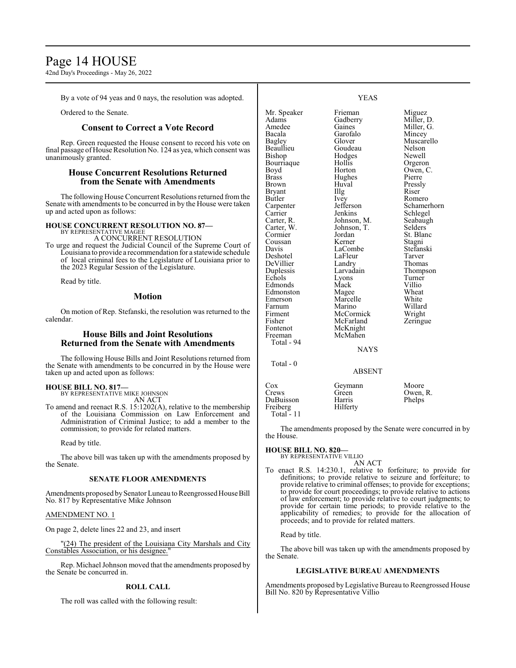### Page 14 HOUSE

42nd Day's Proceedings - May 26, 2022

By a vote of 94 yeas and 0 nays, the resolution was adopted.

Ordered to the Senate.

#### **Consent to Correct a Vote Record**

Rep. Green requested the House consent to record his vote on final passage of House Resolution No. 124 as yea, which consent was unanimously granted.

#### **House Concurrent Resolutions Returned from the Senate with Amendments**

The following House Concurrent Resolutions returned fromthe Senate with amendments to be concurred in by the House were taken up and acted upon as follows:

### **HOUSE CONCURRENT RESOLUTION NO. 87—** BY REPRESENTATIVE MAGEE

A CONCURRENT RESOLUTION

To urge and request the Judicial Council of the Supreme Court of Louisiana to provide a recommendation for a statewide schedule of local criminal fees to the Legislature of Louisiana prior to the 2023 Regular Session of the Legislature.

Read by title.

#### **Motion**

On motion of Rep. Stefanski, the resolution was returned to the calendar.

#### **House Bills and Joint Resolutions Returned from the Senate with Amendments**

The following House Bills and Joint Resolutions returned from the Senate with amendments to be concurred in by the House were taken up and acted upon as follows:

#### **HOUSE BILL NO. 817—** BY REPRESENTATIVE MIKE JOHNSON

AN ACT

To amend and reenact R.S. 15:1202(A), relative to the membership of the Louisiana Commission on Law Enforcement and Administration of Criminal Justice; to add a member to the commission; to provide for related matters.

Read by title.

The above bill was taken up with the amendments proposed by the Senate.

#### **SENATE FLOOR AMENDMENTS**

Amendments proposed by Senator Luneau to Reengrossed House Bill No. 817 by Representative Mike Johnson

#### AMENDMENT NO. 1

On page 2, delete lines 22 and 23, and insert

"(24) The president of the Louisiana City Marshals and City Constables Association, or his designee.

Rep. Michael Johnson moved that the amendments proposed by the Senate be concurred in.

#### **ROLL CALL**

The roll was called with the following result:

#### YEAS

Mr. Speaker Frieman Miguez<br>Adams Gadberry Miller, 1 Adams Gadberry Miller, D.<br>Amedee Gaines Miller, G. Amedee Gaines Miller, G.<br>Bacala Garofalo Mincey Bagley Glover Muscarello<br>Beaullieu Goudeau Nelson Beaullieu Goudeau Nelson<br>Bishop Hodges Newell Bourriaque Hollis<br>Boyd Horton Boyd Horton Owen, C.<br>Brass Hughes Pierre Brass Hughes<br>Brown Huval Bryant Illg<br>Butler Ivev Carpenter Jefferson Schamerhorn<br>Carrier Jenkins Schlegel Carrier Jenkins Schlegel<br>Carter, R. Johnson, M. Seabaugh Carter, R. Johnson, M. Seabaughter, W. Johnson, T. Selders Carter, W. Johnson, T.<br>Cormier Jordan Coussan Kerner Stagni<br>
Davis LaCombe Stefanski Deshotel LaFleur Tarver DeVillier Landry<br>
Duplessis Larvadain Duplessis Larvadain Thompson<br>
Echols Lyons Turner Edmonds Mack Villio<br>
Edmonston Mage Wheat Edmonston Magee Wheat<br>
Emerson Marcelle White Emerson Marcelle<br>
Earnum Marino Farnum Marino Willard<br>Firment McCormick Wright Firment McCormick Wright<br>
Fisher McFarland Zeringue Fisher McFarland<br>Fontenot McKnight Fontenot McKnight<br>Freeman McMahen McMahen Total - 94 Total - 0

Mincey Hodges Newell<br>Hollis Orgeron Huval Pressly<br>Illg Riser Ivey Romero<br>Jefferson Schame Jordan St. Blanc<br>Kerner Stagni LaCombe<br>LaFleur Tarver Extension Lyons Turner<br>
Mack Villio

NAYS

#### ABSENT

| Cox         | Geymann  | Moore    |
|-------------|----------|----------|
| Crews       | Green    | Owen, R. |
| DuBuisson   | Harris   | Phelps   |
| Freiberg    | Hilferty |          |
| Total $-11$ |          |          |

The amendments proposed by the Senate were concurred in by the House.

#### **HOUSE BILL NO. 820—** BY REPRESENTATIVE VILLIO

AN ACT To enact R.S. 14:230.1, relative to forfeiture; to provide for definitions; to provide relative to seizure and forfeiture; to provide relative to criminal offenses; to provide for exceptions; to provide for court proceedings; to provide relative to actions of law enforcement; to provide relative to court judgments; to provide for certain time periods; to provide relative to the applicability of remedies; to provide for the allocation of proceeds; and to provide for related matters.

Read by title.

The above bill was taken up with the amendments proposed by the Senate.

#### **LEGISLATIVE BUREAU AMENDMENTS**

Amendments proposed by Legislative Bureau to Reengrossed House Bill No. 820 by Representative Villio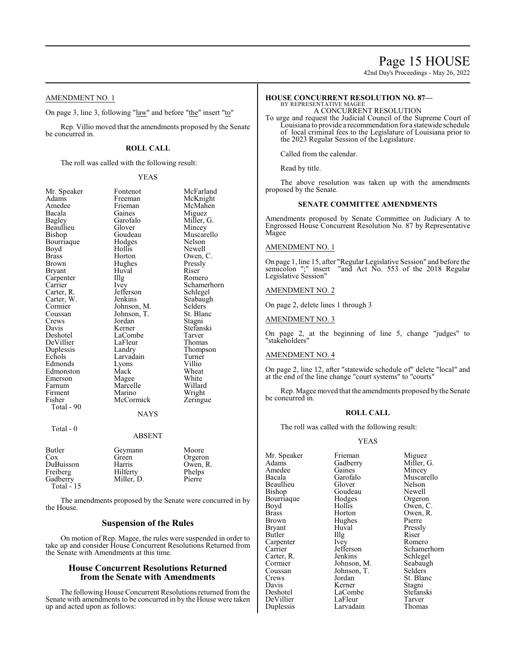### Page 15 HOUSE

42nd Day's Proceedings - May 26, 2022

AMENDMENT NO. 1

On page 3, line 3, following "law" and before "the" insert "to"

Rep. Villio moved that the amendments proposed by the Senate be concurred in.

#### **ROLL CALL**

The roll was called with the following result:

#### YEAS

| Mr. Speaker | Fontenot      | McFarland   |
|-------------|---------------|-------------|
| Adams       | Freeman       | McKnight    |
| Amedee      | Frieman       | McMahen     |
| Bacala      | Gaines        | Miguez      |
| Bagley      | Garofalo      | Miller, G.  |
| Beaullieu   | Glover        | Mincey      |
| Bishop      | Goudeau       | Muscarello  |
| Bourriaque  | Hodges        | Nelson      |
| Boyd        | Hollis        | Newell      |
| Brass       | Horton        | Owen, C.    |
| Brown       | Hughes        | Pressly     |
| Bryant      | Huval         | Riser       |
| Carpenter   | Illg          | Romero      |
| Carrier     | Ivey          | Schamerhorn |
| Carter, R.  | Jefferson     | Schlegel    |
| Carter, W.  | Jenkins       | Seabaugh    |
| Cormier     | Johnson, M.   | Selders     |
| Coussan     | Johnson, T.   | St. Blanc   |
| Crews       | Jordan        | Stagni      |
| Davis       | Kerner        | Stefanski   |
| Deshotel    | LaCombe       | Tarver      |
| DeVillier   | LaFleur       | Thomas      |
| Duplessis   | Landry        | Thompson    |
| Echols      | Larvadain     | Turner      |
| Edmonds     | Lyons         | Villio      |
| Edmonston   | Mack          | Wheat       |
| Emerson     | Magee         | White       |
| Farnum      | Marcelle      | Willard     |
| Firment     | Marino        | Wright      |
| Fisher      | McCormick     | Zeringue    |
| Total - 90  |               |             |
|             | <b>NAYS</b>   |             |
| Total - 0   |               |             |
|             | <b>ABSENT</b> |             |
| Butler      | Geymann       | Moore       |
| Cox         | Green         | Orgeron     |
| DuBuisson   | Harris        | Owen, R.    |
| Freiberg    | Hilferty      | Phelps      |
| Gadberry    | Miller, D.    | Pierre      |
| Total - 15  |               |             |
|             |               |             |

The amendments proposed by the Senate were concurred in by the House.

#### **Suspension of the Rules**

On motion of Rep. Magee, the rules were suspended in order to take up and consider House Concurrent Resolutions Returned from the Senate with Amendments at this time.

#### **House Concurrent Resolutions Returned from the Senate with Amendments**

The following House Concurrent Resolutions returned fromthe Senate with amendments to be concurred in by the House were taken up and acted upon as follows:

#### **HOUSE CONCURRENT RESOLUTION NO. 87—** BY REPRESENTATIVE MAGEE

A CONCURRENT RESOLUTION

To urge and request the Judicial Council of the Supreme Court of Louisiana to provide a recommendation for a statewide schedule of local criminal fees to the Legislature of Louisiana prior to the 2023 Regular Session of the Legislature.

Called from the calendar.

Read by title.

The above resolution was taken up with the amendments proposed by the Senate.

#### **SENATE COMMITTEE AMENDMENTS**

Amendments proposed by Senate Committee on Judiciary A to Engrossed House Concurrent Resolution No. 87 by Representative Magee

#### AMENDMENT NO. 1

On page 1, line 15, after "Regular Legislative Session" and before the semicolon ";" insert "and Act No. 553 of the 2018 Regular Legislative Session"

#### AMENDMENT NO. 2

On page 2, delete lines 1 through 3

AMENDMENT NO. 3

On page 2, at the beginning of line 5, change "judges" to "stakeholders"

#### AMENDMENT NO. 4

On page 2, line 12, after "statewide schedule of" delete "local" and at the end of the line change "court systems" to "courts"

Rep. Magee moved that the amendments proposed bythe Senate be concurred in.

#### **ROLL CALL**

The roll was called with the following result:

#### YEAS

Mr. Speaker Frieman Miguez<br>Adams Gadberry Miller, Amedee Gaines<br>Bacala Garofalo Bourriaque Hodge<br>Boyd Hollis Brown Hughes<br>Bryant Huval Coussan Johnson, T.<br>Crews Jordan

Duplessis

Garofalo Muscarello<br>Glover Nelson Beaullieu Glover Nelson<br>Bishop Goudeau Newell Goudeau Newell<br>Hodges Orgeron Boyd Hollis Owen, C.<br>Brass Horton Owen, R. Brass Horton Owen, R.<br>Brown Hughes Pierre Bryant Huval Pressly<br>Butler Hlg Riser Butler Illg Riser Carpenter Ivey Romero<br>Carrier Jefferson Schamer Carter, R. Jenkins Schlegel<br>Cormier Johnson, M. Seabaugh Cormier Johnson, M. Seabaug<br>Coussan Johnson, T. Selders Crews Jordan St. Blanc<br>
Davis Kerner Stagni Davis Kerner Stagni<br>
Deshotel LaCombe Stefanski LaCombe<br>LaFleur Stefans<br>Tarver DeVillier LaFleur Tarver<br>
Duplessis Larvadain Thomas

Gadberry Miller, G.<br>Gaines Mincev Jefferson Schamerhorn<br>Jenkins Schlegel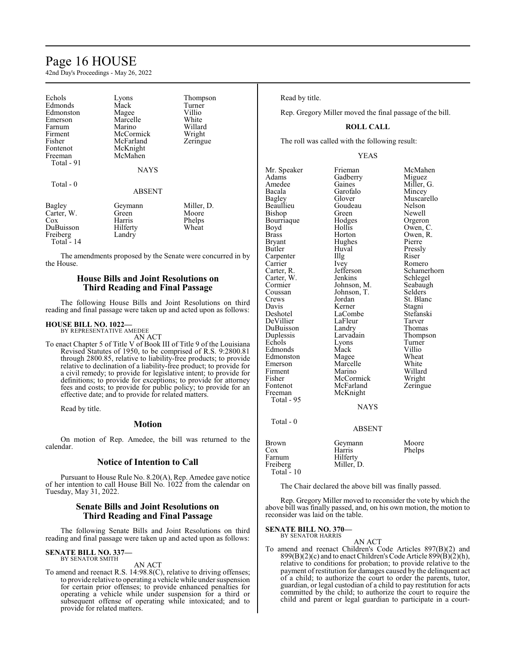### Page 16 HOUSE

42nd Day's Proceedings - May 26, 2022

| Echols<br>Edmonds<br>Edmonston<br>Emerson<br>Farnum<br>Firment<br>Fisher | Lyons<br>Mack<br>Magee<br>Marcelle<br>Marino<br>McCormick<br>McFarland | Thompson<br>Turner<br>Villio<br>White<br>Willard<br>Wright<br>Zeringue |
|--------------------------------------------------------------------------|------------------------------------------------------------------------|------------------------------------------------------------------------|
| Fontenot                                                                 | McKnight                                                               |                                                                        |
| Freeman<br>Total - 91                                                    | McMahen                                                                |                                                                        |
|                                                                          | <b>NAYS</b>                                                            |                                                                        |
| Total $-0$                                                               |                                                                        |                                                                        |
|                                                                          | <b>ABSENT</b>                                                          |                                                                        |
| Bagley                                                                   | Geymann                                                                | Miller, D.                                                             |
| Carter, W.                                                               | Green                                                                  | Moore                                                                  |
| Cox                                                                      | Harris                                                                 | Phelps                                                                 |
| DuBuisson                                                                | Hilferty                                                               | Wheat                                                                  |
| Freiberg                                                                 | Landry                                                                 |                                                                        |

Total - 14

The amendments proposed by the Senate were concurred in by the House.

#### **House Bills and Joint Resolutions on Third Reading and Final Passage**

The following House Bills and Joint Resolutions on third reading and final passage were taken up and acted upon as follows:

#### **HOUSE BILL NO. 1022—** BY REPRESENTATIVE AMEDEE

AN ACT

To enact Chapter 5 of Title V of Book III of Title 9 of the Louisiana Revised Statutes of 1950, to be comprised of R.S. 9:2800.81 through 2800.85, relative to liability-free products; to provide relative to declination of a liability-free product; to provide for a civil remedy; to provide for legislative intent; to provide for definitions; to provide for exceptions; to provide for attorney fees and costs; to provide for public policy; to provide for an effective date; and to provide for related matters.

Read by title.

#### **Motion**

On motion of Rep. Amedee, the bill was returned to the calendar.

#### **Notice of Intention to Call**

Pursuant to House Rule No. 8.20(A), Rep. Amedee gave notice of her intention to call House Bill No. 1022 from the calendar on Tuesday, May 31, 2022.

#### **Senate Bills and Joint Resolutions on Third Reading and Final Passage**

The following Senate Bills and Joint Resolutions on third reading and final passage were taken up and acted upon as follows:

#### **SENATE BILL NO. 337—** BY SENATOR SMITH

AN ACT

To amend and reenact R.S. 14:98.8(C), relative to driving offenses; to provide relative to operating a vehicle while under suspension for certain prior offenses; to provide enhanced penalties for operating a vehicle while under suspension for a third or subsequent offense of operating while intoxicated; and to provide for related matters.

Read by title.

Rep. Gregory Miller moved the final passage of the bill.

#### **ROLL CALL**

The roll was called with the following result:

#### YEAS

Mr. Speaker Frieman McMahen<br>Adams Gadberry Miguez Adams Gadberry<br>Amedee Gaines Amedee Gaines Miller, G.<br>Bacala Garofalo Mincey Bacala Garofalo<br>Bagley Glover Beaullieu Goudeau Nelson<br>Bishop Green Newell Bishop Green Newell<br>Bourriaque Hodges Orgeron Bourriaque Hodge<br>Boyd Hollis Boyd Hollis Owen, C.<br>Brass Horton Owen, R. Brass Horton Owen, R.<br>Bryant Hughes Pierre Bryant Hughes<br>Butler Huval Carpenter Carrier Ivey Romero<br>Carter, R. Jefferson Schame Carter, W. Jenkins Schlegel<br>
Cormier Johnson, M. Seabaugh Cormier Johnson, M. Seabaughten<br>Coussan Johnson, T. Selders Coussan Johnson, T.<br>Crews Jordan Crews Jordan St. Blanc<br>
Davis Kerner Stagni Davis Kerner Stagni<br>
Deshotel LaCombe Stefanski DeVillier LaFleur Tarver DuBuisson Landry<br>
Duplessis Larvadain Duplessis Larvadain Thompson Edmonds Mack Villio<br>
Edmonston Magee Wheat Edmonston Magee Wheat<br>
Emerson Marcelle White Emerson Marcelle White<br>
Firment Marino Willard Firment Marino Willard<br>Fisher McCormick Wright Fisher McCormick Wright<br>
Fontenot McFarland Zeringue Fontenot McFarland<br>Freeman McKnight McKnight Total - 95 Total - 0

Muscarello Huval Pressly<br>Illg Riser Jefferson Schamerhorn<br>
Jenkins Schlegel LaCombe<br>LaFleur Tarver Lyons Turner<br>Mack Villio

### NAYS

#### ABSENT

| Brown       | Geymann    | Moore  |
|-------------|------------|--------|
| Cox         | Harris     | Phelps |
| Farnum      | Hilferty   |        |
| Freiberg    | Miller, D. |        |
| Total $-10$ |            |        |

The Chair declared the above bill was finally passed.

Rep. Gregory Miller moved to reconsider the vote by which the above bill was finally passed, and, on his own motion, the motion to reconsider was laid on the table.

**SENATE BILL NO. 370—** BY SENATOR HARRIS

AN ACT

To amend and reenact Children's Code Articles 897(B)(2) and  $899(B)(2)(c)$  and to enact Children's Code Article  $899(B)(2)(h)$ , relative to conditions for probation; to provide relative to the payment of restitution for damages caused by the delinquent act of a child; to authorize the court to order the parents, tutor, guardian, or legal custodian of a child to pay restitution for acts committed by the child; to authorize the court to require the child and parent or legal guardian to participate in a court-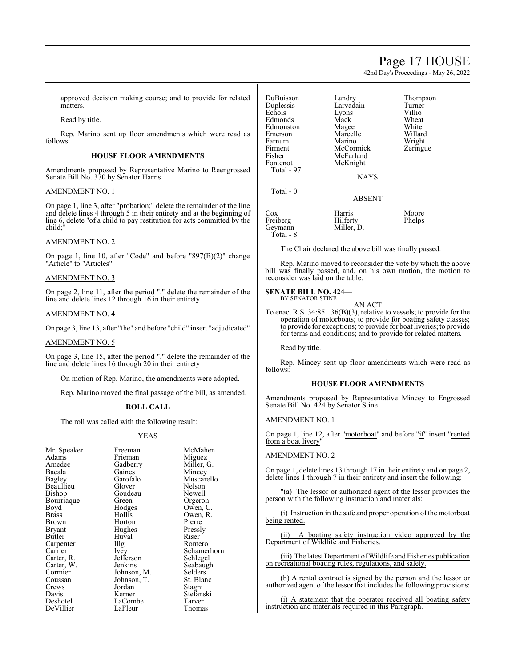### Page 17 HOUSE

42nd Day's Proceedings - May 26, 2022

Thompson<br>Turner

Willard Wright Zeringue

approved decision making course; and to provide for related matters.

Read by title.

Rep. Marino sent up floor amendments which were read as follows:

#### **HOUSE FLOOR AMENDMENTS**

Amendments proposed by Representative Marino to Reengrossed Senate Bill No. 370 by Senator Harris

#### AMENDMENT NO. 1

On page 1, line 3, after "probation;" delete the remainder of the line and delete lines 4 through 5 in their entirety and at the beginning of line 6, delete "of a child to pay restitution for acts committed by the child;"

#### AMENDMENT NO. 2

On page 1, line 10, after "Code" and before "897(B)(2)" change "Article" to "Articles"

#### AMENDMENT NO. 3

On page 2, line 11, after the period "." delete the remainder of the line and delete lines 12 through 16 in their entirety

#### AMENDMENT NO. 4

On page 3, line 13, after "the" and before "child" insert "adjudicated"

#### AMENDMENT NO. 5

On page 3, line 15, after the period "." delete the remainder of the line and delete lines 16 through 20 in their entirety

On motion of Rep. Marino, the amendments were adopted.

Rep. Marino moved the final passage of the bill, as amended.

#### **ROLL CALL**

The roll was called with the following result:

#### YEAS

| Mr. Speaker | Freeman     | McMal   |
|-------------|-------------|---------|
| Adams       | Frieman     | Miguez  |
| Amedee      | Gadberry    | Miller, |
| Bacala      | Gaines      | Mincey  |
| Bagley      | Garofalo    | Musca   |
| Beaullieu   | Glover      | Nelson  |
| Bishop      | Goudeau     | Newell  |
| Bourriaque  | Green       | Orgero  |
| Boyd        | Hodges      | Owen,   |
| Brass       | Hollis      | Owen,   |
| Brown       | Horton      | Pierre  |
| Bryant      | Hughes      | Pressly |
| Butler      | Huval       | Riser   |
| Carpenter   | Illg        | Romer   |
| Carrier     | Ivey        | Scham   |
| Carter, R.  | Jefferson   | Schleg  |
| Carter, W.  | Jenkins     | Seabau  |
| Cormier     | Johnson, M. | Selders |
| Coussan     | Johnson, T. | St. Bla |
| Crews       | Jordan      | Stagni  |
| Davis       | Kerner      | Stefans |
| Deshotel    | LaCombe     | Tarver  |
| DeVillier   | LaFleur     | Thoma   |
|             |             |         |

an McMahen n Miguez rry Miller, G. Bacala Gaines Mincey<br>References Muscare Muscarello<br>Nelson au Newell Orgeron s Owen, C. Owen, R.<br>Pierre s Pressly<br>Riser Romero Schamerhorn on Schlegel s Seabaugh<br>
m, M. Selders on, M. Selders<br>
on, T. St. Blan St. Blanc Stagni r Stefanski<br>nbe Tarver Tarver DeVillier LaFleur Thomas

| DuBuisson<br>Duplessis<br>Echols<br>Edmonds<br>Edmonston<br>Emerson<br>Farnum<br>Firment<br>Fisher<br>Fontenot<br>Total - 97<br>Total $-0$ | Landry<br>Larvadain<br>Lyons<br>Mack<br>Magee<br>Marcelle<br>Marino<br>McCormick<br>McFarland<br>McKnight<br><b>NAYS</b><br><b>ABSENT</b> | Thomp<br>Turner<br>Villio<br>Wheat<br>White<br>Willar<br>Wright<br>Zering |
|--------------------------------------------------------------------------------------------------------------------------------------------|-------------------------------------------------------------------------------------------------------------------------------------------|---------------------------------------------------------------------------|
| $\cos$<br>Freiberg<br>Geymann                                                                                                              | Harris<br>Hilferty<br>Miller, D.                                                                                                          | Moore<br>Phelps                                                           |

Total - 8

The Chair declared the above bill was finally passed.

Rep. Marino moved to reconsider the vote by which the above bill was finally passed, and, on his own motion, the motion to reconsider was laid on the table.

#### **SENATE BILL NO. 424—** BY SENATOR STINE

AN ACT

To enact R.S. 34:851.36(B)(3), relative to vessels; to provide for the operation of motorboats; to provide for boating safety classes; to provide for exceptions; to provide for boat liveries; to provide for terms and conditions; and to provide for related matters.

Read by title.

Rep. Mincey sent up floor amendments which were read as follows:

#### **HOUSE FLOOR AMENDMENTS**

Amendments proposed by Representative Mincey to Engrossed Senate Bill No. 424 by Senator Stine

#### AMENDMENT NO. 1

On page 1, line 12, after "motorboat" and before "if" insert "rented from a boat livery"

#### AMENDMENT NO. 2

On page 1, delete lines 13 through 17 in their entirety and on page 2, delete lines 1 through 7 in their entirety and insert the following:

"(a) The lessor or authorized agent of the lessor provides the person with the following instruction and materials:

(i) Instruction in the safe and proper operation ofthe motorboat being rented.

(ii) A boating safety instruction video approved by the Department of Wildlife and Fisheries.

(iii) The latest Department of Wildlife and Fisheries publication on recreational boating rules, regulations, and safety.

(b) A rental contract is signed by the person and the lessor or authorized agent of the lessor that includes the following provisions:

(i) A statement that the operator received all boating safety instruction and materials required in this Paragraph.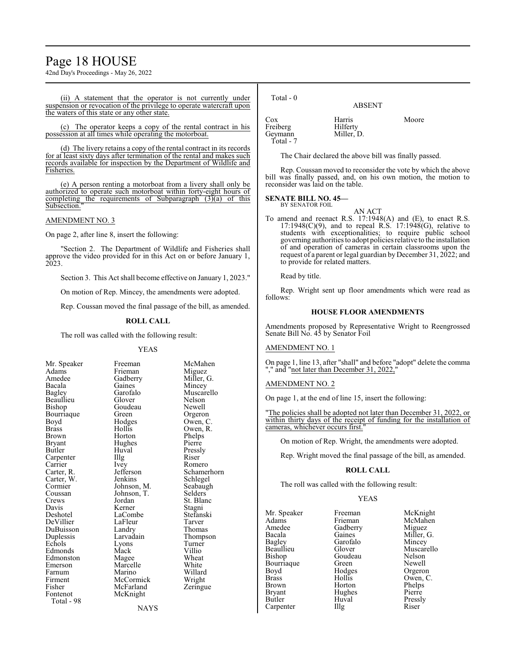### Page 18 HOUSE

42nd Day's Proceedings - May 26, 2022

(ii) A statement that the operator is not currently under suspension or revocation of the privilege to operate watercraft upon the waters of this state or any other state.

(c) The operator keeps a copy of the rental contract in his possession at all times while operating the motorboat.

(d) The livery retains a copy of the rental contract in its records for at least sixty days after termination of the rental and makes such records available for inspection by the Department of Wildlife and Fisheries.

(e) A person renting a motorboat from a livery shall only be authorized to operate such motorboat within forty-eight hours of completing the requirements of Subparagraph  $(3)(a)$  of this Subsection.

#### AMENDMENT NO. 3

On page 2, after line 8, insert the following:

"Section 2. The Department of Wildlife and Fisheries shall approve the video provided for in this Act on or before January 1, 2023.

Section 3. This Act shall become effective on January 1, 2023."

On motion of Rep. Mincey, the amendments were adopted.

Rep. Coussan moved the final passage of the bill, as amended.

#### **ROLL CALL**

The roll was called with the following result:

Adams Frieman<br>Amedee Gadberry Bacala Gaines<br>Bagley Garofalo Bourriaque Green<br>Boyd Hodges Bryant Hughes<br>Butler Huval Carpenter<br>Carrier Carter, W. Jenkins<br>Cormier Iohnson M Coussan Johnson, T.<br>Crews Jordan DuBuisson Landry<br>
Duplessis Larvadain Fisher McFarland<br>Fontenot McKnight Total - 98

YEAS Mr. Speaker Freeman McMahen<br>Adams Frieman Miguez Amedee Gadberry Miller, G.<br>Bacala Gaines Mincey Garofalo Muscarello<br>Glover Nelson Beaullieu Glover Nelson<br>Bishop Goudeau Newell Goudeau Newell<br>Green Orgeron Boyd Hodges Owen, C.<br>Brass Hollis Owen, R Brass Hollis Owen, R. Brown Horton Phelps<br>Bryant Hughes Pierre Huval Pressly<br>Illg Riser Carrier Ivey Romero<br>Carter, R. Jefferson Schamer Jefferson Schamerhorn<br>Jenkins Schlegel Cormier Johnson, M. Seabaugh<br>Coussan Johnson, T. Selders Crews Jordan St. Blanc<br>
Davis Kerner Stagni Davis Kerner Stagni<br>
Deshotel IaCombe Stefanski LaCombe Stefans<br>LaFleur Tarver DeVillier LaFleur Tarver<br>
DuBuisson Landry Thomas Duplessis Larvadain Thompson<br>
Echols Lyons Turner Lyons Turner<br>
Mack Villio Edmonds Mack Villio<br>
Edmonston Magee Wheat Edmonston Magee Wheat<br>
Emerson Marcelle White Marcelle White<br>
Marino Willard Farnum Marino Willard<br>Firment McCormick Wright Firment McCormick Wright<br>
Fisher McFarland Zeringue McKnight

**NAYS** 

| Total - 0 | <b>ABSENT</b> |       |
|-----------|---------------|-------|
| Cox       | Harris        | Moore |
| Freiberg  | Hilferty      |       |
| Geymann   | Miller, D.    |       |

The Chair declared the above bill was finally passed.

Rep. Coussan moved to reconsider the vote by which the above bill was finally passed, and, on his own motion, the motion to reconsider was laid on the table.

**SENATE BILL NO. 45—** BY SENATOR FOIL

Geymann Total - 7

AN ACT

To amend and reenact R.S. 17:1948(A) and (E), to enact R.S.  $17:1948(C)(9)$ , and to repeal R.S.  $17:1948(G)$ , relative to students with exceptionalities; to require public school governing authorities to adopt policies relative to the installation of and operation of cameras in certain classrooms upon the request of a parent or legal guardian by December 31, 2022; and to provide for related matters.

Read by title.

Rep. Wright sent up floor amendments which were read as follows:

#### **HOUSE FLOOR AMENDMENTS**

Amendments proposed by Representative Wright to Reengrossed Senate Bill No. 45 by Senator Foil

#### AMENDMENT NO. 1

On page 1, line 13, after "shall" and before "adopt" delete the comma "," and "not later than December 31, 2022,"

#### AMENDMENT NO. 2

On page 1, at the end of line 15, insert the following:

"The policies shall be adopted not later than December 31, 2022, or within thirty days of the receipt of funding for the installation of cameras, whichever occurs first.

On motion of Rep. Wright, the amendments were adopted.

Rep. Wright moved the final passage of the bill, as amended.

#### **ROLL CALL**

The roll was called with the following result:

#### YEAS

Mr. Speaker Freeman McKnight<br>Adams Frieman McMahen Adams Frieman McMahen<br>Amedee Gadberry Miguez Amedee Gadberry<br>Bacala Gaines Bacala Gaines Miller, G. Bagley Garofalo Mincey Bagley Garofalo Mincey Beaullieu Glover Muscarello<br>Bishop Goudeau Nelson Bourriaque Green<br>Boyd Hodges Boyd Hodges Orgeron<br>Brass Hollis Owen C Brass Hollis Owen, C. Brown Horton Phelps<br>Bryant Hughes Pierre Bryant Hughes<br>Butler Huval Carpenter

Goudeau Nelson<br>Green Newell Huval Pressly<br>
Illg Riser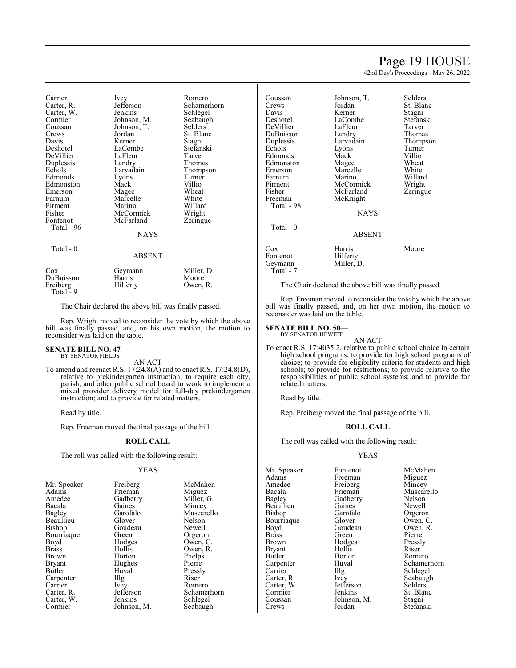### Page 19 HOUSE

42nd Day's Proceedings - May 26, 2022

| Carrier    | Ivey          | Romero      |
|------------|---------------|-------------|
| Carter, R. | Jefferson     | Schamerhorn |
| Carter, W. | Jenkins       | Schlegel    |
| Cormier    | Johnson, M.   | Seabaugh    |
| Coussan    | Johnson, T.   | Selders     |
| Crews      | Jordan        | St. Blanc   |
| Davis      | Kerner        | Stagni      |
| Deshotel   | LaCombe       | Stefanski   |
| DeVillier  | LaFleur       | Tarver      |
| Duplessis  | Landry        | Thomas      |
| Echols     | Larvadain     | Thompson    |
| Edmonds    | Lyons         | Turner      |
| Edmonston  | Mack          | Villio      |
| Emerson    | Magee         | Wheat       |
| Farnum     | Marcelle      | White       |
| Firment    | Marino        | Willard     |
| Fisher     | McCormick     | Wright      |
| Fontenot   | McFarland     | Zeringue    |
| Total - 96 |               |             |
|            | NAYS          |             |
| Total - 0  |               |             |
|            | <b>ABSENT</b> |             |
| Cox        | Geymann       | Miller, D.  |
| DuBuisson  | Harris        | Moore       |
| Freiberg   | Hilferty      | Owen, R.    |
| Total - 9  |               |             |

The Chair declared the above bill was finally passed.

Rep. Wright moved to reconsider the vote by which the above bill was finally passed, and, on his own motion, the motion to reconsider was laid on the table.

#### **SENATE BILL NO. 47—** BY SENATOR FIELDS

AN ACT

To amend and reenact R.S. 17:24.8(A) and to enact R.S. 17:24.8(D), relative to prekindergarten instruction; to require each city, parish, and other public school board to work to implement a mixed provider delivery model for full-day prekindergarten instruction; and to provide for related matters.

Read by title.

Rep. Freeman moved the final passage of the bill.

#### **ROLL CALL**

The roll was called with the following result:

#### YEAS

| Mr. Speaker  | Freiberg    | McMahen     |
|--------------|-------------|-------------|
| Adams        | Frieman     | Miguez      |
| Amedee       | Gadberry    | Miller, G.  |
| Bacala       | Gaines      | Mincey      |
| Bagley       | Garofalo    | Muscarello  |
| Beaullieu    | Glover      | Nelson      |
| Bishop       | Goudeau     | Newell      |
| Bourriaque   | Green       | Orgeron     |
| Boyd         | Hodges      | Owen, C.    |
| <b>Brass</b> | Hollis      | Owen, R.    |
| Brown        | Horton      | Phelps      |
| Bryant       | Hughes      | Pierre      |
| Butler       | Huval       | Pressly     |
| Carpenter    | Illg        | Riser       |
| Carrier      | <i>lvey</i> | Romero      |
| Carter, R.   | Jefferson   | Schamerhorn |
| Carter, W.   | Jenkins     | Schlegel    |
| Cormier      | Johnson, M. | Seabaugh    |

| Coussan<br>Crews<br>Davis<br>Deshotel<br>DeVillier<br>DuBuisson<br>Duplessis<br>Echols<br>Edmonds<br>Edmonston<br>Emerson<br>Farnum<br>Firment<br>Fisher<br>Freeman<br>Total - 98 | Johnson, T.<br>Jordan<br>Kerner<br>LaCombe<br>LaFleur<br>Landry<br>Larvadain<br>Lyons<br>Mack<br>Magee<br>Marcelle<br>Marino<br>McCormick<br>McFarland<br>McKnight | Selders<br>St. Blanc<br>Stagni<br>Stefanski<br>Tarver<br>Thomas<br>Thompson<br>Turner<br>Villio<br>Wheat<br>White<br>Willard<br>Wright<br>Zeringue |
|-----------------------------------------------------------------------------------------------------------------------------------------------------------------------------------|--------------------------------------------------------------------------------------------------------------------------------------------------------------------|----------------------------------------------------------------------------------------------------------------------------------------------------|
|                                                                                                                                                                                   | <b>NAYS</b>                                                                                                                                                        |                                                                                                                                                    |
| Total - 0                                                                                                                                                                         | ABSENT                                                                                                                                                             |                                                                                                                                                    |
| Cox<br>Fontenot<br>Geymann                                                                                                                                                        | Harris<br>Hilferty<br>Miller, D.                                                                                                                                   | Moore                                                                                                                                              |

The Chair declared the above bill was finally passed.

Rep. Freeman moved to reconsider the vote by which the above bill was finally passed, and, on her own motion, the motion to reconsider was laid on the table.

### **SENATE BILL NO. 50—** BY SENATOR HEWITT

Total - 7

AN ACT

To enact R.S. 17:4035.2, relative to public school choice in certain high school programs; to provide for high school programs of choice; to provide for eligibility criteria for students and high schools; to provide for restrictions; to provide relative to the responsibilities of public school systems; and to provide for related matters.

Read by title.

Rep. Freiberg moved the final passage of the bill.

#### **ROLL CALL**

The roll was called with the following result:

#### YEAS

Mr. Speaker Fontenot McMahen<br>Adams Freeman Miguez Adams Freeman Miguez<br>
Amedee Freiberg Mincey Amedee Freiberg<br>Bacala Frieman Bacala Frieman Muscarello<br>
Bagley Gadberry Nelson Beaullieu Gaines<br>Bishop Garofalo Bourriaque Glover<br>Boyd Goudeau Boyd Goudeau Owen, R.<br>Brass Green Pierre Brass Green Pierre<br>Brown Hodges Pressly Bryant Hollis<br>Butler Horton Butler Horton Romero<br>Carpenter Huval Schame Carrier Illg Schlegel<br>Carter, R. Ivey Seabaugh Carter, R. Ivey Seabau, Carter, W. Jefferson Selders Carter, W. Jefferson<br>Cormier Jenkins Cormier Jenkins St. Blanc<br>
Coussan Johnson, M. Stagni Coussan Johnson, M.<br>Crews Jordan

Gadberry Nelson<br>Gaines Newell Garofalo Orgeron<br>Glover Owen, C Hodges Pressl<br>Hollis Riser Huval Schamerhorn<br>Illg Schlegel Stefanski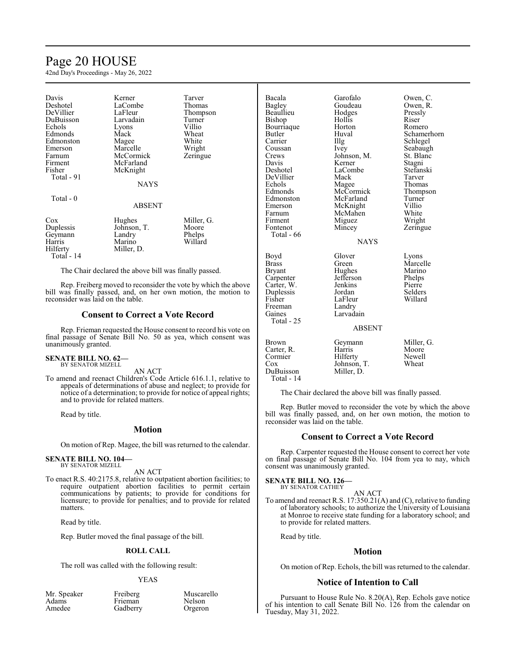## Page 20 HOUSE

42nd Day's Proceedings - May 26, 2022

| Davis<br>Deshotel<br>DeVillier<br>DuBuisson<br>Echols<br>Edmonds<br>Edmonston<br>Emerson<br>Farnum<br>Firment<br>Fisher<br>Total - 91 | Kerner<br>LaCombe<br>LaFleur<br>Larvadain<br>Lyons<br>Mack<br>Magee<br>Marcelle<br>McCormick<br>McFarland<br>McKnight<br><b>NAYS</b> | Tarver<br>Thomas<br>Thompson<br>Turner<br>Villio<br>Wheat<br>White<br>Wright<br>Zeringue |
|---------------------------------------------------------------------------------------------------------------------------------------|--------------------------------------------------------------------------------------------------------------------------------------|------------------------------------------------------------------------------------------|
| Total - 0                                                                                                                             | <b>ABSENT</b>                                                                                                                        |                                                                                          |
| Cox<br>Duplessis<br>Geymann<br>Harris<br>Hilferty<br>Total - 14                                                                       | Hughes<br>Johnson, T.<br>Landry<br>Marino<br>Miller, D.                                                                              | Miller, G.<br>Moore<br>Phelps<br>Willard                                                 |

The Chair declared the above bill was finally passed.

Rep. Freiberg moved to reconsider the vote by which the above bill was finally passed, and, on her own motion, the motion to reconsider was laid on the table.

#### **Consent to Correct a Vote Record**

Rep. Frieman requested the House consent to record his vote on final passage of Senate Bill No. 50 as yea, which consent was unanimously granted.

#### **SENATE BILL NO. 62—** BY SENATOR MIZELL

AN ACT

To amend and reenact Children's Code Article 616.1.1, relative to appeals of determinations of abuse and neglect; to provide for notice of a determination; to provide for notice of appeal rights; and to provide for related matters.

Read by title.

#### **Motion**

On motion of Rep. Magee, the bill was returned to the calendar.

### **SENATE BILL NO. 104—** BY SENATOR MIZELL

AN ACT

To enact R.S. 40:2175.8, relative to outpatient abortion facilities; to require outpatient abortion facilities to permit certain communications by patients; to provide for conditions for licensure; to provide for penalties; and to provide for related matters.

Read by title.

Rep. Butler moved the final passage of the bill.

#### **ROLL CALL**

The roll was called with the following result:

#### YEAS

| Mr. Speaker |  |
|-------------|--|
| Adams       |  |
| Amedee      |  |
|             |  |

Freiberg Muscarello<br>Frieman Nelson Frieman Nelson<br>Gadberry Orgeron Gadberry

| Bacala<br>Bagley<br>Beaullieu<br>Bishop<br>Bourriaque<br>Butler<br>Carrier<br>Coussan<br>Crews<br>Davis<br>Deshotel<br>DeVillier<br>Echols<br>Edmonds<br>Edmonston<br>Emerson<br>Farnum<br>Firment<br>Fontenot | Garofalo<br>Goudeau<br>Hodges<br>Hollis<br>Horton<br>Huval<br>$\prod_{i=1}^{n}$<br>Ivey<br>Johnson, M.<br>Kerner<br>LaCombe<br>Mack<br>Magee<br>McCormick<br>McFarland<br>McKnight<br>McMahen<br>Miguez<br>Mincey | Owen, C.<br>Owen, R.<br>Pressly<br>Riser<br>Romero<br>Schamerhorn<br>Schlegel<br>Seabaugh<br>St. Blanc<br>Stagni<br>Stefanski<br>Tarver<br>Thomas<br>Thompson<br>Turner<br>Villio<br>White<br>Wright<br>Zeringue |
|----------------------------------------------------------------------------------------------------------------------------------------------------------------------------------------------------------------|-------------------------------------------------------------------------------------------------------------------------------------------------------------------------------------------------------------------|------------------------------------------------------------------------------------------------------------------------------------------------------------------------------------------------------------------|
| Total - 66                                                                                                                                                                                                     | <b>NAYS</b>                                                                                                                                                                                                       |                                                                                                                                                                                                                  |
| Boyd<br><b>Brass</b><br>Bryant<br>Carpenter<br>Carter, W.<br>Duplessis<br>Fisher<br>Freeman<br>Gaines<br>Total - 25                                                                                            | Glover<br>Green<br>Hughes<br>Jefferson<br>Jenkins<br>Jordan<br>LaFleur<br>Landry<br>Larvadain<br><b>ABSENT</b>                                                                                                    | Lyons<br>Marcelle<br>Marino<br>Phelps<br>Pierre<br>Selders<br>Willard                                                                                                                                            |
| Brown<br>Carter, R.<br>Cormier<br>Cox<br>DuBuisson<br>Total - 14                                                                                                                                               | Geymann<br>Harris<br>Hilferty<br>Johnson, T.<br>Miller, D.                                                                                                                                                        | Miller, G.<br>Moore<br>Newell<br>Wheat                                                                                                                                                                           |

The Chair declared the above bill was finally passed.

Rep. Butler moved to reconsider the vote by which the above bill was finally passed, and, on her own motion, the motion to reconsider was laid on the table.

#### **Consent to Correct a Vote Record**

Rep. Carpenter requested the House consent to correct her vote on final passage of Senate Bill No. 104 from yea to nay, which consent was unanimously granted.

#### **SENATE BILL NO. 126—** BY SENATOR CATHEY

AN ACT To amend and reenact R.S. 17:350.21(A) and (C), relative to funding of laboratory schools; to authorize the University of Louisiana at Monroe to receive state funding for a laboratory school; and to provide for related matters.

Read by title.

#### **Motion**

On motion of Rep. Echols, the bill was returned to the calendar.

#### **Notice of Intention to Call**

Pursuant to House Rule No. 8.20(A), Rep. Echols gave notice of his intention to call Senate Bill No. 126 from the calendar on Tuesday, May 31, 2022.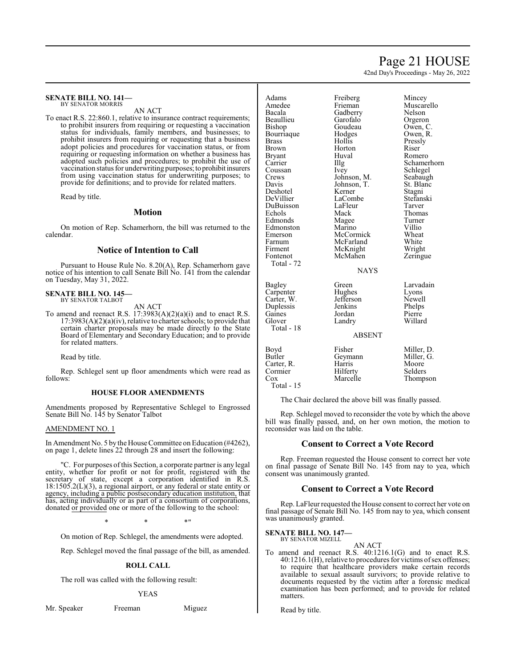### Page 21 HOUSE

42nd Day's Proceedings - May 26, 2022

#### **SENATE BILL NO. 141—** BY SENATOR MORRIS

AN ACT

To enact R.S. 22:860.1, relative to insurance contract requirements; to prohibit insurers from requiring or requesting a vaccination status for individuals, family members, and businesses; to prohibit insurers from requiring or requesting that a business adopt policies and procedures for vaccination status, or from requiring or requesting information on whether a business has adopted such policies and procedures; to prohibit the use of vaccination status for underwriting purposes; to prohibit insurers from using vaccination status for underwriting purposes; to provide for definitions; and to provide for related matters.

Read by title.

#### **Motion**

On motion of Rep. Schamerhorn, the bill was returned to the calendar.

#### **Notice of Intention to Call**

Pursuant to House Rule No. 8.20(A), Rep. Schamerhorn gave notice of his intention to call Senate Bill No. 141 from the calendar on Tuesday, May 31, 2022.

#### **SENATE BILL NO. 145—** BY SENATOR TALBOT

AN ACT

To amend and reenact R.S. 17:3983(A)(2)(a)(i) and to enact R.S.  $17:3983(A)(2)(a)(iv)$ , relative to charter schools; to provide that certain charter proposals may be made directly to the State Board of Elementary and Secondary Education; and to provide for related matters.

Read by title.

Rep. Schlegel sent up floor amendments which were read as follows:

#### **HOUSE FLOOR AMENDMENTS**

Amendments proposed by Representative Schlegel to Engrossed Senate Bill No. 145 by Senator Talbot

#### AMENDMENT NO. 1

In Amendment No. 5 by the House Committee on Education (#4262), on page 1, delete lines 22 through 28 and insert the following:

"C. For purposes ofthis Section, a corporate partner is any legal entity, whether for profit or not for profit, registered with the secretary of state, except a corporation identified in R.S. 18:1505.2(L)(3), a regional airport, or any federal or state entity or agency, including a public postsecondary education institution, that has, acting individually or as part of a consortium of corporations, donated or provided one or more of the following to the school:

 $*$  \*  $*$  \*

On motion of Rep. Schlegel, the amendments were adopted.

Rep. Schlegel moved the final passage of the bill, as amended.

#### **ROLL CALL**

The roll was called with the following result:

#### YEAS

Mr. Speaker Freeman Miguez

Adams Freiberg Mincey<br>Amedee Frieman Muscar Amedee Frieman Muscarello<br>Bacala Gadberry Nelson Gadberry Nelson<br>Garofalo Orgeron Beaullieu Garofalo Orgeron Goudeau Owen, C.<br>Hodges Owen, R. **Bourriaque** Brass Hollis Pressly Brown Horton Riser<br>Bryant Huval Rome Bryant Huval Romero<br>
Carrier IIIg Schamer Carrier Illg Schamerhorn<br>Coussan Ivey Schlegel Coussan Ivey Schlegel<br>Crews Johnson, M. Seabaugh Crews Johnson, M. Seabaugh<br>Davis Johnson, T. St. Blanc Deshotel Kerner Stagni<br>
DeVillier LaCombe Stefanski DuBuisson LaFleur Tarver Edmonds Magee Turner<br>Edmonston Marino Villio Edmonston Marino Villio<br>Emerson McCormick Wheat Emerson McCormick Wheat<br>Farnum McFarland White Farnum McFarland White<br>Firment McKnight Wright

Total - 72

Total - 18

Total - 15

Johnson, T. St. Blanck<br>Kerner Stagni LaCombe<br>LaFleur Mack Thomas<br>
Magee Turner Firment McKnight Wright<br>Fontenot McMahen Zeringue McMahen NAYS Bagley Green Larvadain<br>
Carpenter Hughes Lyons Carpenter Hughes Lyons Carter, W. Jefferson Newell Duplessis Jenkins Phelps Gaines Jordan<br>Glover Landry

Willard

Thompson

ABSENT Boyd Fisher Miller, D.<br>Butler Geymann Miller, G. Geymann Carter, R. Harris Moore<br>
Cormier Hilferty Selders

The Chair declared the above bill was finally passed.

Rep. Schlegel moved to reconsider the vote by which the above bill was finally passed, and, on her own motion, the motion to reconsider was laid on the table.

#### **Consent to Correct a Vote Record**

Rep. Freeman requested the House consent to correct her vote on final passage of Senate Bill No. 145 from nay to yea, which consent was unanimously granted.

#### **Consent to Correct a Vote Record**

Rep. LaFleur requested the House consent to correct her vote on final passage of Senate Bill No. 145 from nay to yea, which consent was unanimously granted.

**SENATE BILL NO. 147—** BY SENATOR MIZELL

Cormier Hilferty<br>Cox Marcelle

AN ACT

To amend and reenact R.S. 40:1216.1(G) and to enact R.S. 40:1216.1(H), relative to procedures for victims ofsex offenses; to require that healthcare providers make certain records available to sexual assault survivors; to provide relative to documents requested by the victim after a forensic medical examination has been performed; and to provide for related matters.

Read by title.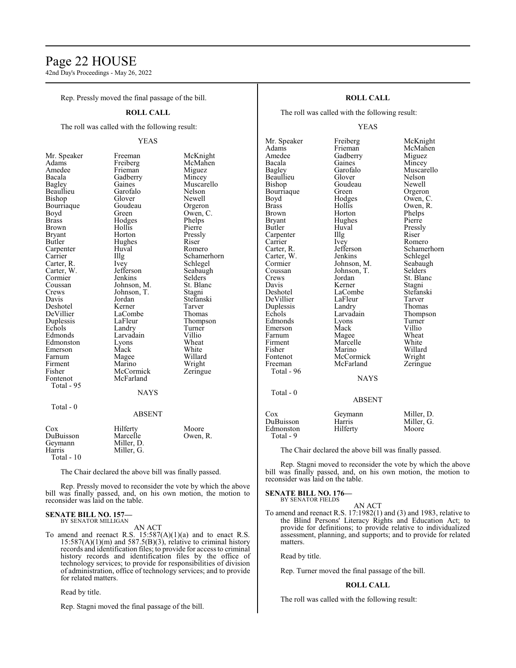### Page 22 HOUSE

42nd Day's Proceedings - May 26, 2022

Rep. Pressly moved the final passage of the bill.

#### **ROLL CALL**

The roll was called with the following result:

#### YEAS

Freeman McKnight<br>Freiberg McMahen Freiberg McMahen<br>Frieman Miguez

Glover Newell<br>Goudeau Orgeroi Goudeau Orgeron<br>Green Owen, C

Huval Romero<br>Illg Schamer

Ivey Schlegel<br>Jefferson Seabaugh Jefferson Seabaughter, Seabaughter, Seabaughter, Seabaughter, Seabaughter, Seabaughter, Seabaughter, Seabaughter, Seabaughter, Seabaughter, Seabaughter, Seabaughter, Seabaughter, Seabaughter, Seabaughter, Seabaughter, Seab Jenkins Selders<br>Johnson, M. St. Blanc Johnson, M. St. Blanch<br>Johnson, T. Stagni

Jordan Stefanski<br>Kerner Tarver

LaCombe<br>
LaFleur Thomas<br>
Thomps

Marino Wright<br>
McCormick Zeringue

Miguez<br>Mincey

Muscarello<br>Nelson

Owen, C.<br>Phelps

Pressly<br>Riser

Schamerhorn

Thompson<br>Turner

| Mr. Speaker   | Freeman       | McKn    |
|---------------|---------------|---------|
| Adams         | Freiberg      | McMa    |
| Amedee        | Frieman       | Migue   |
| Bacala        | Gadberry      | Mince   |
| <b>Bagley</b> | Gaines        | Musca   |
| Beaullieu     | Garofalo      | Nelsor  |
| Bishop        | Glover        | Newel   |
| Bourriaque    | Goudeau       | Orgero  |
| Boyd          | Green         | Owen,   |
| <b>Brass</b>  | Hodges        | Phelps  |
| <b>Brown</b>  | Hollis        | Pierre  |
| <b>Bryant</b> | Horton        | Pressly |
| Butler        | Hughes        | Riser   |
| Carpenter     | Huval         | Romer   |
| Carrier       | Illg          | Scham   |
| Carter, R.    | Ivey          | Schleg  |
| Carter, W.    | Jefferson     | Seabai  |
| Cormier       | Jenkins       | Selder  |
| Coussan       | Johnson, M.   | St. Bla |
| Crews         | Johnson, T.   | Stagni  |
| Davis         | Jordan        | Stefan  |
| Deshotel      | Kerner        | Tarver  |
| DeVillier     | LaCombe       | Thoma   |
| Duplessis     | LaFleur       | Thomp   |
| Echols        | Landry        | Turner  |
| Edmonds       | Larvadain     | Villio  |
| Edmonston     | Lyons         | Wheat   |
| Emerson       | Mack          | White   |
| Farnum        | Magee         | Willar  |
| Firment       | Marino        | Wrigh   |
| Fisher        | McCormick     | Zering  |
| Fontenot      | McFarland     |         |
| Total - 95    |               |         |
|               | <b>BIATIO</b> |         |

Total - 0

### **NAYS**

ABSENT

| Cox         | Hilferty   | Moore    |
|-------------|------------|----------|
| DuBuisson   | Marcelle   | Owen, R. |
| Geymann     | Miller, D. |          |
| Harris      | Miller, G. |          |
| Total $-10$ |            |          |

The Chair declared the above bill was finally passed.

Rep. Pressly moved to reconsider the vote by which the above bill was finally passed, and, on his own motion, the motion to reconsider was laid on the table.

#### **SENATE BILL NO. 157** BY SENATOR MILLIGAN

AN ACT

To amend and reenact R.S. 15:587(A)(1)(a) and to enact R.S.  $15:587(A)(1)(m)$  and  $587.5(B)(3)$ , relative to criminal history records and identification files; to provide for access to criminal history records and identification files by the office of technology services; to provide for responsibilities of division of administration, office of technology services; and to provide for related matters.

Read by title.

Rep. Stagni moved the final passage of the bill.

#### **ROLL CALL**

The roll was called with the following result:

#### YEAS

Mr. Speaker Freiberg McKnight<br>
Adams Frieman McMahen Adams Frieman McMahen<br>Amedee Gadberry Miguez Amedee Gadberry<br>Bacala Gaines Bacala Gaines Mincey<br>Bagley Garofalo Muscar Beaullieu Glover Nelson<br>Bishop Goudeau Newell Bourriaque Green<br>Boyd Hodges Brass Hollis Owen, R.<br>Brown Horton Phelps Brown Horton Phelps<br>Bryant Hughes Pierre Bryant Hughes<br>Butler Huval Carpenter Illg<br>Carrier Ivey Carrier Ivey Romero<br>Carter, R. Jefferson Schamer Carter, W. Jenkins Schlegel<br>
Cormier Johnson, M. Seabaugh Cormier Johnson, M. Seabaughten<br>Coussan Johnson, T. Selders Coussan Johnson, T.<br>Crews Jordan Crews Jordan St. Blanc<br>
Davis Kerner Stagni Deshotel LaCombe Stefan:<br>
DeVillier LaFleur Tarver DeVillier LaFleur Tarver Duplessis Landry<br>Echols Larvadain Edmonds Lyons Turner<br>Emerson Mack Villio Emerson Mack Villio<br>
Farnum Magee Wheat Farnum Magee Wheat<br>
Firment Marcelle White Firment Marcelle White<br>
Fisher Marino Willard Fisher Marino Willard Freeman McFarland Total - 96  $Total - 0$ 

Garofalo Muscarello<br>Glover Nelson Goudeau Newell<br>Green Orgeron Hodges Owen, C.<br>Hollis Owen, R. Huval Pressly<br>Illg Riser Jefferson Schamerhorn<br>Jenkins Schlegel Kerner Stagni<br>LaCombe Stefanski Larvadain Thompson<br>Lyons Turner McCormick Wright<br>
McFarland Zeringue

**NAYS** 

#### ABSENT Cox Geymann Miller, D.<br>DuBuisson Harris Miller. G. DuBuisson Harris Miller,<br>Edmonston Hilferty Moore Edmonston Total - 9

The Chair declared the above bill was finally passed.

Rep. Stagni moved to reconsider the vote by which the above bill was finally passed, and, on his own motion, the motion to reconsider was laid on the table.

#### **SENATE BILL NO. 176—** BY SENATOR FIELDS

AN ACT To amend and reenact R.S. 17:1982(1) and (3) and 1983, relative to the Blind Persons' Literacy Rights and Education Act; to provide for definitions; to provide relative to individualized assessment, planning, and supports; and to provide for related matters.

Read by title.

Rep. Turner moved the final passage of the bill.

#### **ROLL CALL**

The roll was called with the following result: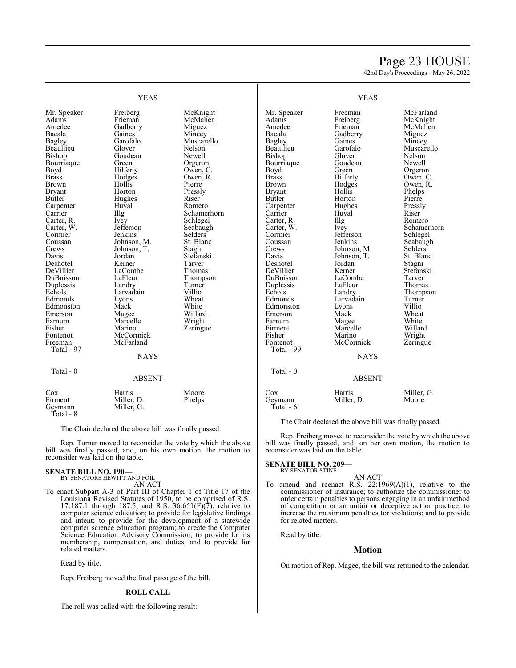### Page 23 HOUSE

42nd Day's Proceedings - May 26, 2022

| <b>YEAS</b>                                                                                                                                                                                                                                                                                                                                                                                                     |                                                                                                                                                                                                                                                                                                                                                                                  |                                                                                                                                                                                                                                                                                                                                                   | <b>YEAS</b>                                                                                                                                                                                                                                                                                                                                                                                                     |                                                                                                                                                                                                                                                                                                                                                                                |                                                                                                                                                                                                                                                                                                                                                                                 |
|-----------------------------------------------------------------------------------------------------------------------------------------------------------------------------------------------------------------------------------------------------------------------------------------------------------------------------------------------------------------------------------------------------------------|----------------------------------------------------------------------------------------------------------------------------------------------------------------------------------------------------------------------------------------------------------------------------------------------------------------------------------------------------------------------------------|---------------------------------------------------------------------------------------------------------------------------------------------------------------------------------------------------------------------------------------------------------------------------------------------------------------------------------------------------|-----------------------------------------------------------------------------------------------------------------------------------------------------------------------------------------------------------------------------------------------------------------------------------------------------------------------------------------------------------------------------------------------------------------|--------------------------------------------------------------------------------------------------------------------------------------------------------------------------------------------------------------------------------------------------------------------------------------------------------------------------------------------------------------------------------|---------------------------------------------------------------------------------------------------------------------------------------------------------------------------------------------------------------------------------------------------------------------------------------------------------------------------------------------------------------------------------|
| Mr. Speaker<br>Adams<br>Amedee<br>Bacala<br><b>Bagley</b><br>Beaullieu<br>Bishop<br>Bourriaque<br>Boyd<br><b>Brass</b><br>Brown<br><b>Bryant</b><br>Butler<br>Carpenter<br>Carrier<br>Carter, R.<br>Carter, W.<br>Cormier<br>Coussan<br>Crews<br>Davis<br>Deshotel<br>DeVillier<br>DuBuisson<br>Duplessis<br>Echols<br>Edmonds<br>Edmonston<br>Emerson<br>Farnum<br>Fisher<br>Fontenot<br>Freeman<br>Total - 97 | Freiberg<br>Frieman<br>Gadberry<br>Gaines<br>Garofalo<br>Glover<br>Goudeau<br>Green<br>Hilferty<br>Hodges<br>Hollis<br>Horton<br>Hughes<br>Huval<br>Illg<br>Ivey<br>Jefferson<br>Jenkins<br>Johnson, M.<br>Johnson, T.<br>Jordan<br>Kerner<br>LaCombe<br>LaFleur<br>Landry<br>Larvadain<br>Lyons<br>Mack<br>Magee<br>Marcelle<br>Marino<br>McCormick<br>McFarland<br><b>NAYS</b> | McKnight<br>McMahen<br>Miguez<br>Mincey<br>Muscarello<br>Nelson<br>Newell<br>Orgeron<br>Owen, C.<br>Owen, R.<br>Pierre<br>Pressly<br>Riser<br>Romero<br>Schamerhorn<br>Schlegel<br>Seabaugh<br>Selders<br>St. Blanc<br>Stagni<br>Stefanski<br>Tarver<br>Thomas<br>Thompson<br>Turner<br>Villio<br>Wheat<br>White<br>Willard<br>Wright<br>Zeringue | Mr. Speaker<br>Adams<br>Amedee<br>Bacala<br>Bagley<br>Beaullieu<br>Bishop<br>Bourriaque<br>Boyd<br><b>Brass</b><br><b>Brown</b><br><b>Bryant</b><br>Butler<br>Carpenter<br>Carrier<br>Carter, R.<br>Carter, W.<br>Cormier<br>Coussan<br>Crews<br>Davis<br>Deshotel<br>DeVillier<br>DuBuisson<br>Duplessis<br>Echols<br>Edmonds<br>Edmonston<br>Emerson<br>Farnum<br>Firment<br>Fisher<br>Fontenot<br>Total - 99 | Freeman<br>Freiberg<br>Frieman<br>Gadberry<br>Gaines<br>Garofalo<br>Glover<br>Goudeau<br>Green<br>Hilferty<br>Hodges<br>Hollis<br>Horton<br>Hughes<br>Huval<br>Illg<br>Ivey<br>Jefferson<br>Jenkins<br>Johnson, M.<br>Johnson, T.<br>Jordan<br>Kerner<br>LaCombe<br>LaFleur<br>Landry<br>Larvadain<br>Lyons<br>Mack<br>Magee<br>Marcelle<br>Marino<br>McCormick<br><b>NAYS</b> | McFarland<br>McKnight<br>McMahen<br>Miguez<br>Mincey<br>Muscarello<br>Nelson<br>Newell<br>Orgeron<br>Owen, C.<br>Owen, R.<br>Phelps<br>Pierre<br>Pressly<br>Riser<br>Romero<br>Schamerhorn<br>Schlegel<br>Seabaugh<br>Selders<br>St. Blanc<br>Stagni<br>Stefanski<br>Tarver<br><b>Thomas</b><br>Thompson<br>Turner<br>Villio<br>Wheat<br>White<br>Willard<br>Wright<br>Zeringue |
| Total - 0                                                                                                                                                                                                                                                                                                                                                                                                       | <b>ABSENT</b>                                                                                                                                                                                                                                                                                                                                                                    |                                                                                                                                                                                                                                                                                                                                                   | Total - $0$                                                                                                                                                                                                                                                                                                                                                                                                     | <b>ABSENT</b>                                                                                                                                                                                                                                                                                                                                                                  |                                                                                                                                                                                                                                                                                                                                                                                 |
| Cox<br>Firment<br>Geymann                                                                                                                                                                                                                                                                                                                                                                                       | Harris<br>Miller, D.<br>Miller, G.                                                                                                                                                                                                                                                                                                                                               | Moore<br>Phelps                                                                                                                                                                                                                                                                                                                                   | Cox<br>Geymann<br>Total - 6                                                                                                                                                                                                                                                                                                                                                                                     | Harris<br>Miller, D.                                                                                                                                                                                                                                                                                                                                                           | Miller, G.<br>Moore                                                                                                                                                                                                                                                                                                                                                             |

The Chair declared the above bill was finally passed.

Rep. Freiberg moved to reconsider the vote by which the above bill was finally passed, and, on her own motion, the motion to reconsider was laid on the table.

#### **SENATE BILL NO. 209—** BY SENATOR STINE

### AN ACT

To amend and reenact R.S. 22:1969(A)(1), relative to the commissioner of insurance; to authorize the commissioner to order certain penalties to persons engaging in an unfair method of competition or an unfair or deceptive act or practice; to increase the maximum penalties for violations; and to provide for related matters.

Read by title.

### **Motion**

On motion of Rep. Magee, the bill was returned to the calendar.

| Cox       | Harris     | Moore  |
|-----------|------------|--------|
| Firment   | Miller, D. | Phelps |
| Geymann   | Miller, G. |        |
| Total - 8 |            |        |

The Chair declared the above bill was finally passed.

Rep. Turner moved to reconsider the vote by which the above bill was finally passed, and, on his own motion, the motion to reconsider was laid on the table.

#### **SENATE BILL NO. 190—**

BY SENATORS HEWITT AND FOIL AN ACT

To enact Subpart A-3 of Part III of Chapter 1 of Title 17 of the Louisiana Revised Statutes of 1950, to be comprised of R.S. 17:187.1 through 187.5, and R.S.  $36:651(F)(7)$ , relative to computer science education; to provide for legislative findings and intent; to provide for the development of a statewide computer science education program; to create the Computer Science Education Advisory Commission; to provide for its membership, compensation, and duties; and to provide for related matters.

Read by title.

Rep. Freiberg moved the final passage of the bill.

#### **ROLL CALL**

The roll was called with the following result: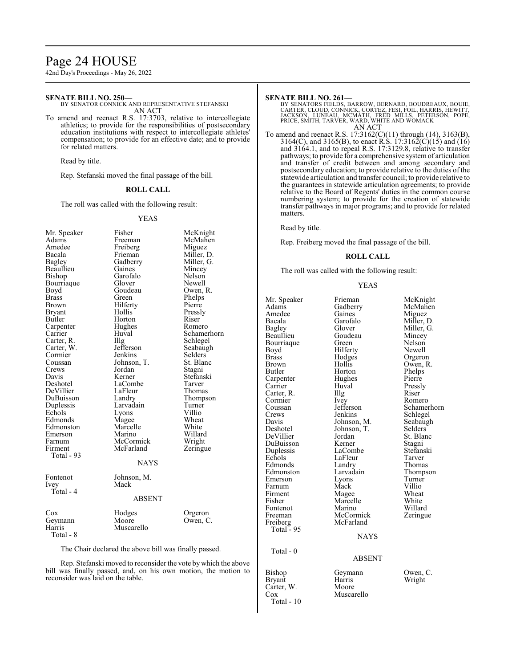### Page 24 HOUSE

42nd Day's Proceedings - May 26, 2022

#### **SENATE BILL NO. 250—**

BY SENATOR CONNICK AND REPRESENTATIVE STEFANSKI AN ACT

To amend and reenact R.S. 17:3703, relative to intercollegiate athletics; to provide for the responsibilities of postsecondary education institutions with respect to intercollegiate athletes' compensation; to provide for an effective date; and to provide for related matters.

Read by title.

Rep. Stefanski moved the final passage of the bill.

#### **ROLL CALL**

The roll was called with the following result:

#### YEAS

| Mr. Speaker  | Fisher        | McKnight    |
|--------------|---------------|-------------|
| Adams        | Freeman       | McMahen     |
| Amedee       | Freiberg      | Miguez      |
| Bacala       | Frieman       | Miller, D.  |
| Bagley       | Gadberry      | Miller, G.  |
| Beaullieu    | Gaines        | Mincey      |
| Bishop       | Garofalo      | Nelson      |
| Bourriaque   | Glover        | Newell      |
| Boyd         | Goudeau       | Owen, R.    |
| <b>Brass</b> | Green         | Phelps      |
| Brown        | Hilferty      | Pierre      |
| Bryant       | Hollis        | Pressly     |
| Butler       | Horton        | Riser       |
| Carpenter    | Hughes        | Romero      |
| Carrier      | Huval         | Schamerhorn |
| Carter, R.   | Illg          | Schlegel    |
| Carter, W.   | Jefferson     | Seabaugh    |
| Cormier      | Jenkins       | Selders     |
| Coussan      | Johnson, T.   | St. Blanc   |
| Crews        | Jordan        | Stagni      |
| Davis        | Kerner        | Stefanski   |
| Deshotel     | LaCombe       | Tarver      |
| DeVillier    | LaFleur       | Thomas      |
| DuBuisson    | Landry        | Thompson    |
| Duplessis    | Larvadain     | Turner      |
| Echols       | Lyons         | Villio      |
| Edmonds      | Magee         | Wheat       |
| Edmonston    | Marcelle      | White       |
| Emerson      | Marino        | Willard     |
| Farnum       | McCormick     | Wright      |
| Firment      | McFarland     | Zeringue    |
| Total - 93   |               |             |
|              | <b>NAYS</b>   |             |
| Fontenot     | Johnson, M.   |             |
| Ivey         | Mack          |             |
| Total - 4    |               |             |
|              | <b>ABSENT</b> |             |
| Cox          | Hodges        | Orgeron     |
| Geymann      | Moore         | Owen, C.    |
| Harris       | Muscarello    |             |
| Total - 8    |               |             |
|              |               |             |

The Chair declared the above bill was finally passed.

Rep. Stefanski moved to reconsider the vote by which the above bill was finally passed, and, on his own motion, the motion to reconsider was laid on the table.

#### **SENATE BILL NO. 261—**

BY SENATORS FIELDS, BARROW, BERNARD, BOUDREAUX, BOUIE,<br>CARTER, CLOUD, CONNICK, CORTEZ, FESI, FOIL, HARRIS, HEWITT,<br>JACKSON, LUNEAU, MCMATH, FRED MILLS, PETERSON, POPE,<br>PRICE, SMITH, TARVER, WARD, WHITE AND WOMACK<br>AN ACT

To amend and reenact R.S. 17:3162(C)(11) through (14), 3163(B), 3164(C), and 3165(B), to enact R.S. 17:3162(C)(15) and (16) and 3164.1, and to repeal R.S. 17:3129.8, relative to transfer pathways; to provide for a comprehensive systemof articulation and transfer of credit between and among secondary and postsecondary education; to provide relative to the duties of the statewide articulation and transfer council; to provide relative to the guarantees in statewide articulation agreements; to provide relative to the Board of Regents' duties in the common course numbering system; to provide for the creation of statewide transfer pathways in major programs; and to provide for related matters.

Read by title.

Rep. Freiberg moved the final passage of the bill.

#### **ROLL CALL**

The roll was called with the following result:

#### YEAS

Mr. Speaker Frieman McKnight<br>Adams Gadberry McMahen Amedee Gaines<br>Bacala Garofalo Bacala Garofalo Miller, D. Beaullieu Goudeau Mincey<br>Bourriaque Green Nelson Bourriaque Green Nelson<br>Bovd Hilferty Newell Boyd Hilferty<br>Brass Hodges Brass Hodges Orgeron<br>Brown Hollis Owen, R Brown Hollis Owen, R.<br>Butler Horton Phelps Carpenter Hughe<br>Carrier Huval Carrier Huval Pressly<br>Carter, R. Illg Riser Carter, R. Illg. Riser Cormier Livey Romero Cormier Ivey<br>Coussan Jefferson Crews Jenkins Schlegel<br>Davis Johnson, M. Seabaugh Davis Johnson, M. Seabaughten<br>Deshotel Johnson, T. Selders Deshotel Johnson, T.<br>DeVillier Jordan DuBuisson Kerner Stagni<br>
Duplessis LaCombe Stefanski Duplessis LaCombe Stefans<br>Echols LaFleur Tarver Edmonston Larvadain Thomp<br>Emerson Lyons Turner Emerson Lyons Turner<br>Farnum Mack Villio Farnum Mack Villio<br>Firment Magee Wheat Firment Magee Wheat<br>
Fisher Marcelle White Fontenot Freeman McCormick Zeringue<br>Freiberg McFarland Freiberg McFarland Total - 95 Total - 0 Bishop Geymann Owen, C.<br>Bryant Harris Wright Carter, W.<br>Cox

Total - 10

Gadberry McMahendra<br>
Gaines Miguez Glover Miller, G.<br>Goudeau Mincey Horton Phelps<br>Hughes Pierre Coussan Jefferson Schamerhorn<br>Crews Jenkins Schlegel Jordan St. Blanc<br>
Kerner Stagni Example 12 LaFleur Tarver<br>
Example 2 Landry Thomas Edmonds Landry Thomas<br>Edmonston Larvadain Thompson Marcelle White<br>
Marino Willard

#### **NAYS**

#### ABSENT

Harris Wright<br>Moore Muscarello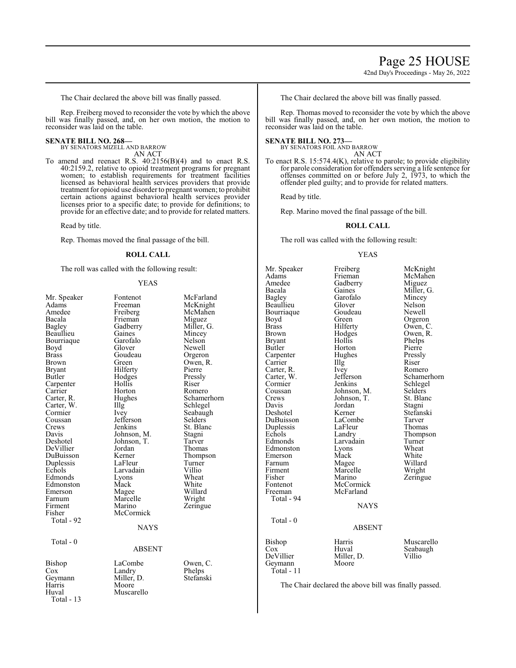The Chair declared the above bill was finally passed.

Rep. Freiberg moved to reconsider the vote by which the above bill was finally passed, and, on her own motion, the motion to reconsider was laid on the table.

#### **SENATE BILL NO. 268—**

BY SENATORS MIZELL AND BARROW AN ACT

To amend and reenact R.S. 40:2156(B)(4) and to enact R.S. 40:2159.2, relative to opioid treatment programs for pregnant women; to establish requirements for treatment facilities licensed as behavioral health services providers that provide treatment for opioid use disorder to pregnant women; to prohibit certain actions against behavioral health services provider licenses prior to a specific date; to provide for definitions; to provide for an effective date; and to provide for related matters.

Read by title.

Rep. Thomas moved the final passage of the bill.

#### **ROLL CALL**

The roll was called with the following result:

#### YEAS

| Mr. Speaker<br>Adams<br>Amedee<br>Bacala<br>Bagley<br>Beaullieu<br>Bourriaque<br>Boyd<br><b>Brass</b><br>Brown<br>Bryant<br>Butler<br>Carpenter<br>Carrier<br>Carter, R.<br>Carter, W.<br>Cormier<br>Coussan<br>Crews<br>Davis<br>Deshotel<br>DeVillier<br>DuBuisson<br>Duplessis<br>Echols<br>Edmonds<br>Edmonston<br>Emerson<br>Farnum<br>Firment<br>Fisher<br>Total - 92<br>Total - $0$ | Fontenot<br>Freeman<br>Freiberg<br>Frieman<br>Gadberry<br>Gaines<br>Garofalo<br>Glover<br>Goudeau<br>Green<br>Hilferty<br>Hodges<br>Hollis<br>Horton<br>Hughes<br>Illg<br>Ivey<br>Jefferson<br>Jenkins<br>Johnson, M.<br>Johnson, T.<br>Jordan<br>Kerner<br>LaFleur<br>Larvadain<br>Lyons<br>Mack<br>Magee<br>Marcelle<br>Marino<br>McCormick<br><b>NAYS</b><br><b>ABSENT</b> | McFarland<br>McKnight<br>McMahen<br>Miguez<br>Miller, G.<br>Mincey<br>Nelson<br>Newell<br>Orgeron<br>Owen, R.<br>Pierre<br>Pressly<br>Riser<br>Romero<br>Schamerho<br>Schlegel<br>Seabaugh<br>Selders<br>St. Blanc<br>Stagni<br>Tarver<br>Thomas<br>Thompson<br>Turner<br>Villio<br>Wheat<br>White<br>Willard<br>Wright<br>Zeringue |
|--------------------------------------------------------------------------------------------------------------------------------------------------------------------------------------------------------------------------------------------------------------------------------------------------------------------------------------------------------------------------------------------|-------------------------------------------------------------------------------------------------------------------------------------------------------------------------------------------------------------------------------------------------------------------------------------------------------------------------------------------------------------------------------|-------------------------------------------------------------------------------------------------------------------------------------------------------------------------------------------------------------------------------------------------------------------------------------------------------------------------------------|
| Bishop<br>$\cos$<br>Geymann<br>Harris<br>Huval<br>Total - 13                                                                                                                                                                                                                                                                                                                               | LaCombe<br>Landry<br>Miller, D.<br>Moore<br>Muscarello                                                                                                                                                                                                                                                                                                                        | Owen, C.<br>Phelps<br>Stefanski                                                                                                                                                                                                                                                                                                     |

Nelson<br>Newell Orgeron Owen, R. Pierre Pressly<br>Riser Romero Schamerhorn Schlegel Seabaugh Selders St. Blanc Stagni<br>Tarver Thomas Thompson Turner<br>Villio White Willard Phelps

The Chair declared the above bill was finally passed.

Rep. Thomas moved to reconsider the vote by which the above bill was finally passed, and, on her own motion, the motion to reconsider was laid on the table.

#### **SENATE BILL NO. 273—**

BY SENATORS FOIL AND BARROW AN ACT

To enact R.S. 15:574.4(K), relative to parole; to provide eligibility for parole consideration for offenders serving a life sentence for offenses committed on or before July 2, 1973, to which the

offender pled guilty; and to provide for related matters.

Read by title.

Rep. Marino moved the final passage of the bill.

#### **ROLL CALL**

The roll was called with the following result:

#### YEAS

Mr. Speaker Freiberg McKnight<br>
Adams Frieman McMahen Adams Frieman McMahen<br>Amedee Gadberry Miguez Amedee Gadberry<br>Bacala Gaines Bacala Gaines Miller, G.<br>Bagley Garofalo Mincey Beaullieu Glover Nelson Bourriaque Goude<br>Boyd Green Boyd Green Orgeron<br>Brass Hilferty Owen, C Brass Hilferty Owen, C. Brown Hodges Owen, R.<br>Bryant Hollis Phelps Bryant Hollis Phelps<br>Butler Horton Pierre Carpenter Hughes Pressl<br>Carrier Hllg Riser Carrier Illg Riser<br>Carter, R. Ivey Romero Carter, R. Ivey<br>Carter, W. Jefferson Carter, W. Jefferson Schamerhorn<br>
Cormier Jenkins Schlegel Cormier Jenkins Schlegel<br>
Coussan Johnson, M. Selders Coussan Johnson, M. Selders Crews Johnson, T. St. Blanch<br>Davis Jordan Stagni Davis Jordan<br>Deshotel Kerner DuBuisson LaCombe Tarver<br>
Duplessis LaFleur Thomas Duplessis LaFleur<br>Echols Landry Echols Landry Thompson<br>Edmonds Larvadain Turner Edmonston Lyons Wheat<br>Emerson Mack White Emerson Mack White<br>
Farnum Magee Willard Farnum Magee Willard<br>Firment Marcelle Wright Firment Marcelle<br>Fisher Marino Fisher Marino Zeringue<br>Fontenot McCormick Zeringue Fontenot McCormick<br>Freeman McFarland Total - 94 Total - 0 Bishop Harris Muscarello<br>
Cox Huval Seabaugh Cox Huval Seabaugh

The Chair declared the above bill was finally passed.

Garofalo Mincey<br>Glover Nelson Horton Pierre<br>Hughes Pressly Kerner Stefanski<br>LaCombe Tarver Larvadain Turner<br>Lyons Wheat McFarland **NAYS** 

# ABSENT

DeVillier Miller, D. Villio Geymann Moore Total - 11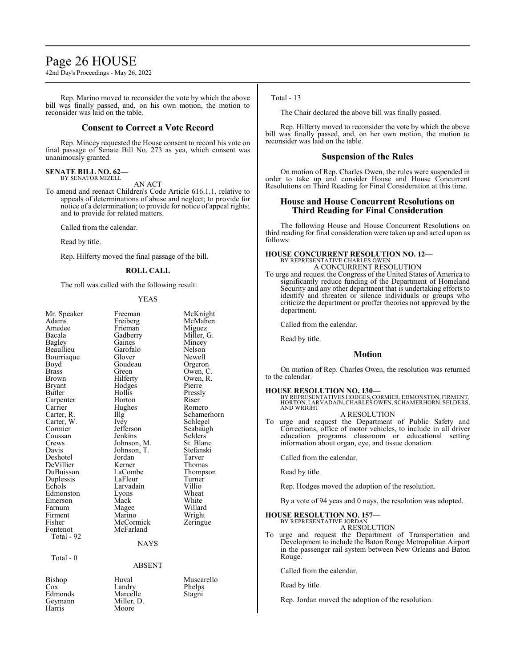### Page 26 HOUSE

42nd Day's Proceedings - May 26, 2022

Rep. Marino moved to reconsider the vote by which the above bill was finally passed, and, on his own motion, the motion to reconsider was laid on the table.

#### **Consent to Correct a Vote Record**

Rep. Mincey requested the House consent to record his vote on final passage of Senate Bill No. 273 as yea, which consent was unanimously granted.

### **SENATE BILL NO. 62—** BY SENATOR MIZELL

AN ACT

To amend and reenact Children's Code Article 616.1.1, relative to appeals of determinations of abuse and neglect; to provide for notice of a determination; to provide for notice of appeal rights; and to provide for related matters.

Called from the calendar.

Read by title.

Rep. Hilferty moved the final passage of the bill.

#### **ROLL CALL**

The roll was called with the following result:

#### YEAS

| Mr. Speaker<br>Adams<br>Amedee<br>Bacala<br>Bagley<br>Beaullieu<br>Bourriaque<br>Boyd<br><b>Brass</b><br>Brown<br>Bryant<br><b>Butler</b><br>Carpenter<br>Carrier<br>Carter, R.<br>Carter, W.<br>Cormier<br>Coussan<br>Crews<br>Davis<br>Deshotel<br>DeVillier<br>DuBuisson<br>Duplessis<br>Echols<br>Edmonston<br>Emerson<br>Farnum<br>Firment<br>Fisher | Freeman<br>Freiberg<br>Frieman<br>Gadberry<br>Gaines<br>Garofalo<br>Glover<br>Goudeau<br>Green<br>Hilferty<br>Hodges<br>Hollis<br>Horton<br>Hughes<br>Illg<br><i>lvey</i><br>Jefferson<br>Jenkins<br>Johnson, M.<br>Johnson, T.<br>Jordan<br>Kerner<br>LaCombe<br>LaFleur<br>Larvadain<br>Lyons<br>Mack<br>Magee<br>Marino<br>McCormick | McKnight<br>McMahen<br>Miguez<br>Miller, G.<br>Mincey<br>Nelson<br>Newell<br>Orgeron<br>Owen, C.<br>Owen, R.<br>Pierre<br>Pressly<br>Riser<br>Romero<br>Schamerhorn<br>Schlegel<br>Seabaugh<br>Selders<br>St. Blanc<br>Stefanski<br>Tarver<br>Thomas<br>Thompson<br>Turner<br>Villio<br>Wheat<br>White<br>Willard<br>Wright |
|-----------------------------------------------------------------------------------------------------------------------------------------------------------------------------------------------------------------------------------------------------------------------------------------------------------------------------------------------------------|-----------------------------------------------------------------------------------------------------------------------------------------------------------------------------------------------------------------------------------------------------------------------------------------------------------------------------------------|-----------------------------------------------------------------------------------------------------------------------------------------------------------------------------------------------------------------------------------------------------------------------------------------------------------------------------|
| Fontenot                                                                                                                                                                                                                                                                                                                                                  | McFarland                                                                                                                                                                                                                                                                                                                               | Zeringue                                                                                                                                                                                                                                                                                                                    |
| Total - 92                                                                                                                                                                                                                                                                                                                                                |                                                                                                                                                                                                                                                                                                                                         |                                                                                                                                                                                                                                                                                                                             |
|                                                                                                                                                                                                                                                                                                                                                           | <b>NAYS</b>                                                                                                                                                                                                                                                                                                                             |                                                                                                                                                                                                                                                                                                                             |
| Total - 0                                                                                                                                                                                                                                                                                                                                                 | <b>ABSENT</b>                                                                                                                                                                                                                                                                                                                           |                                                                                                                                                                                                                                                                                                                             |
| Bishop<br>Cox<br>Edmonds                                                                                                                                                                                                                                                                                                                                  | Huval<br>Landry<br>Marcelle                                                                                                                                                                                                                                                                                                             | Muscarello<br>Phelps<br>Stagni                                                                                                                                                                                                                                                                                              |

#### Total - 13

The Chair declared the above bill was finally passed.

Rep. Hilferty moved to reconsider the vote by which the above bill was finally passed, and, on her own motion, the motion to reconsider was laid on the table.

#### **Suspension of the Rules**

On motion of Rep. Charles Owen, the rules were suspended in order to take up and consider House and House Concurrent Resolutions on Third Reading for Final Consideration at this time.

#### **House and House Concurrent Resolutions on Third Reading for Final Consideration**

The following House and House Concurrent Resolutions on third reading for final consideration were taken up and acted upon as follows:

#### **HOUSE CONCURRENT RESOLUTION NO. 12—** BY REPRESENTATIVE CHARLES OWI A CONCURRENT RESOLUTION

To urge and request the Congress of the United States of America to significantly reduce funding of the Department of Homeland Security and any other department that is undertaking efforts to identify and threaten or silence individuals or groups who criticize the department or proffer theories not approved by the department.

Called from the calendar.

Read by title.

#### **Motion**

On motion of Rep. Charles Owen, the resolution was returned to the calendar.

#### **HOUSE RESOLUTION NO. 130—**

BY REPRESENTATIVES HODGES,CORMIER, EDMONSTON, FIRMENT, HORTON, LARVADAIN,CHARLES OWEN, SCHAMERHORN, SELDERS, AND WRIGHT

#### A RESOLUTION

To urge and request the Department of Public Safety and Corrections, office of motor vehicles, to include in all driver education programs classroom or educational setting information about organ, eye, and tissue donation.

Called from the calendar.

Read by title.

Rep. Hodges moved the adoption of the resolution.

By a vote of 94 yeas and 0 nays, the resolution was adopted.

#### **HOUSE RESOLUTION NO. 157—** BY REPRESENTATIVE JORDAN

A RESOLUTION

To urge and request the Department of Transportation and Development to include the Baton Rouge Metropolitan Airport in the passenger rail system between New Orleans and Baton Rouge.

Called from the calendar.

Read by title.

Rep. Jordan moved the adoption of the resolution.

Geymann Miller, D.<br>Harris Moore Moore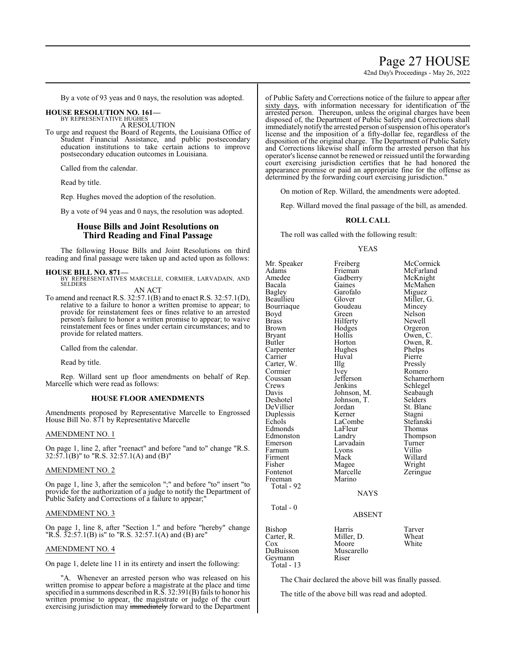### Page 27 HOUSE

42nd Day's Proceedings - May 26, 2022

By a vote of 93 yeas and 0 nays, the resolution was adopted.

## **HOUSE RESOLUTION NO. 161—** BY REPRESENTATIVE HUGHES

A RESOLUTION

To urge and request the Board of Regents, the Louisiana Office of Student Financial Assistance, and public postsecondary education institutions to take certain actions to improve postsecondary education outcomes in Louisiana.

Called from the calendar.

Read by title.

Rep. Hughes moved the adoption of the resolution.

By a vote of 94 yeas and 0 nays, the resolution was adopted.

#### **House Bills and Joint Resolutions on Third Reading and Final Passage**

The following House Bills and Joint Resolutions on third reading and final passage were taken up and acted upon as follows:

#### **HOUSE BILL NO. 871—**

BY REPRESENTATIVES MARCELLE, CORMIER, LARVADAIN, AND SELDERS

AN ACT

To amend and reenact R.S. 32:57.1(B) and to enact R.S. 32:57.1(D), relative to a failure to honor a written promise to appear; to provide for reinstatement fees or fines relative to an arrested person's failure to honor a written promise to appear; to waive reinstatement fees or fines under certain circumstances; and to provide for related matters.

Called from the calendar.

Read by title.

Rep. Willard sent up floor amendments on behalf of Rep. Marcelle which were read as follows:

#### **HOUSE FLOOR AMENDMENTS**

Amendments proposed by Representative Marcelle to Engrossed House Bill No. 871 by Representative Marcelle

#### AMENDMENT NO. 1

On page 1, line 2, after "reenact" and before "and to" change "R.S. 32:57.1(B)" to "R.S. 32:57.1(A) and (B)"

#### AMENDMENT NO. 2

On page 1, line 3, after the semicolon ";" and before "to" insert "to provide for the authorization of a judge to notify the Department of Public Safety and Corrections of a failure to appear;"

#### AMENDMENT NO. 3

On page 1, line 8, after "Section 1." and before "hereby" change "R.S.  $32:57.1(B)$  is" to "R.S.  $32:57.1(A)$  and (B) are"

#### AMENDMENT NO. 4

On page 1, delete line 11 in its entirety and insert the following:

"A. Whenever an arrested person who was released on his written promise to appear before a magistrate at the place and time specified in a summons described in R.S. 32:391(B) fails to honor his written promise to appear, the magistrate or judge of the court exercising jurisdiction may immediately forward to the Department of Public Safety and Corrections notice of the failure to appear after sixty days, with information necessary for identification of the arrested person. Thereupon, unless the original charges have been disposed of, the Department of Public Safety and Corrections shall immediately notify the arrested person of suspension of his operator's license and the imposition of a fifty-dollar fee, regardless of the disposition of the original charge. The Department of Public Safety and Corrections likewise shall inform the arrested person that his operator'slicense cannot be renewed or reissued until the forwarding court exercising jurisdiction certifies that he had honored the appearance promise or paid an appropriate fine for the offense as determined by the forwarding court exercising jurisdiction."

On motion of Rep. Willard, the amendments were adopted.

Rep. Willard moved the final passage of the bill, as amended.

#### **ROLL CALL**

The roll was called with the following result:

#### YEAS

Mr. Speaker Freiberg McCormick<br>Adams Frieman McFarland Adams Frieman McFarland<br>Amedee Gadberry McKnight Amedee Gadberry McKnight<br>Bacala Gaines McMahen Bacala Gaines McMahen<br>Bagley Garofalo Miguez Bagley Garofalo<br>Beaullieu Glover Bourriaque Goude<br>Boyd Green Boyd Green Nelson<br>Brass Hilferty Newell Brass Hilferty<br>Brown Hodges Brown Hodges Orgeron<br>Bryant Hollis Owen, C Bryant Hollis Owen, C.<br>Butler Horton Owen, R. Carpenter Hughes Phelps<br>
Carrier Huval Pierre Carrier Carter, W. Illg Pressly<br>Cormier Ivey Romero Cormier Ivey<br>Coussan Jefferson Coussan Jefferson Schamerhorn<br>Crews Jenkins Schlegel Crews Jenkins Schlegel<br>Davis Johnson, M. Seabaugh Davis Johnson, M. Seabaughten<br>Deshotel Johnson, T. Selders DeVillier Jordan St. Blanch<br>Duplessis Kerner Stagni Duplessis Kerner<br>Echols LaCombe Edmonds LaFleu<br>Edmonston Landry Edmonston Landry Thompson<br>
Emerson Larvadain Turner Emerson Larvadain Turner<br>Farnum Lyons Villio Farnum Lyons<br>Firment Mack Firment Mack Willard<br>
Fisher Magee Wright Fisher Magee<br>Fontenot Marcelle Freeman Total - 92 Total - 0

Glover Miller, G.<br>Goudeau Mincey Horton Owen, R.<br>Hughes Phelps Johnson, T. Selders<br>Jordan St. Blanc LaCombe Stefanski<br>LaFleur Thomas Marcelle Zeringue<br>Marino

NAYS

### ABSENT

| Bishop       | Harris     | Tarver |
|--------------|------------|--------|
| Carter, R.   | Miller, D. | Wheat  |
| Cox          | Moore      | White  |
| DuBuisson    | Muscarello |        |
| Geymann      | Riser      |        |
| Total - $13$ |            |        |
|              |            |        |

The Chair declared the above bill was finally passed.

The title of the above bill was read and adopted.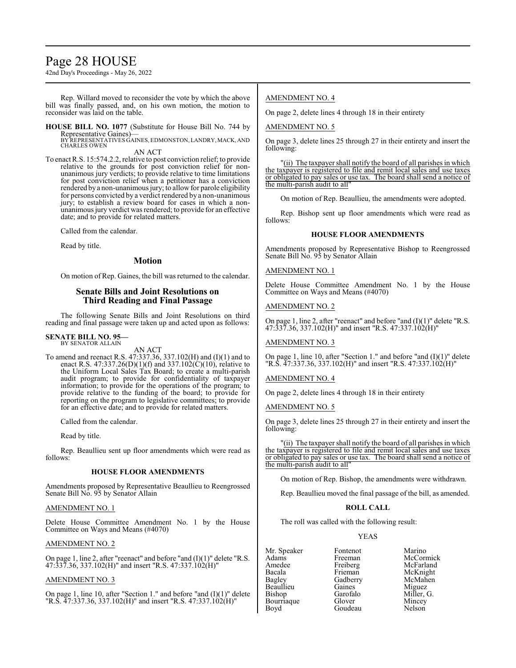### Page 28 HOUSE

42nd Day's Proceedings - May 26, 2022

Rep. Willard moved to reconsider the vote by which the above bill was finally passed, and, on his own motion, the motion to reconsider was laid on the table.

**HOUSE BILL NO. 1077** (Substitute for House Bill No. 744 by Representative Gaines)— BY REPRESENTATIVES GAINES, EDMONSTON, LANDRY,MACK, AND

CHARLES OWEN AN ACT

To enact R.S. 15:574.2.2, relative to post conviction relief; to provide relative to the grounds for post conviction relief for nonunanimous jury verdicts; to provide relative to time limitations for post conviction relief when a petitioner has a conviction rendered by a non-unanimous jury; to allow for parole eligibility for persons convicted by a verdict rendered by a non-unanimous jury; to establish a review board for cases in which a nonunanimous jury verdict was rendered; to provide for an effective date; and to provide for related matters.

Called from the calendar.

Read by title.

#### **Motion**

On motion of Rep. Gaines, the bill was returned to the calendar.

### **Senate Bills and Joint Resolutions on Third Reading and Final Passage**

The following Senate Bills and Joint Resolutions on third reading and final passage were taken up and acted upon as follows:

#### **SENATE BILL NO. 95—** BY SENATOR ALLAIN

AN ACT

To amend and reenact R.S. 47:337.36, 337.102(H) and (I)(1) and to enact R.S. 47:337.26(D)(1)(f) and 337.102(C)(10), relative to the Uniform Local Sales Tax Board; to create a multi-parish audit program; to provide for confidentiality of taxpayer information; to provide for the operations of the program; to provide relative to the funding of the board; to provide for reporting on the program to legislative committees; to provide for an effective date; and to provide for related matters.

Called from the calendar.

Read by title.

Rep. Beaullieu sent up floor amendments which were read as follows:

#### **HOUSE FLOOR AMENDMENTS**

Amendments proposed by Representative Beaullieu to Reengrossed Senate Bill No. 95 by Senator Allain

#### AMENDMENT NO. 1

Delete House Committee Amendment No. 1 by the House Committee on Ways and Means (#4070)

#### AMENDMENT NO. 2

On page 1, line 2, after "reenact" and before "and (I)(1)" delete "R.S.  $47:337.36$ ,  $337.102(H)$ " and insert "R.S.  $47:337.102(H)$ "

#### AMENDMENT NO. 3

On page 1, line 10, after "Section 1." and before "and (I)(1)" delete "R.S. 47:337.36, 337.102(H)" and insert "R.S. 47:337.102(H)"

#### AMENDMENT NO. 4

On page 2, delete lines 4 through 18 in their entirety

AMENDMENT NO. 5

On page 3, delete lines 25 through 27 in their entirety and insert the following:

"(ii) The taxpayer shall notify the board of all parishes in which the taxpayer is registered to file and remit local sales and use taxes or obligated to pay sales or use tax. The board shall send a notice of the multi-parish audit to all"

On motion of Rep. Beaullieu, the amendments were adopted.

Rep. Bishop sent up floor amendments which were read as follows:

#### **HOUSE FLOOR AMENDMENTS**

Amendments proposed by Representative Bishop to Reengrossed Senate Bill No. 95 by Senator Allain

#### AMENDMENT NO. 1

Delete House Committee Amendment No. 1 by the House Committee on Ways and Means (#4070)

#### AMENDMENT NO. 2

On page 1, line 2, after "reenact" and before "and (I)(1)" delete "R.S. 47:337.36, 337.102(H)" and insert "R.S. 47:337.102(H)"

#### AMENDMENT NO. 3

On page 1, line 10, after "Section 1." and before "and (I)(1)" delete "R.S. 47:337.36, 337.102(H)" and insert "R.S. 47:337.102(H)"

#### AMENDMENT NO. 4

On page 2, delete lines 4 through 18 in their entirety

#### AMENDMENT NO. 5

On page 3, delete lines 25 through 27 in their entirety and insert the following:

"(ii) The taxpayer shall notify the board of all parishes in which the taxpayer is registered to file and remit local sales and use taxes or obligated to pay sales or use tax. The board shall send a notice of the multi-parish audit to all"

On motion of Rep. Bishop, the amendments were withdrawn.

Rep. Beaullieu moved the final passage of the bill, as amended.

#### **ROLL CALL**

The roll was called with the following result:

Goudeau

#### YEAS

Mr. Speaker Fontenot Marino<br>Adams Freeman McCorr Adams Freeman McCormick Amedee Freiberg McFarland<br>Bacala Frieman McKnight Bacala Frieman McKnight<br>Bagley Gadberry McMahen Beaullieu Gaines<br>Bishop Garofalo Bourriaque Glover Mincey<br>Boyd Goudeau Nelson

Gadberry McMahen<br>Gaines Miguez Garofalo Miller, G.<br>Glover Mincey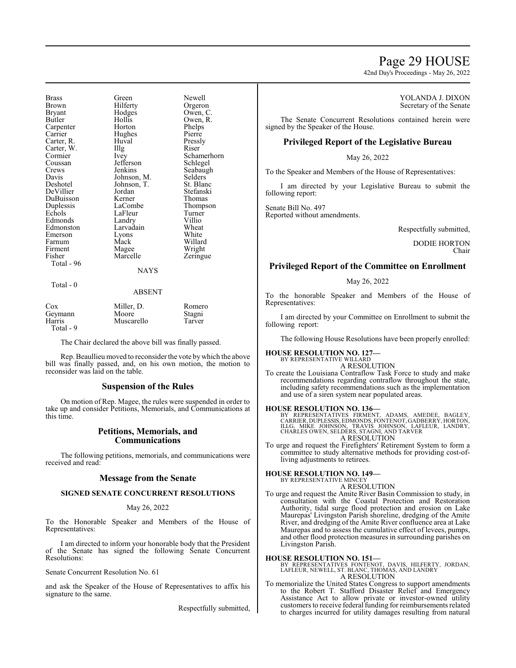### Page 29 HOUSE

42nd Day's Proceedings - May 26, 2022

Carter, W. Illg<br>Cormier Ivey Coussan Jefferson<br>Crews Jenkins DuBuisson Firment Magee<br>
Fisher Marcelle Total - 96

Brass Green Newell Brown Hilferty Orgeron<br>Bryant Hodges Owen, C Bryant Hodges Owen, C. Hollis Owen, R.<br>Horton Phelps Carpenter Horton Phelps<br>
Carrier Hughes Pierre Hughes Carter, R. Huval Pressly Cormier Ivey Schamerhorn<br>
Coussan Jefferson Schlegel Crews Jenkins Seabaugh<br>
Davis Johnson, M. Selders Davis Johnson, M. Selders<br>Deshotel Johnson, T. St. Blanc Johnson, T. St. Blanc<br>Jordan Stefanski DeVillier Jordan Stefanski Duplessis LaCombe Thompson<br>
Echols LaFleur Turner LaFleur Turner<br>Landry Villio Edmonds Landry Villio<br>Edmonston Larvadain Wheat Larvadain Wheat<br>Lyons White Emerson Lyons White<br>
Farnum Mack Willard Farnum Mack Willard<br>
Firment Magee Wright

NAYS

Zeringue

#### Total - 0

#### ABSENT

| Cox       | Miller, D. | Romero |
|-----------|------------|--------|
| Geymann   | Moore      | Stagni |
| Harris    | Muscarello | Tarver |
| Total - 9 |            |        |

The Chair declared the above bill was finally passed.

Rep. Beaullieu moved to reconsider the vote by which the above bill was finally passed, and, on his own motion, the motion to reconsider was laid on the table.

#### **Suspension of the Rules**

On motion of Rep. Magee, the rules were suspended in order to take up and consider Petitions, Memorials, and Communications at this time.

#### **Petitions, Memorials, and Communications**

The following petitions, memorials, and communications were received and read:

#### **Message from the Senate**

#### **SIGNED SENATE CONCURRENT RESOLUTIONS**

#### May 26, 2022

To the Honorable Speaker and Members of the House of Representatives:

I am directed to inform your honorable body that the President of the Senate has signed the following Senate Concurrent Resolutions:

Senate Concurrent Resolution No. 61

and ask the Speaker of the House of Representatives to affix his signature to the same.

Respectfully submitted,

#### YOLANDA J. DIXON Secretary of the Senate

The Senate Concurrent Resolutions contained herein were signed by the Speaker of the House.

#### **Privileged Report of the Legislative Bureau**

#### May 26, 2022

To the Speaker and Members of the House of Representatives:

I am directed by your Legislative Bureau to submit the following report:

Senate Bill No. 497 Reported without amendments.

Respectfully submitted,

DODIE HORTON Chair

#### **Privileged Report of the Committee on Enrollment**

May 26, 2022

To the honorable Speaker and Members of the House of Representatives:

I am directed by your Committee on Enrollment to submit the following report:

The following House Resolutions have been properly enrolled:

#### **HOUSE RESOLUTION NO. 127—** BY REPRESENTATIVE WILLARD

A RESOLUTION

To create the Louisiana Contraflow Task Force to study and make recommendations regarding contraflow throughout the state, including safety recommendations such as the implementation and use of a siren system near populated areas.

#### **HOUSE RESOLUTION NO. 136—**

BY REPRESENTATIVES FIRMENT, ADAMS, AMEDEE, BAGLEY,<br>CARRIER,DUPLESSIS,EDMONDS,FONTENOT,GADBERRY,HORTON,<br>ILLG, MIKE JOHNSON, TRAVIS JOHNSON, LAFLEUR, LANDRY,<br>CHARLES OWEN,SELDERS,STAGNI,AND TARVER A RESOLUTION

To urge and request the Firefighters' Retirement System to form a committee to study alternative methods for providing cost-ofliving adjustments to retirees.

**HOUSE RESOLUTION NO. 149—**

BY REPRESENTATIVE MINCEY

A RESOLUTION

To urge and request the Amite River Basin Commission to study, in consultation with the Coastal Protection and Restoration Authority, tidal surge flood protection and erosion on Lake Maurepas' Livingston Parish shoreline, dredging of the Amite River, and dredging of the Amite River confluence area at Lake Maurepas and to assess the cumulative effect of levees, pumps, and other flood protection measures in surrounding parishes on Livingston Parish.

**HOUSE RESOLUTION NO. 151—** BY REPRESENTATIVES FONTENOT, DAVIS, HILFERTY, JORDAN, LAFLEUR, NEWELL, ST. BLANC, THOMAS, AND LANDRY A RESOLUTION

To memorialize the United States Congress to support amendments to the Robert T. Stafford Disaster Relief and Emergency Assistance Act to allow private or investor-owned utility customers to receive federal funding for reimbursements related to charges incurred for utility damages resulting from natural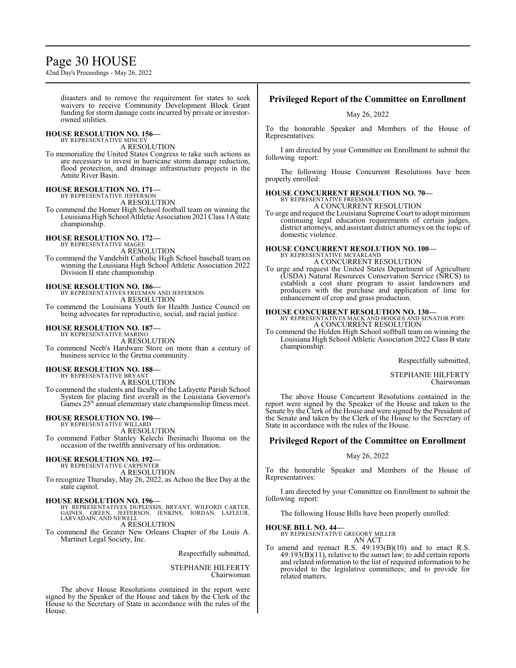### Page 30 HOUSE

42nd Day's Proceedings - May 26, 2022

disasters and to remove the requirement for states to seek waivers to receive Community Development Block Grant funding for storm damage costs incurred by private or investorowned utilities.

### **HOUSE RESOLUTION NO. 156—** BY REPRESENTATIVE MINCEY

A RESOLUTION

To memorialize the United States Congress to take such actions as are necessary to invest in hurricane storm damage reduction, flood protection, and drainage infrastructure projects in the Amite River Basin.

### **HOUSE RESOLUTION NO. 171—** BY REPRESENTATIVE JEFFERSON

A RESOLUTION

To commend the Homer High School football team on winning the Louisiana High School Athletic Association 2021 Class 1A state championship.

### **HOUSE RESOLUTION NO. 172—** BY REPRESENTATIVE MAGEE

A RESOLUTION

To commend the Vandebilt Catholic High School baseball team on winning the Louisiana High School Athletic Association 2022 Division II state championship.

**HOUSE RESOLUTION NO. 186—** BY REPRESENTATIVES FREEMAN AND JEFFERSON A RESOLUTION To commend the Louisiana Youth for Health Justice Council on being advocates for reproductive, social, and racial justice.

## **HOUSE RESOLUTION NO. 187—** BY REPRESENTATIVE MARINO

A RESOLUTION To commend Neeb's Hardware Store on more than a century of business service to the Gretna community.

#### **HOUSE RESOLUTION NO. 188—**

BY REPRESENTATIVE BRYANT A RESOLUTION

To commend the students and faculty of the Lafayette Parish School System for placing first overall in the Louisiana Governor's Games 25<sup>th</sup> annual elementary state championship fitness meet.

#### **HOUSE RESOLUTION NO. 190—**

BY REPRESENTATIVE WILLARD

A RESOLUTION To commend Father Stanley Kelechi Ihesinachi Ihuoma on the occasion of the twelfth anniversary of his ordination.

## **HOUSE RESOLUTION NO. 192—** BY REPRESENTATIVE CARPENTER

A RESOLUTION

To recognize Thursday, May 26, 2022, as Achoo the Bee Day at the state capitol.

**HOUSE RESOLUTION NO. 196—**<br>BY REPRESENTATIVES DUPLESSIS, BRYANT, WILFORD CARTER,<br>GAINES, GREEN, JEFFERSON, JENKINS, JORDAN, LAFLEUR,<br>LARVADAIN, AND NEWELL A RESOLUTION

To commend the Greater New Orleans Chapter of the Louis A. Martinet Legal Society, Inc.

Respectfully submitted,

#### STEPHANIE HILFERTY Chairwoman

The above House Resolutions contained in the report were signed by the Speaker of the House and taken by the Clerk of the House to the Secretary of State in accordance with the rules of the House.

#### **Privileged Report of the Committee on Enrollment**

May 26, 2022

To the honorable Speaker and Members of the House of Representatives:

I am directed by your Committee on Enrollment to submit the following report:

The following House Concurrent Resolutions have been properly enrolled:

#### **HOUSE CONCURRENT RESOLUTION NO. 70—** BY REPRESENTATIVE FREEMAN

A CONCURRENT RESOLUTION

To urge and request the Louisiana Supreme Court to adopt minimum continuing legal education requirements of certain judges, district attorneys, and assistant district attorneys on the topic of domestic violence.

#### **HOUSE CONCURRENT RESOLUTION NO. 100—** BY REPRESENTATIVE MCFARLAND

A CONCURRENT RESOLUTION

To urge and request the United States Department of Agriculture (USDA) Natural Resources Conservation Service (NRCS) to establish a cost share program to assist landowners and producers with the purchase and application of lime for enhancement of crop and grass production.

### **HOUSE CONCURRENT RESOLUTION NO. 130—**

BY REPRESENTATIVES MACK AND HODGES AND SENATOR POPE A CONCURRENT RESOLUTION

To commend the Holden High School softball team on winning the Louisiana High School Athletic Association 2022 Class B state championship.

Respectfully submitted,

STEPHANIE HILFERTY Chairwoman

The above House Concurrent Resolutions contained in the report were signed by the Speaker of the House and taken to the Senate by the Clerk of the House and were signed by the President of the Senate and taken by the Clerk of the House to the Secretary of State in accordance with the rules of the House.

### **Privileged Report of the Committee on Enrollment**

#### May 26, 2022

To the honorable Speaker and Members of the House of Representatives:

I am directed by your Committee on Enrollment to submit the following report:

The following House Bills have been properly enrolled:

#### **HOUSE BILL NO. 44—**

BY REPRESENTATIVE GREGORY MILLER AN ACT

To amend and reenact R.S. 49:193(B)(10) and to enact R.S. 49:193(B)(11), relative to the sunset law; to add certain reports and related information to the list of required information to be provided to the legislative committees; and to provide for related matters.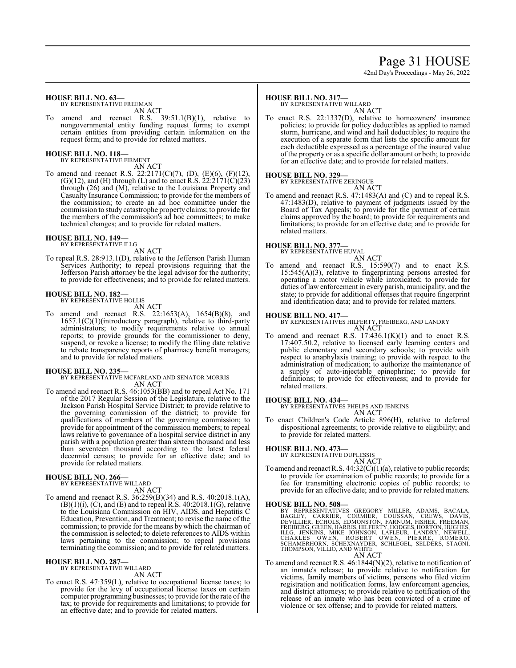## Page 31 HOUSE

42nd Day's Proceedings - May 26, 2022

#### **HOUSE BILL NO. 63—**

BY REPRESENTATIVE FREEMAN AN ACT

To amend and reenact R.S. 39:51.1(B)(1), relative to nongovernmental entity funding request forms; to exempt certain entities from providing certain information on the request form; and to provide for related matters.

#### **HOUSE BILL NO. 118—**

BY REPRESENTATIVE FIRMENT AN ACT

To amend and reenact R.S. 22:2171(C)(7), (D), (E)(6), (F)(12),  $(G)(12)$ , and  $(H)$  through  $(L)$  and to enact R.S. 22:2171 $(C)(23)$ through (26) and (M), relative to the Louisiana Property and Casualty Insurance Commission; to provide for the members of the commission; to create an ad hoc committee under the commission to study catastrophe property claims; to provide for the members of the commission's ad hoc committees; to make technical changes; and to provide for related matters.

#### **HOUSE BILL NO. 149—** BY REPRESENTATIVE ILLG

AN ACT

To repeal R.S. 28:913.1(D), relative to the Jefferson Parish Human Services Authority; to repeal provisions requiring that the Jefferson Parish attorney be the legal advisor for the authority; to provide for effectiveness; and to provide for related matters.

#### **HOUSE BILL NO. 182—**

BY REPRESENTATIVE HOLLIS

- AN ACT
- To amend and reenact R.S. 22:1653(A), 1654(B)(8), and 1657.1(C)(1)(introductory paragraph), relative to third-party administrators; to modify requirements relative to annual reports; to provide grounds for the commissioner to deny, suspend, or revoke a license; to modify the filing date relative to rebate transparency reports of pharmacy benefit managers; and to provide for related matters.

#### **HOUSE BILL NO. 235—**

BY REPRESENTATIVE MCFARLAND AND SENATOR MORRIS AN ACT

To amend and reenact R.S. 46:1053(BB) and to repeal Act No. 171 of the 2017 Regular Session of the Legislature, relative to the Jackson Parish Hospital Service District; to provide relative to the governing commission of the district; to provide for qualifications of members of the governing commission; to provide for appointment of the commission members; to repeal laws relative to governance of a hospital service district in any parish with a population greater than sixteen thousand and less than seventeen thousand according to the latest federal decennial census; to provide for an effective date; and to provide for related matters.

### **HOUSE BILL NO. 266—** BY REPRESENTATIVE WILLARD

AN ACT

To amend and reenact R.S. 36:259(B)(34) and R.S. 40:2018.1(A),  $(B)(1)(i)$ ,  $(C)$ , and  $(E)$  and to repeal R.S. 40:2018.1 $(G)$ , relative to the Louisiana Commission on HIV, AIDS, and Hepatitis C Education, Prevention, and Treatment; to revise the name of the commission; to provide for the means by which the chairman of the commission is selected; to delete references to AIDS within laws pertaining to the commission; to repeal provisions terminating the commission; and to provide for related matters.

#### **HOUSE BILL NO. 287—**

BY REPRESENTATIVE WILLARD AN ACT

To enact R.S. 47:359(L), relative to occupational license taxes; to provide for the levy of occupational license taxes on certain computer programming businesses; to provide for the rate of the tax; to provide for requirements and limitations; to provide for an effective date; and to provide for related matters.

#### **HOUSE BILL NO. 317—**

BY REPRESENTATIVE WILLARD AN ACT

To enact R.S. 22:1337(D), relative to homeowners' insurance policies; to provide for policy deductibles as applied to named storm, hurricane, and wind and hail deductibles; to require the execution of a separate form that lists the specific amount for each deductible expressed as a percentage of the insured value of the property or as a specific dollar amount or both; to provide for an effective date; and to provide for related matters.

#### **HOUSE BILL NO. 329—**

BY REPRESENTATIVE ZERINGUE

AN ACT

To amend and reenact R.S. 47:1483(A) and (C) and to repeal R.S. 47:1483(D), relative to payment of judgments issued by the Board of Tax Appeals; to provide for the payment of certain claims approved by the board; to provide for requirements and limitations; to provide for an effective date; and to provide for related matters.

#### **HOUSE BILL NO. 377—**

BY REPRESENTATIVE HUVAL AN ACT

To amend and reenact R.S. 15:590(7) and to enact R.S. 15:545(A)(3), relative to fingerprinting persons arrested for operating a motor vehicle while intoxicated; to provide for duties of law enforcement in every parish, municipality, and the state; to provide for additional offenses that require fingerprint and identification data; and to provide for related matters.

#### **HOUSE BILL NO. 417—**

BY REPRESENTATIVES HILFERTY, FREIBERG, AND LANDRY AN ACT

To amend and reenact R.S.  $17:436.1(K)(1)$  and to enact R.S. 17:407.50.2, relative to licensed early learning centers and public elementary and secondary schools; to provide with respect to anaphylaxis training; to provide with respect to the administration of medication; to authorize the maintenance of a supply of auto-injectable epinephrine; to provide for definitions; to provide for effectiveness; and to provide for related matters.

#### **HOUSE BILL NO. 434—**

BY REPRESENTATIVES PHELPS AND JENKINS AN ACT

To enact Children's Code Article 896(H), relative to deferred dispositional agreements; to provide relative to eligibility; and to provide for related matters.

#### **HOUSE BILL NO. 473—**

BY REPRESENTATIVE DUPLESSIS AN ACT

To amend and reenact R.S. 44:32(C)(1)(a), relative to public records; to provide for examination of public records; to provide for a fee for transmitting electronic copies of public records; to provide for an effective date; and to provide for related matters.

#### **HOUSE BILL NO. 508—**

BY REPRESENTATIVES GREGORY MILLER, ADAMS, BACALA,<br>BAGLEY, CARRIER, CORMIER, COUSSAN, CREWS, DAVIS,<br>DEVILLIER, ECRIER, EDMONSTON, FARNUM, FISHER, FREEMAN,<br>FREIBERG,GREEN,HARRIS,HILFERTY,HODGES,HORTON,HUGHES,<br>ILLG, JENKINS, AN ACT

To amend and reenact R.S. 46:1844(N)(2), relative to notification of an inmate's release; to provide relative to notification for victims, family members of victims, persons who filed victim registration and notification forms, law enforcement agencies, and district attorneys; to provide relative to notification of the release of an inmate who has been convicted of a crime of violence or sex offense; and to provide for related matters.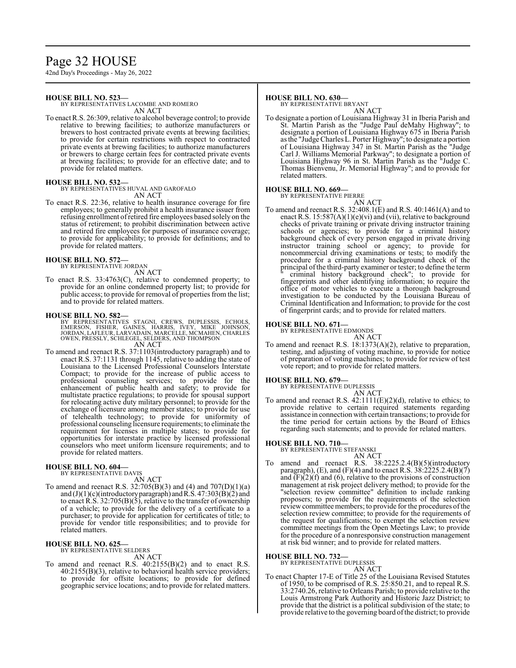### Page 32 HOUSE

42nd Day's Proceedings - May 26, 2022

#### **HOUSE BILL NO. 523—**

BY REPRESENTATIVES LACOMBE AND ROMERO AN ACT

To enact R.S. 26:309, relative to alcohol beverage control; to provide relative to brewing facilities; to authorize manufacturers or brewers to host contracted private events at brewing facilities; to provide for certain restrictions with respect to contracted private events at brewing facilities; to authorize manufacturers or brewers to charge certain fees for contracted private events at brewing facilities; to provide for an effective date; and to provide for related matters.

#### **HOUSE BILL NO. 532—**

BY REPRESENTATIVES HUVAL AND GAROFALO AN ACT

To enact R.S. 22:36, relative to health insurance coverage for fire employees; to generally prohibit a health insurance issuer from refusing enrollment ofretired fire employees based solely on the status of retirement; to prohibit discrimination between active and retired fire employees for purposes of insurance coverage; to provide for applicability; to provide for definitions; and to provide for related matters.

#### **HOUSE BILL NO. 572—** BY REPRESENTATIVE JORDAN

AN ACT

To enact R.S. 33:4763(C), relative to condemned property; to provide for an online condemned property list; to provide for public access; to provide for removal of properties from the list; and to provide for related matters.

#### **HOUSE BILL NO. 582—**

BY REPRESENTATIVES STAGNI, CREWS, DUPLESSIS, ECHOLS,<br>EMERSON, FISHER, GAINES, HARRIS, IVEY, MIKE JOHNSON,<br>JORDAN,LAFLEUR,LARVADAIN,MARCELLE,MCMAHEN,CHARLES OWEN, PRESSLY, SCHLEGEL, SELDERS, AND THOMPSON AN ACT

To amend and reenact R.S. 37:1103(introductory paragraph) and to enact R.S. 37:1131 through 1145, relative to adding the state of Louisiana to the Licensed Professional Counselors Interstate Compact; to provide for the increase of public access to professional counseling services; to provide for the enhancement of public health and safety; to provide for multistate practice regulations; to provide for spousal support for relocating active duty military personnel; to provide for the exchange of licensure among member states; to provide for use of telehealth technology; to provide for uniformity of professional counseling licensure requirements; to eliminate the requirement for licenses in multiple states; to provide for opportunities for interstate practice by licensed professional counselors who meet uniform licensure requirements; and to provide for related matters.

#### **HOUSE BILL NO. 604—** BY REPRESENTATIVE DAVIS

AN ACT

To amend and reenact R.S.  $32:705(B)(3)$  and  $(4)$  and  $707(D)(1)(a)$ and  $(J)(1)(c)$ (introductory paragraph) and R.S. 47:303(B)(2) and to enact R.S. 32:705(B)(5), relative to the transfer of ownership of a vehicle; to provide for the delivery of a certificate to a purchaser; to provide for application for certificates of title; to provide for vendor title responsibilities; and to provide for related matters.

#### **HOUSE BILL NO. 625—**

BY REPRESENTATIVE SELDERS

- AN ACT
- To amend and reenact R.S. 40:2155(B)(2) and to enact R.S.  $40:2155(B)(3)$ , relative to behavioral health service providers; to provide for offsite locations; to provide for defined geographic service locations; and to provide for related matters.

#### **HOUSE BILL NO. 630—**

BY REPRESENTATIVE BRYANT AN ACT

To designate a portion of Louisiana Highway 31 in Iberia Parish and St. Martin Parish as the "Judge Paul deMahy Highway"; to designate a portion of Louisiana Highway 675 in Iberia Parish as the "Judge Charles L. Porter Highway"; to designate a portion of Louisiana Highway 347 in St. Martin Parish as the "Judge Carl J. Williams Memorial Parkway"; to designate a portion of Louisiana Highway 96 in St. Martin Parish as the "Judge C. Thomas Bienvenu, Jr. Memorial Highway"; and to provide for related matters.

#### **HOUSE BILL NO. 669—**

BY REPRESENTATIVE PIERRE AN ACT

To amend and reenact R.S. 32:408.1(E) and R.S. 40:1461(A) and to enact R.S. 15:587(A)(1)(e)(vi) and (vii), relative to background checks of private training or private driving instructor training schools or agencies; to provide for a criminal history background check of every person engaged in private driving instructor training school or agency; to provide for noncommercial driving examinations or tests; to modify the procedure for a criminal history background check of the principal ofthe third-party examiner or tester; to define the term " criminal history background check"; to provide for fingerprints and other identifying information; to require the office of motor vehicles to execute a thorough background investigation to be conducted by the Louisiana Bureau of Criminal Identification and Information; to provide for the cost of fingerprint cards; and to provide for related matters.

#### **HOUSE BILL NO. 671—**

BY REPRESENTATIVE EDMONDS

AN ACT To amend and reenact R.S. 18:1373(A)(2), relative to preparation, testing, and adjusting of voting machine, to provide for notice of preparation of voting machines; to provide for review of test vote report; and to provide for related matters.

#### **HOUSE BILL NO. 679—**

BY REPRESENTATIVE DUPLESSIS

AN ACT To amend and reenact R.S.  $42:1111(E)(2)(d)$ , relative to ethics; to provide relative to certain required statements regarding assistance in connection with certain transactions; to provide for the time period for certain actions by the Board of Ethics regarding such statements; and to provide for related matters.

#### **HOUSE BILL NO. 710—**

BY REPRESENTATIVE STEFANSKI

AN ACT To amend and reenact R.S. 38:2225.2.4(B)(5)(introductory paragraph), (E), and (F)(4) and to enact R.S.  $38:2225.2.4(B)(7)$ and  $(F)(2)(f)$  and  $(6)$ , relative to the provisions of construction management at risk project delivery method; to provide for the "selection review committee" definition to include ranking proposers; to provide for the requirements of the selection review committee members; to provide for the procedures of the selection review committee; to provide for the requirements of the request for qualifications; to exempt the selection review committee meetings from the Open Meetings Law; to provide for the procedure of a nonresponsive construction management at risk bid winner; and to provide for related matters.

#### **HOUSE BILL NO. 732—**

BY REPRESENTATIVE DUPLESSIS

#### AN ACT

To enact Chapter 17-E of Title 25 of the Louisiana Revised Statutes of 1950, to be comprised of R.S. 25:850.21, and to repeal R.S. 33:2740.26, relative to Orleans Parish; to provide relative to the Louis Armstrong Park Authority and Historic Jazz District; to provide that the district is a political subdivision of the state; to provide relative to the governing board ofthe district; to provide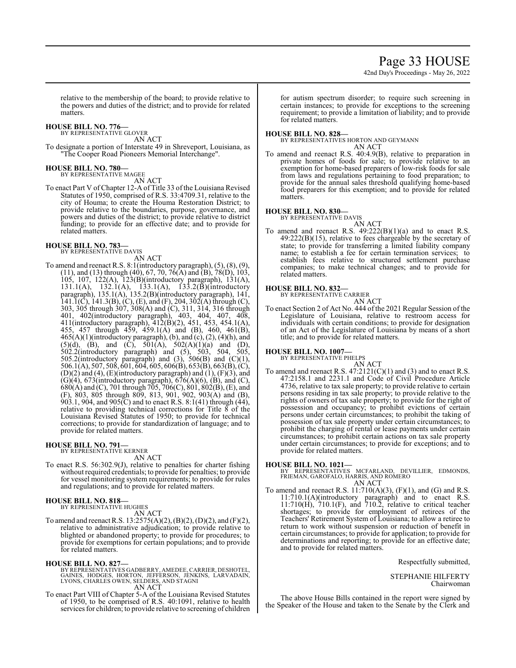### Page 33 HOUSE

42nd Day's Proceedings - May 26, 2022

relative to the membership of the board; to provide relative to the powers and duties of the district; and to provide for related matters.

#### **HOUSE BILL NO. 776—**

BY REPRESENTATIVE GLOVER

AN ACT

To designate a portion of Interstate 49 in Shreveport, Louisiana, as "The Cooper Road Pioneers Memorial Interchange".

#### **HOUSE BILL NO. 780—**

BY REPRESENTATIVE MAGEE AN ACT

To enact Part V of Chapter 12-A of Title 33 of the Louisiana Revised Statutes of 1950, comprised of R.S. 33:4709.31, relative to the city of Houma; to create the Houma Restoration District; to provide relative to the boundaries, purpose, governance, and powers and duties of the district; to provide relative to district funding; to provide for an effective date; and to provide for related matters.

### **HOUSE BILL NO. 783—** BY REPRESENTATIVE DAVIS

AN ACT

To amend and reenact R.S. 8:1(introductory paragraph), (5), (8), (9),  $(11)$ , and  $(13)$  through  $(40)$ , 67, 70, 76 $(A)$  and  $(B)$ , 78 $(D)$ , 103, 105, 107, 122(A), 123(B)(introductory paragraph), 131(A), 131.1(A), 132.1(A), 133.1(A), 133.2(B)(introductory paragraph), 135.1(A), 135.2(B)(introductory paragraph), 141, 141.1(C), 141.3(B), (C), (E), and (F), 204, 302(A) through (C), 303, 305 through 307, 308(A) and (C), 311, 314, 316 through 401, 402(introductory paragraph), 403, 404, 407, 408, 411(introductory paragraph), 412(B)(2), 451, 453, 454.1(A), 455, 457 through 459, 459.1(A) and (B), 460, 461(B),  $465(A)(1)$ (introductory paragraph), (b), and (c), (2), (4)(h), and  $(5)(d)$ ,  $(B)$ , and  $(C)$ ,  $501(A)$ ,  $502(A)(1)(a)$  and  $(D)$ , 502.2(introductory paragraph) and (5), 503, 504, 505, 505.2(introductory paragraph) and (3), 506(B) and (C)(1), 506.1(A), 507, 508, 601, 604, 605, 606(B), 653(B), 663(B), (C),  $(D)(2)$  and  $(4)$ ,  $(E)$ (introductory paragraph) and  $(1)$ ,  $(F)(3)$ , and  $(G)(4)$ , 673(introductory paragraph), 676(A)(6), (B), and (C),  $680(A)$  and (C), 701 through 705, 706(C), 801, 802(B), (E), and (F), 803, 805 through 809, 813, 901, 902, 903(A) and (B), 903.1, 904, and 905 $\rm(\bar{C})$  and to enact R.S. 8:1(41) through (44), relative to providing technical corrections for Title  $\delta$  of the Louisiana Revised Statutes of 1950; to provide for technical corrections; to provide for standardization of language; and to provide for related matters.

#### **HOUSE BILL NO. 791—** BY REPRESENTATIVE KERNER

AN ACT

To enact R.S. 56:302.9(J), relative to penalties for charter fishing without required credentials; to provide for penalties; to provide for vessel monitoring system requirements; to provide for rules and regulations; and to provide for related matters.

#### **HOUSE BILL NO. 818—**

BY REPRESENTATIVE HUGHES AN ACT

To amend and reenact R.S. 13:2575(A)(2), (B)(2), (D)(2), and (F)(2), relative to administrative adjudication; to provide relative to blighted or abandoned property; to provide for procedures; to provide for exemptions for certain populations; and to provide for related matters.

**HOUSE BILL NO. 827—**<br>BY REPRESENTATIVES GADBERRY, AMEDEE, CARRIER, DESHOTEL,<br>GAINES, HODGES, HORTON, JEFFERSON, JENKINS, LARVADAIN,<br>LYONS, CHARLES OWEN, SELDERS, AND STAGNI<br>AN ACT

To enact Part VIII of Chapter 5-A of the Louisiana Revised Statutes of 1950, to be comprised of R.S. 40:1091, relative to health services for children; to provide relative to screening of children for autism spectrum disorder; to require such screening in certain instances; to provide for exceptions to the screening requirement; to provide a limitation of liability; and to provide for related matters.

#### **HOUSE BILL NO. 828—**

BY REPRESENTATIVES HORTON AND GEYMANN AN ACT

To amend and reenact R.S. 40:4.9(B), relative to preparation in private homes of foods for sale; to provide relative to an exemption for home-based preparers of low-risk foods for sale from laws and regulations pertaining to food preparation; to provide for the annual sales threshold qualifying home-based food preparers for this exemption; and to provide for related matters.

#### **HOUSE BILL NO. 830—**

BY REPRESENTATIVE DAVIS

AN ACT To amend and reenact R.S.  $49:222(B)(1)(a)$  and to enact R.S.  $49:222(B)(15)$ , relative to fees chargeable by the secretary of state; to provide for transferring a limited liability company name; to establish a fee for certain termination services; to establish fees relative to structured settlement purchase companies; to make technical changes; and to provide for related matters.

#### **HOUSE BILL NO. 832—** BY REPRESENTATIVE CARRIER

AN ACT

To enact Section 2 of Act No. 444 of the 2021 Regular Session of the Legislature of Louisiana, relative to restroom access for individuals with certain conditions; to provide for designation of an Act of the Legislature of Louisiana by means of a short title; and to provide for related matters.

**HOUSE BILL NO. 1007—**

BY REPRESENTATIVE PHELPS AN ACT

To amend and reenact R.S.  $47:2121(C)(1)$  and (3) and to enact R.S. 47:2158.1 and 2231.1 and Code of Civil Procedure Article 4736, relative to tax sale property; to provide relative to certain persons residing in tax sale property; to provide relative to the rights of owners of tax sale property; to provide for the right of possession and occupancy; to prohibit evictions of certain persons under certain circumstances; to prohibit the taking of possession of tax sale property under certain circumstances; to prohibit the charging of rental or lease payments under certain circumstances; to prohibit certain actions on tax sale property under certain circumstances; to provide for exceptions; and to provide for related matters.

**HOUSE BILL NO. 1021—**<br>BY REPRESENTATIVES MCFARLAND, DEVILLIER, EDMONDS,<br>FRIEMAN, GAROFALO, HARRIS, AND ROMERO<br>AN ACT

To amend and reenact R.S.  $11:710(A)(3)$ ,  $(F)(1)$ , and  $(G)$  and R.S. 11:710.1(A)(introductory paragraph) and to enact R.S. 11:710(H), 710.1(F), and 710.2, relative to critical teacher shortages; to provide for employment of retirees of the Teachers' Retirement System of Louisiana; to allow a retiree to return to work without suspension or reduction of benefit in certain circumstances; to provide for application; to provide for determinations and reporting; to provide for an effective date; and to provide for related matters.

Respectfully submitted,

STEPHANIE HILFERTY Chairwoman

The above House Bills contained in the report were signed by the Speaker of the House and taken to the Senate by the Clerk and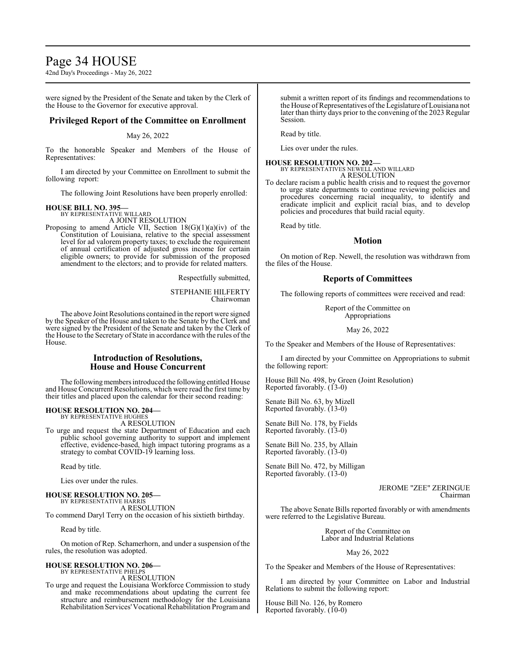### Page 34 HOUSE

42nd Day's Proceedings - May 26, 2022

were signed by the President of the Senate and taken by the Clerk of the House to the Governor for executive approval.

#### **Privileged Report of the Committee on Enrollment**

#### May 26, 2022

To the honorable Speaker and Members of the House of Representatives:

I am directed by your Committee on Enrollment to submit the following report:

The following Joint Resolutions have been properly enrolled:

#### **HOUSE BILL NO. 395—**

BY REPRESENTATIVE WILLARD A JOINT RESOLUTION

Proposing to amend Article VII, Section  $18(G)(1)(a)(iv)$  of the Constitution of Louisiana, relative to the special assessment level for ad valorem property taxes; to exclude the requirement of annual certification of adjusted gross income for certain eligible owners; to provide for submission of the proposed amendment to the electors; and to provide for related matters.

Respectfully submitted,

STEPHANIE HILFERTY Chairwoman

The above Joint Resolutions contained in the report were signed by the Speaker of the House and taken to the Senate by the Clerk and were signed by the President of the Senate and taken by the Clerk of the House to the Secretary of State in accordance with the rules of the House.

#### **Introduction of Resolutions, House and House Concurrent**

The following members introduced the following entitled House and House Concurrent Resolutions, which were read the first time by their titles and placed upon the calendar for their second reading:

### **HOUSE RESOLUTION NO. 204—** BY REPRESENTATIVE HUGHES

A RESOLUTION

To urge and request the state Department of Education and each public school governing authority to support and implement effective, evidence-based, high impact tutoring programs as a strategy to combat COVID-19 learning loss.

Read by title.

Lies over under the rules.

**HOUSE RESOLUTION NO. 205—** BY REPRESENTATIVE HARRIS A RESOLUTION

To commend Daryl Terry on the occasion of his sixtieth birthday.

Read by title.

On motion of Rep. Schamerhorn, and under a suspension of the rules, the resolution was adopted.

#### **HOUSE RESOLUTION NO. 206—** BY REPRESENTATIVE PHELPS

A RESOLUTION

To urge and request the Louisiana Workforce Commission to study and make recommendations about updating the current fee structure and reimbursement methodology for the Louisiana Rehabilitation Services'Vocational Rehabilitation Programand submit a written report of its findings and recommendations to the House of Representatives of the Legislature of Louisiana not later than thirty days prior to the convening of the 2023 Regular Session.

Read by title.

Lies over under the rules.

### **HOUSE RESOLUTION NO. 202—** BY REPRESENTATIVES NEWELL AND WILLARD A RESOLUTION

To declare racism a public health crisis and to request the governor to urge state departments to continue reviewing policies and procedures concerning racial inequality, to identify and eradicate implicit and explicit racial bias, and to develop policies and procedures that build racial equity.

Read by title.

#### **Motion**

On motion of Rep. Newell, the resolution was withdrawn from the files of the House.

#### **Reports of Committees**

The following reports of committees were received and read:

Report of the Committee on Appropriations

#### May 26, 2022

To the Speaker and Members of the House of Representatives:

I am directed by your Committee on Appropriations to submit the following report:

House Bill No. 498, by Green (Joint Resolution) Reported favorably. (13-0)

Senate Bill No. 63, by Mizell Reported favorably. (13-0)

Senate Bill No. 178, by Fields Reported favorably. (13-0)

Senate Bill No. 235, by Allain Reported favorably. (13-0)

Senate Bill No. 472, by Milligan Reported favorably. (13-0)

> JEROME "ZEE" ZERINGUE Chairman

The above Senate Bills reported favorably or with amendments were referred to the Legislative Bureau.

> Report of the Committee on Labor and Industrial Relations

#### May 26, 2022

To the Speaker and Members of the House of Representatives:

I am directed by your Committee on Labor and Industrial Relations to submit the following report:

House Bill No. 126, by Romero Reported favorably. (10-0)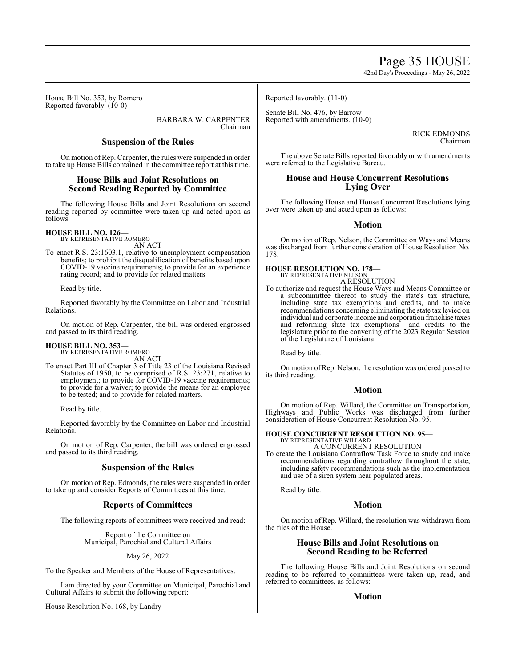## Page 35 HOUSE

42nd Day's Proceedings - May 26, 2022

House Bill No. 353, by Romero Reported favorably. (10-0)

> BARBARA W. CARPENTER Chairman

### **Suspension of the Rules**

On motion of Rep. Carpenter, the rules were suspended in order to take up House Bills contained in the committee report at this time.

#### **House Bills and Joint Resolutions on Second Reading Reported by Committee**

The following House Bills and Joint Resolutions on second reading reported by committee were taken up and acted upon as follows:

#### **HOUSE BILL NO. 126—** BY REPRESENTATIVE ROMERO

AN ACT

To enact R.S. 23:1603.1, relative to unemployment compensation benefits; to prohibit the disqualification of benefits based upon COVID-19 vaccine requirements; to provide for an experience rating record; and to provide for related matters.

Read by title.

Reported favorably by the Committee on Labor and Industrial Relations.

On motion of Rep. Carpenter, the bill was ordered engrossed and passed to its third reading.

## **HOUSE BILL NO. 353—** BY REPRESENTATIVE ROMERO

AN ACT

To enact Part III of Chapter 3 of Title 23 of the Louisiana Revised Statutes of 1950, to be comprised of R.S. 23:271, relative to employment; to provide for COVID-19 vaccine requirements; to provide for a waiver; to provide the means for an employee to be tested; and to provide for related matters.

Read by title.

Reported favorably by the Committee on Labor and Industrial Relations.

On motion of Rep. Carpenter, the bill was ordered engrossed and passed to its third reading.

#### **Suspension of the Rules**

On motion of Rep. Edmonds, the rules were suspended in order to take up and consider Reports of Committees at this time.

#### **Reports of Committees**

The following reports of committees were received and read:

Report of the Committee on Municipal, Parochial and Cultural Affairs

May 26, 2022

To the Speaker and Members of the House of Representatives:

I am directed by your Committee on Municipal, Parochial and Cultural Affairs to submit the following report:

House Resolution No. 168, by Landry

Reported favorably. (11-0)

Senate Bill No. 476, by Barrow Reported with amendments. (10-0)

> RICK EDMONDS Chairman

The above Senate Bills reported favorably or with amendments were referred to the Legislative Bureau.

#### **House and House Concurrent Resolutions Lying Over**

The following House and House Concurrent Resolutions lying over were taken up and acted upon as follows:

#### **Motion**

On motion of Rep. Nelson, the Committee on Ways and Means was discharged from further consideration of House Resolution No. 178.

#### **HOUSE RESOLUTION NO. 178—** BY REPRESENTATIVE NELSON

- A RESOLUTION
- To authorize and request the House Ways and Means Committee or a subcommittee thereof to study the state's tax structure, including state tax exemptions and credits, and to make recommendations concerning eliminating the state tax levied on individual and corporate income and corporation franchise taxes and reforming state tax exemptions and credits to the legislature prior to the convening of the 2023 Regular Session of the Legislature of Louisiana.

Read by title.

On motion ofRep. Nelson, the resolution was ordered passed to its third reading.

#### **Motion**

On motion of Rep. Willard, the Committee on Transportation, Highways and Public Works was discharged from further consideration of House Concurrent Resolution No. 95.

#### **HOUSE CONCURRENT RESOLUTION NO. 95—**

BY REPRESENTATIVE WILLARD A CONCURRENT RESOLUTION

To create the Louisiana Contraflow Task Force to study and make recommendations regarding contraflow throughout the state, including safety recommendations such as the implementation and use of a siren system near populated areas.

Read by title.

#### **Motion**

On motion of Rep. Willard, the resolution was withdrawn from the files of the House.

#### **House Bills and Joint Resolutions on Second Reading to be Referred**

The following House Bills and Joint Resolutions on second reading to be referred to committees were taken up, read, and referred to committees, as follows:

#### **Motion**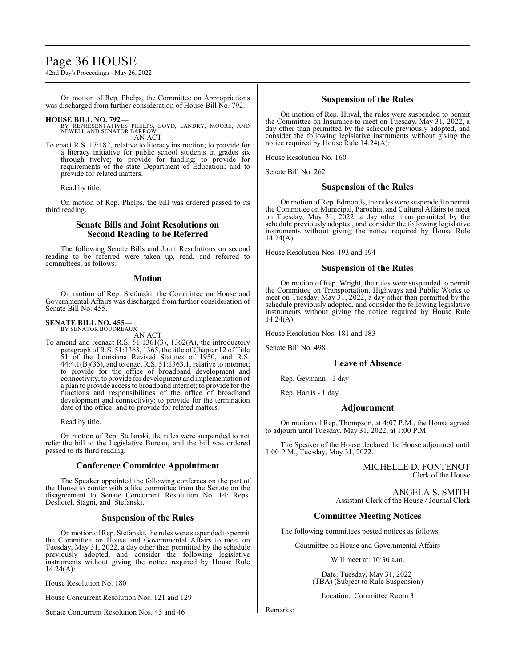### Page 36 HOUSE

42nd Day's Proceedings - May 26, 2022

On motion of Rep. Phelps, the Committee on Appropriations was discharged from further consideration of House Bill No. 792.

- **HOUSE BILL NO. 792—** BY REPRESENTATIVES PHELPS, BOYD, LANDRY, MOORE, AND NEWELL AND SENATOR BARROW AN ACT
- To enact R.S. 17:182, relative to literacy instruction; to provide for a literacy initiative for public school students in grades six through twelve; to provide for funding; to provide for requirements of the state Department of Education; and to provide for related matters.

Read by title.

On motion of Rep. Phelps, the bill was ordered passed to its third reading.

#### **Senate Bills and Joint Resolutions on Second Reading to be Referred**

The following Senate Bills and Joint Resolutions on second reading to be referred were taken up, read, and referred to committees, as follows:

#### **Motion**

On motion of Rep. Stefanski, the Committee on House and Governmental Affairs was discharged from further consideration of Senate Bill No. 455.

#### **SENATE BILL NO. 455—** BY SENATOR BOUDREAUX

AN ACT

To amend and reenact R.S. 51:1361(3), 1362(A), the introductory paragraph of R.S. 51:1363, 1365, the title of Chapter 12 of Title 51 of the Louisiana Revised Statutes of 1950, and R.S. 44:4.1(B)(35), and to enact R.S. 51:1363.1, relative to internet; to provide for the office of broadband development and connectivity; to provide for development and implementation of a plan to provide access to broadband internet; to provide for the functions and responsibilities of the office of broadband development and connectivity; to provide for the termination date of the office; and to provide for related matters.

Read by title.

On motion of Rep. Stefanski, the rules were suspended to not refer the bill to the Legislative Bureau, and the bill was ordered passed to its third reading.

#### **Conference Committee Appointment**

The Speaker appointed the following conferees on the part of the House to confer with a like committee from the Senate on the disagreement to Senate Concurrent Resolution No. 14: Reps. Deshotel, Stagni, and Stefanski.

#### **Suspension of the Rules**

On motion ofRep. Stefanski, the rules were suspended to permit the Committee on House and Governmental Affairs to meet on Tuesday, May 31, 2022, a day other than permitted by the schedule previously adopted, and consider the following legislative instruments without giving the notice required by House Rule 14.24(A):

House Resolution No. 180

House Concurrent Resolution Nos. 121 and 129

Senate Concurrent Resolution Nos. 45 and 46

#### **Suspension of the Rules**

On motion of Rep. Huval, the rules were suspended to permit the Committee on Insurance to meet on Tuesday, May 31, 2022, a day other than permitted by the schedule previously adopted, and consider the following legislative instruments without giving the notice required by House Rule  $14.24(A)$ :

House Resolution No. 160

Senate Bill No. 262

#### **Suspension of the Rules**

Onmotion ofRep. Edmonds, the rules were suspended to permit the Committee on Municipal, Parochial and Cultural Affairs to meet on Tuesday, May 31, 2022, a day other than permitted by the schedule previously adopted, and consider the following legislative instruments without giving the notice required by House Rule  $14.24(A):$ 

House Resolution Nos. 193 and 194

#### **Suspension of the Rules**

On motion of Rep. Wright, the rules were suspended to permit the Committee on Transportation, Highways and Public Works to meet on Tuesday, May 31, 2022, a day other than permitted by the schedule previously adopted, and consider the following legislative instruments without giving the notice required by House Rule  $14.24(A):$ 

House Resolution Nos. 181 and 183

Senate Bill No. 498

#### **Leave of Absence**

Rep. Geymann - 1 day

Rep. Harris - 1 day

#### **Adjournment**

On motion of Rep. Thompson, at 4:07 P.M., the House agreed to adjourn until Tuesday, May 31, 2022, at 1:00 P.M.

The Speaker of the House declared the House adjourned until 1:00 P.M., Tuesday, May 31, 2022.

> MICHELLE D. FONTENOT Clerk of the House

ANGELA S. SMITH Assistant Clerk of the House / Journal Clerk

#### **Committee Meeting Notices**

The following committees posted notices as follows:

Committee on House and Governmental Affairs

Will meet at: 10:30 a.m.

Date: Tuesday, May 31, 2022 (TBA) (Subject to Rule Suspension)

Location: Committee Room 3

Remarks: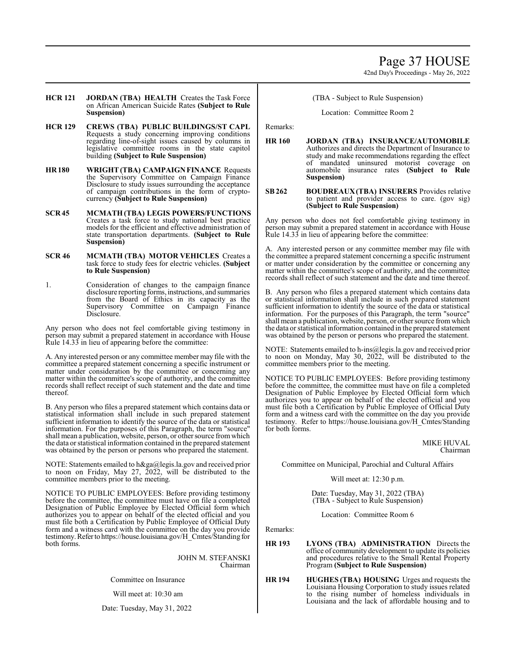**HCR 121 JORDAN (TBA) HEALTH** Creates the Task Force on African American Suicide Rates **(Subject to Rule Suspension)**

- **HCR 129 CREWS (TBA) PUBLIC BUILDINGS/ST CAPL**  Requests a study concerning improving conditions regarding line-of-sight issues caused by columns in legislative committee rooms in the state capitol building **(Subject to Rule Suspension)**
- **HR 180 WRIGHT (TBA) CAMPAIGN FINANCE** Requests the Supervisory Committee on Campaign Finance Disclosure to study issues surrounding the acceptance of campaign contributions in the form of cryptocurrency **(Subject to Rule Suspension)**
- **SCR 45 MCMATH (TBA) LEGIS POWERS/FUNCTIONS**  Creates a task force to study national best practice models for the efficient and effective administration of state transportation departments. **(Subject to Rule Suspension)**
- **SCR 46 MCMATH (TBA) MOTOR VEHICLES** Creates a task force to study fees for electric vehicles. **(Subject to Rule Suspension)**
- 1. Consideration of changes to the campaign finance disclosure reporting forms, instructions, and summaries from the Board of Ethics in its capacity as the Supervisory Committee on Campaign Finance Disclosure.

Any person who does not feel comfortable giving testimony in person may submit a prepared statement in accordance with House Rule 14.33 in lieu of appearing before the committee:

A. Any interested person or any committee member may file with the committee a prepared statement concerning a specific instrument or matter under consideration by the committee or concerning any matter within the committee's scope of authority, and the committee records shall reflect receipt of such statement and the date and time thereof.

B. Any person who files a prepared statement which contains data or statistical information shall include in such prepared statement sufficient information to identify the source of the data or statistical information. For the purposes of this Paragraph, the term "source" shall mean a publication, website, person, or other source from which the data or statistical information contained in the prepared statement was obtained by the person or persons who prepared the statement.

NOTE: Statements emailed to h&ga@legis.la.gov and received prior to noon on Friday, May 27,  $2022$ , will be distributed to the committee members prior to the meeting.

NOTICE TO PUBLIC EMPLOYEES: Before providing testimony before the committee, the committee must have on file a completed Designation of Public Employee by Elected Official form which authorizes you to appear on behalf of the elected official and you must file both a Certification by Public Employee of Official Duty form and a witness card with the committee on the day you provide testimony.Referto https://house.louisiana.gov/H\_Cmtes/Standing for both forms.

> JOHN M. STEFANSKI Chairman

Committee on Insurance

Will meet at: 10:30 am

Date: Tuesday, May 31, 2022

(TBA - Subject to Rule Suspension)

Location: Committee Room 2

Remarks:

**HR 160 JORDAN (TBA) INSURANCE/AUTOMOBILE** Authorizes and directs the Department of Insurance to study and make recommendations regarding the effect of mandated uninsured motorist coverage on automobile insurance rates **(Subject to Rule Suspension)**

#### **SB262 BOUDREAUX(TBA) INSURERS** Provides relative to patient and provider access to care. (gov sig) **(Subject to Rule Suspension)**

Any person who does not feel comfortable giving testimony in person may submit a prepared statement in accordance with House Rule 14.33 in lieu of appearing before the committee:

A. Any interested person or any committee member may file with the committee a prepared statement concerning a specific instrument or matter under consideration by the committee or concerning any matter within the committee's scope of authority, and the committee records shall reflect of such statement and the date and time thereof.

B. Any person who files a prepared statement which contains data or statistical information shall include in such prepared statement sufficient information to identify the source of the data or statistical information. For the purposes of this Paragraph, the term "source" shall mean a publication, website, person, or other source fromwhich the data or statistical information contained in the prepared statement was obtained by the person or persons who prepared the statement.

NOTE: Statements emailed to h-ins@legis.la.gov and received prior to noon on Monday, May 30, 2022, will be distributed to the committee members prior to the meeting.

NOTICE TO PUBLIC EMPLOYEES: Before providing testimony before the committee, the committee must have on file a completed Designation of Public Employee by Elected Official form which authorizes you to appear on behalf of the elected official and you must file both a Certification by Public Employee of Official Duty form and a witness card with the committee on the day you provide testimony. Refer to https://house.louisiana.gov/H\_Cmtes/Standing for both forms.

#### MIKE HUVAL Chairman

Committee on Municipal, Parochial and Cultural Affairs

Will meet at: 12:30 p.m.

Date: Tuesday, May 31, 2022 (TBA) (TBA - Subject to Rule Suspension)

Location: Committee Room 6

Remarks:

- **HR 193 LYONS (TBA) ADMINISTRATION** Directs the office of community development to update its policies and procedures relative to the Small Rental Property Program **(Subject to Rule Suspension)**
- **HR 194 HUGHES (TBA) HOUSING** Urges and requests the Louisiana Housing Corporation to study issues related to the rising number of homeless individuals in Louisiana and the lack of affordable housing and to